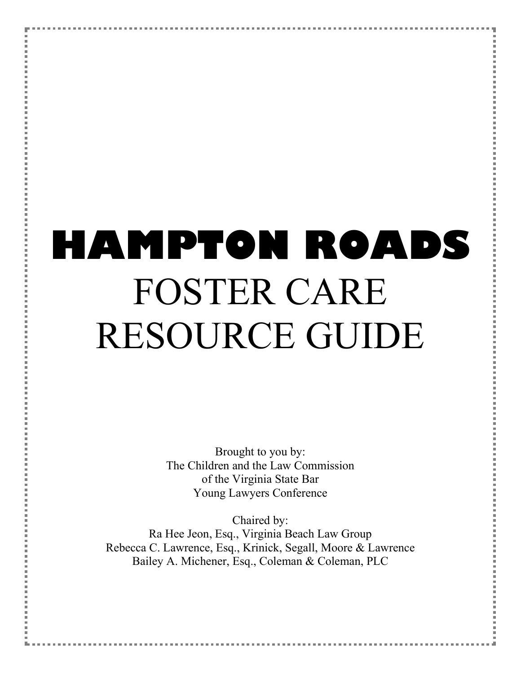# **HAMPTON ROADS** FOSTER CARE RESOURCE GUIDE

Brought to you by: The Children and the Law Commission of the Virginia State Bar Young Lawyers Conference

Chaired by: Ra Hee Jeon, Esq., Virginia Beach Law Group Rebecca C. Lawrence, Esq., Krinick, Segall, Moore & Lawrence Bailey A. Michener, Esq., Coleman & Coleman, PLC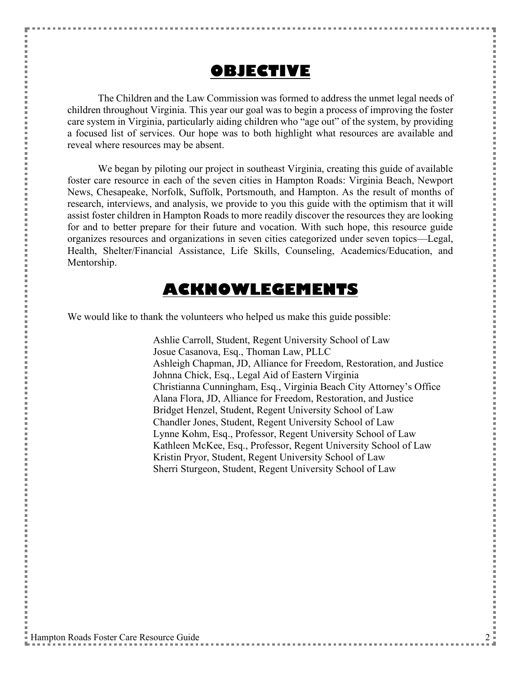#### **OBJECTIVE**

The Children and the Law Commission was formed to address the unmet legal needs of children throughout Virginia. This year our goal was to begin a process of improving the foster care system in Virginia, particularly aiding children who "age out" of the system, by providing a focused list of services. Our hope was to both highlight what resources are available and reveal where resources may be absent.

We began by piloting our project in southeast Virginia, creating this guide of available foster care resource in each of the seven cities in Hampton Roads: Virginia Beach, Newport News, Chesapeake, Norfolk, Suffolk, Portsmouth, and Hampton. As the result of months of research, interviews, and analysis, we provide to you this guide with the optimism that it will assist foster children in Hampton Roads to more readily discover the resources they are looking for and to better prepare for their future and vocation. With such hope, this resource guide organizes resources and organizations in seven cities categorized under seven topics—Legal, Health, Shelter/Financial Assistance, Life Skills, Counseling, Academics/Education, and Mentorship.

#### **ACKNOWLEGEMENTS**

We would like to thank the volunteers who helped us make this guide possible:

Ashlie Carroll, Student, Regent University School of Law Josue Casanova, Esq., Thoman Law, PLLC Ashleigh Chapman, JD, Alliance for Freedom, Restoration, and Justice Johnna Chick, Esq., Legal Aid of Eastern Virginia Christianna Cunningham, Esq., Virginia Beach City Attorney's Office Alana Flora, JD, Alliance for Freedom, Restoration, and Justice Bridget Henzel, Student, Regent University School of Law Chandler Jones, Student, Regent University School of Law Lynne Kohm, Esq., Professor, Regent University School of Law Kathleen McKee, Esq., Professor, Regent University School of Law Kristin Pryor, Student, Regent University School of Law Sherri Sturgeon, Student, Regent University School of Law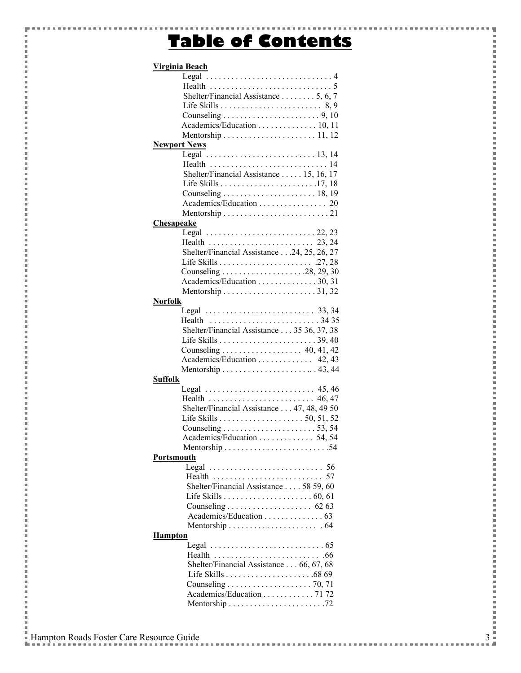### **Table of Contents**

| Virginia Beach      |                                                                        |    |
|---------------------|------------------------------------------------------------------------|----|
|                     | Legal $\ldots \ldots \ldots \ldots \ldots \ldots \ldots \ldots \ldots$ |    |
|                     |                                                                        |    |
|                     | Shelter/Financial Assistance 5, 6, 7                                   |    |
|                     |                                                                        |    |
|                     |                                                                        |    |
|                     | Academics/Education 10, 11                                             |    |
|                     |                                                                        |    |
| <b>Newport News</b> |                                                                        |    |
|                     |                                                                        |    |
|                     |                                                                        |    |
|                     | Shelter/Financial Assistance  15, 16, 17                               |    |
|                     |                                                                        |    |
|                     | Counseling $\ldots \ldots \ldots \ldots \ldots \ldots \ldots 18, 19$   |    |
|                     |                                                                        |    |
|                     |                                                                        |    |
| <b>Chesapeake</b>   |                                                                        |    |
|                     | Legal $\ldots \ldots \ldots \ldots \ldots \ldots \ldots \ldots 22, 23$ |    |
|                     |                                                                        |    |
|                     | Shelter/Financial Assistance 24, 25, 26, 27                            |    |
|                     |                                                                        |    |
|                     |                                                                        |    |
|                     | Academics/Education 30, 31                                             |    |
|                     |                                                                        |    |
|                     |                                                                        |    |
| <b>Norfolk</b>      |                                                                        |    |
|                     | Legal $\ldots \ldots \ldots \ldots \ldots \ldots \ldots \ldots$ 33, 34 |    |
|                     | Health $\ldots \ldots \ldots \ldots \ldots \ldots \ldots \ldots$ 3435  |    |
|                     | Shelter/Financial Assistance 35 36, 37, 38                             |    |
|                     |                                                                        |    |
|                     | Counseling 40, 41, 42                                                  |    |
|                     | Academics/Education  42,43                                             |    |
|                     |                                                                        |    |
| <b>Suffolk</b>      |                                                                        |    |
|                     | Legal  45,46                                                           |    |
|                     | Health  46,47                                                          |    |
|                     | Shelter/Financial Assistance 47, 48, 49 50                             |    |
|                     |                                                                        |    |
|                     |                                                                        |    |
|                     | Academics/Education 54, 54                                             |    |
|                     |                                                                        |    |
| <b>Portsmouth</b>   |                                                                        |    |
|                     |                                                                        |    |
|                     | Health                                                                 | 57 |
|                     | Shelter/Financial Assistance 58 59, 60                                 |    |
|                     |                                                                        |    |
|                     |                                                                        |    |
|                     | Academics/Education 63                                                 |    |
|                     |                                                                        |    |
|                     |                                                                        |    |
| <b>Hampton</b>      |                                                                        |    |
|                     | Legal $\ldots \ldots \ldots \ldots \ldots \ldots \ldots \ldots \ldots$ |    |
|                     |                                                                        |    |
|                     | Shelter/Financial Assistance 66, 67, 68                                |    |
|                     |                                                                        |    |
|                     |                                                                        |    |
|                     | Academics/Education 71 72                                              |    |
|                     |                                                                        |    |
|                     |                                                                        |    |

 $\frac{3}{1}$ 

ŧ

E

i j.

p

l Ė

j.

j

l Ė

j.

 $\overline{a}$ 

l Ė

j.

j

l Ė

p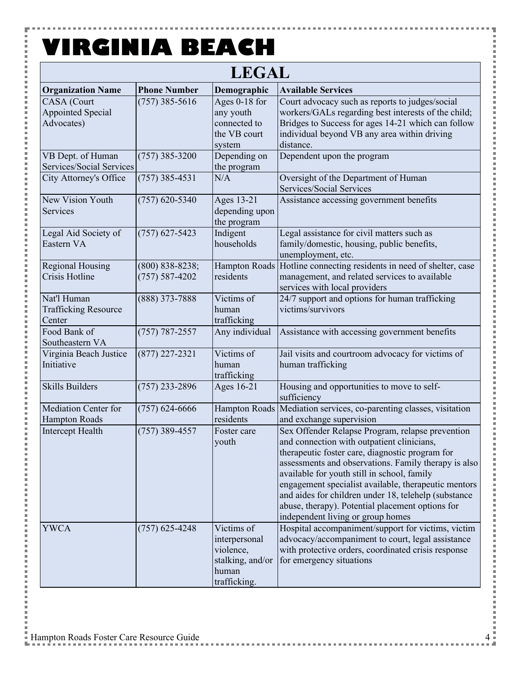Y

 $\frac{1}{2}$ 

 $\overline{a}$ i Ė i

j.

İ

Ė

j.

İ

Ė

j.

İ

Ė

j.

| <b>LEGAL</b>                                         |                                         |                                                                                       |                                                                                                                                                                                                                                                                                                                                                                                                                                                                   |  |  |
|------------------------------------------------------|-----------------------------------------|---------------------------------------------------------------------------------------|-------------------------------------------------------------------------------------------------------------------------------------------------------------------------------------------------------------------------------------------------------------------------------------------------------------------------------------------------------------------------------------------------------------------------------------------------------------------|--|--|
| <b>Organization Name</b>                             | <b>Phone Number</b>                     | Demographic                                                                           | <b>Available Services</b>                                                                                                                                                                                                                                                                                                                                                                                                                                         |  |  |
| CASA (Court<br>Appointed Special<br>Advocates)       | $(757)$ 385-5616                        | Ages 0-18 for<br>any youth<br>connected to<br>the VB court<br>system                  | Court advocacy such as reports to judges/social<br>workers/GALs regarding best interests of the child;<br>Bridges to Success for ages 14-21 which can follow<br>individual beyond VB any area within driving<br>distance.                                                                                                                                                                                                                                         |  |  |
| VB Dept. of Human<br>Services/Social Services        | $(757)$ 385-3200                        | Depending on<br>the program                                                           | Dependent upon the program                                                                                                                                                                                                                                                                                                                                                                                                                                        |  |  |
| City Attorney's Office                               | $(757)$ 385-4531                        | N/A                                                                                   | Oversight of the Department of Human<br>Services/Social Services                                                                                                                                                                                                                                                                                                                                                                                                  |  |  |
| New Vision Youth<br>Services                         | $(757)$ 620-5340                        | Ages 13-21<br>depending upon<br>the program                                           | Assistance accessing government benefits                                                                                                                                                                                                                                                                                                                                                                                                                          |  |  |
| Legal Aid Society of<br>Eastern VA                   | $(757)$ 627-5423                        | Indigent<br>households                                                                | Legal assistance for civil matters such as<br>family/domestic, housing, public benefits,<br>unemployment, etc.                                                                                                                                                                                                                                                                                                                                                    |  |  |
| <b>Regional Housing</b><br>Crisis Hotline            | $(800)$ 838-8238;<br>$(757) 587 - 4202$ | <b>Hampton Roads</b><br>residents                                                     | Hotline connecting residents in need of shelter, case<br>management, and related services to available<br>services with local providers                                                                                                                                                                                                                                                                                                                           |  |  |
| Nat'l Human<br><b>Trafficking Resource</b><br>Center | (888) 373-7888                          | $\overline{\text{V}}$ ictims of<br>human<br>trafficking                               | 24/7 support and options for human trafficking<br>victims/survivors                                                                                                                                                                                                                                                                                                                                                                                               |  |  |
| Food Bank of<br>Southeastern VA                      | $(757) 787 - 2557$                      | Any individual                                                                        | Assistance with accessing government benefits                                                                                                                                                                                                                                                                                                                                                                                                                     |  |  |
| Virginia Beach Justice<br>Initiative                 | $(877)$ 227-2321                        | Victims of<br>human<br>trafficking                                                    | Jail visits and courtroom advocacy for victims of<br>human trafficking                                                                                                                                                                                                                                                                                                                                                                                            |  |  |
| <b>Skills Builders</b>                               | $(757)$ 233-2896                        | Ages 16-21                                                                            | Housing and opportunities to move to self-<br>sufficiency                                                                                                                                                                                                                                                                                                                                                                                                         |  |  |
| Mediation Center for<br><b>Hampton Roads</b>         | $(757)$ 624-6666                        | <b>Hampton Roads</b><br>residents                                                     | Mediation services, co-parenting classes, visitation<br>and exchange supervision                                                                                                                                                                                                                                                                                                                                                                                  |  |  |
| <b>Intercept Health</b>                              | $(757)$ 389-4557                        | Foster care<br>youth                                                                  | Sex Offender Relapse Program, relapse prevention<br>and connection with outpatient clinicians,<br>therapeutic foster care, diagnostic program for<br>assessments and observations. Family therapy is also<br>available for youth still in school, family<br>engagement specialist available, therapeutic mentors<br>and aides for children under 18, telehelp (substance<br>abuse, therapy). Potential placement options for<br>independent living or group homes |  |  |
| <b>YWCA</b>                                          | $(757)$ 625-4248                        | Victims of<br>interpersonal<br>violence,<br>stalking, and/or<br>human<br>trafficking. | Hospital accompaniment/support for victims, victim<br>advocacy/accompaniment to court, legal assistance<br>with protective orders, coordinated crisis response<br>for emergency situations                                                                                                                                                                                                                                                                        |  |  |

Ŧ

×

,,,,,,,,,,,,,

× × i<br>I

l

i<br>I

l × j

I × i<br>I

l

i<br>I

l × j

I × i<br>I

l

i<br>I

l ×

医皮肤皮炎 医血管

i<br>I

l

医皮肤皮炎 医血管

×

医皮肤皮炎 医血管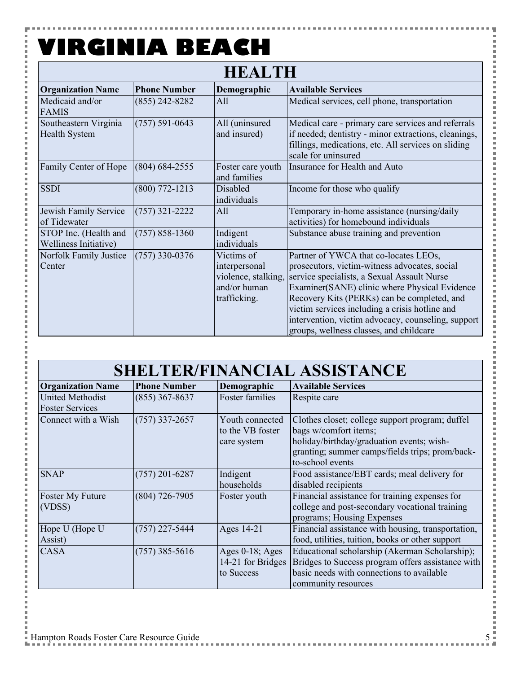۵

| <b>HEALTH</b>                                  |                     |                                                                                    |                                                                                                                                                                                                                                                                                                                                                                                          |  |
|------------------------------------------------|---------------------|------------------------------------------------------------------------------------|------------------------------------------------------------------------------------------------------------------------------------------------------------------------------------------------------------------------------------------------------------------------------------------------------------------------------------------------------------------------------------------|--|
| <b>Organization Name</b>                       | <b>Phone Number</b> | Demographic                                                                        | <b>Available Services</b>                                                                                                                                                                                                                                                                                                                                                                |  |
| Medicaid and/or<br><b>FAMIS</b>                | $(855)$ 242-8282    | All                                                                                | Medical services, cell phone, transportation                                                                                                                                                                                                                                                                                                                                             |  |
| Southeastern Virginia<br><b>Health System</b>  | $(757) 591 - 0643$  | All (uninsured<br>and insured)                                                     | Medical care - primary care services and referrals<br>if needed; dentistry - minor extractions, cleanings,<br>fillings, medications, etc. All services on sliding<br>scale for uninsured                                                                                                                                                                                                 |  |
| Family Center of Hope                          | $(804) 684 - 2555$  | Foster care youth<br>and families                                                  | Insurance for Health and Auto                                                                                                                                                                                                                                                                                                                                                            |  |
| <b>SSDI</b>                                    | $(800)$ 772-1213    | Disabled<br>individuals                                                            | Income for those who qualify                                                                                                                                                                                                                                                                                                                                                             |  |
| Jewish Family Service<br>of Tidewater          | $(757)$ 321-2222    | All                                                                                | Temporary in-home assistance (nursing/daily<br>activities) for homebound individuals                                                                                                                                                                                                                                                                                                     |  |
| STOP Inc. (Health and<br>Welliness Initiative) | $(757) 858 - 1360$  | Indigent<br>individuals                                                            | Substance abuse training and prevention                                                                                                                                                                                                                                                                                                                                                  |  |
| Norfolk Family Justice<br>Center               | $(757)$ 330-0376    | Victims of<br>interpersonal<br>violence, stalking,<br>and/or human<br>trafficking. | Partner of YWCA that co-locates LEOs,<br>prosecutors, victim-witness advocates, social<br>service specialists, a Sexual Assault Nurse<br>Examiner(SANE) clinic where Physical Evidence<br>Recovery Kits (PERKs) can be completed, and<br>victim services including a crisis hotline and<br>intervention, victim advocacy, counseling, support<br>groups, wellness classes, and childcare |  |

| <b>Organization Name</b>                          | <b>Phone Number</b> | Demographic                                           | <b>Available Services</b>                                                                                                                                                                    |
|---------------------------------------------------|---------------------|-------------------------------------------------------|----------------------------------------------------------------------------------------------------------------------------------------------------------------------------------------------|
| <b>United Methodist</b><br><b>Foster Services</b> | $(855)$ 367-8637    | Foster families                                       | Respite care                                                                                                                                                                                 |
| Connect with a Wish                               | $(757)$ 337-2657    | Youth connected<br>to the VB foster<br>care system    | Clothes closet; college support program; duffel<br>bags w/comfort items;<br>holiday/birthday/graduation events; wish-<br>granting; summer camps/fields trips; prom/back-<br>to-school events |
| <b>SNAP</b>                                       | $(757)$ 201-6287    | Indigent<br>households                                | Food assistance/EBT cards; meal delivery for<br>disabled recipients                                                                                                                          |
| Foster My Future<br>(VDSS)                        | $(804)$ 726-7905    | Foster youth                                          | Financial assistance for training expenses for<br>college and post-secondary vocational training<br>programs; Housing Expenses                                                               |
| Hope U (Hope U<br>Assist)                         | $(757)$ 227-5444    | Ages 14-21                                            | Financial assistance with housing, transportation,<br>food, utilities, tuition, books or other support                                                                                       |
| <b>CASA</b>                                       | $(757)$ 385-5616    | Ages $0-18$ ; Ages<br>14-21 for Bridges<br>to Success | Educational scholarship (Akerman Scholarship);<br>Bridges to Success program offers assistance with<br>basic needs with connections to available<br>community resources                      |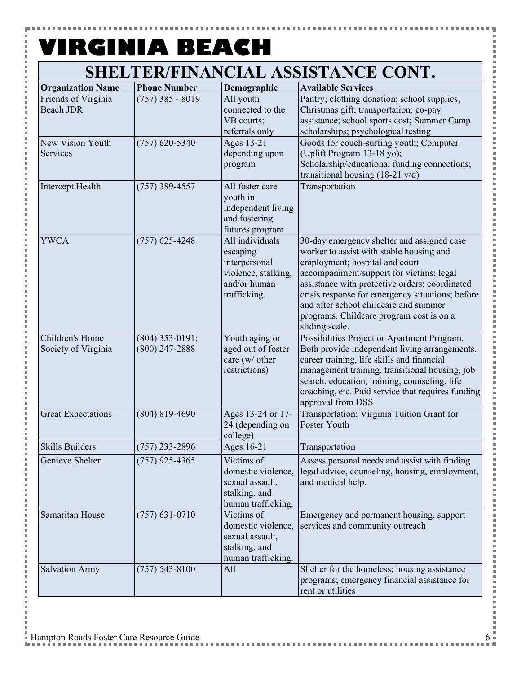P

i<br>I

| <b>Organization Name</b>                | <b>Phone Number</b>                   | Demographic                                                                                         | <b>Available Services</b>                                                                                                                                                                                                                                                                                                                                                         |
|-----------------------------------------|---------------------------------------|-----------------------------------------------------------------------------------------------------|-----------------------------------------------------------------------------------------------------------------------------------------------------------------------------------------------------------------------------------------------------------------------------------------------------------------------------------------------------------------------------------|
| Friends of Virginia<br><b>Beach JDR</b> | $(757)$ 385 - 8019                    | All youth<br>connected to the<br>VB courts;<br>referrals only                                       | Pantry; clothing donation; school supplies;<br>Christmas gift; transportation; co-pay<br>assistance; school sports cost; Summer Camp<br>scholarships; psychological testing                                                                                                                                                                                                       |
| New Vision Youth<br>Services            | $(757)$ 620-5340                      | Ages 13-21<br>depending upon<br>program                                                             | Goods for couch-surfing youth; Computer<br>(Uplift Program 13-18 yo);<br>Scholarship/educational funding connections;<br>transitional housing $(18-21 \text{ y/o})$                                                                                                                                                                                                               |
| Intercept Health                        | $(757)$ 389-4557                      | All foster care<br>youth in<br>independent living<br>and fostering<br>futures program               | Transportation                                                                                                                                                                                                                                                                                                                                                                    |
| <b>YWCA</b>                             | $(757)$ 625-4248                      | All individuals<br>escaping<br>interpersonal<br>violence, stalking,<br>and/or human<br>trafficking. | 30-day emergency shelter and assigned case<br>worker to assist with stable housing and<br>employment; hospital and court<br>accompaniment/support for victims; legal<br>assistance with protective orders; coordinated<br>crisis response for emergency situations; before<br>and after school childcare and summer<br>programs. Childcare program cost is on a<br>sliding scale. |
| Children's Home<br>Society of Virginia  | $(804)$ 353-0191;<br>$(800)$ 247-2888 | Youth aging or<br>aged out of foster<br>care (w/ other<br>restrictions)                             | Possibilities Project or Apartment Program.<br>Both provide independent living arrangements,<br>career training, life skills and financial<br>management training, transitional housing, job<br>search, education, training, counseling, life<br>coaching, etc. Paid service that requires funding<br>approval from DSS                                                           |
| <b>Great Expectations</b>               | $(804) 819 - 4690$                    | Ages 13-24 or 17-<br>24 (depending on<br>college)                                                   | Transportation; Virginia Tuition Grant for<br>Foster Youth                                                                                                                                                                                                                                                                                                                        |
| <b>Skills Builders</b>                  | $(757)$ 233-2896                      | Ages 16-21                                                                                          | Transportation                                                                                                                                                                                                                                                                                                                                                                    |
| Genieve Shelter                         | $(757)$ 925-4365                      | Victims of<br>domestic violence,<br>sexual assault,<br>stalking, and<br>human trafficking.          | Assess personal needs and assist with finding<br>legal advice, counseling, housing, employment,<br>and medical help.                                                                                                                                                                                                                                                              |
| Samaritan House                         | $(757) 631 - 0710$                    | Victims of<br>domestic violence,<br>sexual assault,<br>stalking, and<br>human trafficking.          | Emergency and permanent housing, support<br>services and community outreach                                                                                                                                                                                                                                                                                                       |
| <b>Salvation Army</b>                   | $(757) 543 - 8100$                    | All                                                                                                 | Shelter for the homeless; housing assistance<br>programs; emergency financial assistance for<br>rent or utilities                                                                                                                                                                                                                                                                 |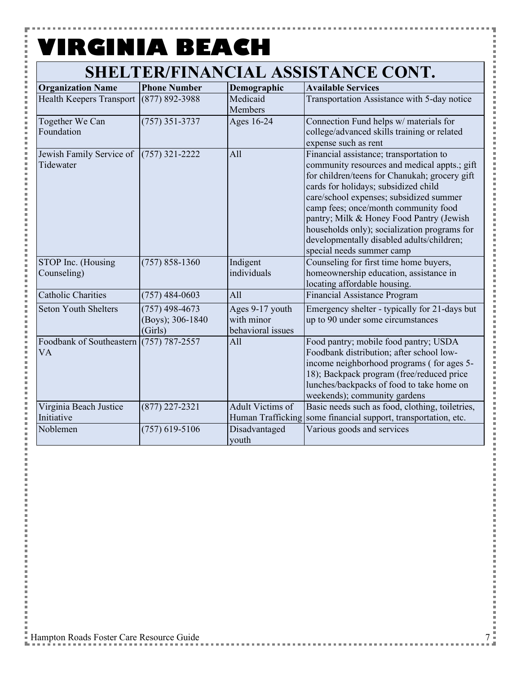P

こうしょう こうしょう

### **SHELTER/FINANCIAL ASSISTANCE CONT.**

| <b>Organization Name</b>                               | <b>Phone Number</b>                             | Demographic                                        | <b>Available Services</b>                                                                                                                                                                                                                                                                                                                                                                                                                 |
|--------------------------------------------------------|-------------------------------------------------|----------------------------------------------------|-------------------------------------------------------------------------------------------------------------------------------------------------------------------------------------------------------------------------------------------------------------------------------------------------------------------------------------------------------------------------------------------------------------------------------------------|
| <b>Health Keepers Transport</b>                        | $(877) 892 - 3988$                              | Medicaid<br>Members                                | Transportation Assistance with 5-day notice                                                                                                                                                                                                                                                                                                                                                                                               |
| Together We Can<br>Foundation                          | $(757)$ 351-3737                                | Ages 16-24                                         | Connection Fund helps w/ materials for<br>college/advanced skills training or related<br>expense such as rent                                                                                                                                                                                                                                                                                                                             |
| Jewish Family Service of<br>Tidewater                  | $(757)$ 321-2222                                | All                                                | Financial assistance; transportation to<br>community resources and medical appts.; gift<br>for children/teens for Chanukah; grocery gift<br>cards for holidays; subsidized child<br>care/school expenses; subsidized summer<br>camp fees; once/month community food<br>pantry; Milk & Honey Food Pantry (Jewish<br>households only); socialization programs for<br>developmentally disabled adults/children;<br>special needs summer camp |
| STOP Inc. (Housing<br>Counseling)                      | $(757) 858 - 1360$                              | Indigent<br>individuals                            | Counseling for first time home buyers,<br>homeownership education, assistance in<br>locating affordable housing.                                                                                                                                                                                                                                                                                                                          |
| <b>Catholic Charities</b>                              | $(757)$ 484-0603                                | All                                                | Financial Assistance Program                                                                                                                                                                                                                                                                                                                                                                                                              |
| <b>Seton Youth Shelters</b>                            | $(757)$ 498-4673<br>(Boys); 306-1840<br>(Girls) | Ages 9-17 youth<br>with minor<br>behavioral issues | Emergency shelter - typically for 21-days but<br>up to 90 under some circumstances                                                                                                                                                                                                                                                                                                                                                        |
| Foodbank of Southeastern $(757)$ 787-2557<br><b>VA</b> |                                                 | All                                                | Food pantry; mobile food pantry; USDA<br>Foodbank distribution; after school low-<br>income neighborhood programs (for ages 5-<br>18); Backpack program (free/reduced price<br>lunches/backpacks of food to take home on<br>weekends); community gardens                                                                                                                                                                                  |
| Virginia Beach Justice<br>Initiative                   | $(877)$ 227-2321                                | Adult Victims of<br>Human Trafficking              | Basic needs such as food, clothing, toiletries,<br>some financial support, transportation, etc.                                                                                                                                                                                                                                                                                                                                           |
| Noblemen                                               | $(757)$ 619-5106                                | Disadvantaged<br>youth                             | Various goods and services                                                                                                                                                                                                                                                                                                                                                                                                                |

Ē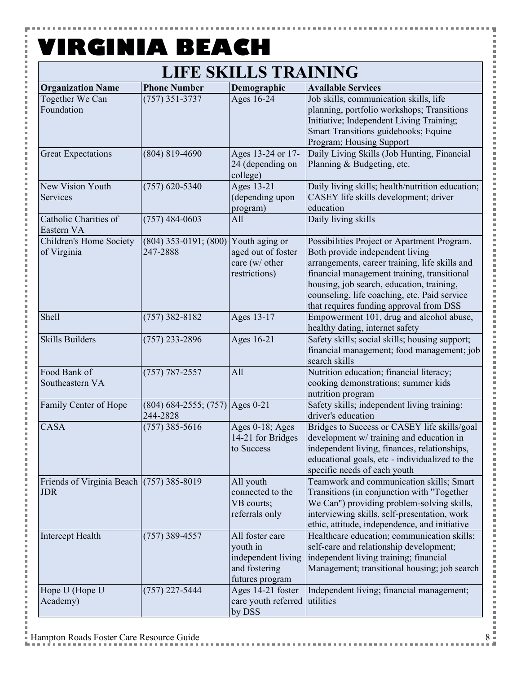**COLOR** 

Y

i<br>I

医皮肤皮炎 医心脏

### **LIFE SKILLS TRAINING**

| <b>Organization Name</b>                                 | <b>Phone Number</b>                           | Demographic                                                                           | <b>Available Services</b>                                                                                                                                                                                                                                                                                               |
|----------------------------------------------------------|-----------------------------------------------|---------------------------------------------------------------------------------------|-------------------------------------------------------------------------------------------------------------------------------------------------------------------------------------------------------------------------------------------------------------------------------------------------------------------------|
| Together We Can<br>Foundation                            | $(757)$ 351-3737                              | Ages 16-24                                                                            | Job skills, communication skills, life<br>planning, portfolio workshops; Transitions<br>Initiative; Independent Living Training;<br>Smart Transitions guidebooks; Equine<br>Program; Housing Support                                                                                                                    |
| <b>Great Expectations</b>                                | $(804) 819 - 4690$                            | Ages 13-24 or 17-<br>24 (depending on<br>college)                                     | Daily Living Skills (Job Hunting, Financial<br>Planning & Budgeting, etc.                                                                                                                                                                                                                                               |
| New Vision Youth<br>Services                             | $(757)$ 620-5340                              | Ages 13-21<br>(depending upon<br>program)                                             | Daily living skills; health/nutrition education;<br>CASEY life skills development; driver<br>education                                                                                                                                                                                                                  |
| Catholic Charities of<br>Eastern VA                      | $(757)$ 484-0603                              | All                                                                                   | Daily living skills                                                                                                                                                                                                                                                                                                     |
| Children's Home Society<br>of Virginia                   | $(804)$ 353-0191; $(800)$<br>247-2888         | Youth aging or<br>aged out of foster<br>care (w/ other<br>restrictions)               | Possibilities Project or Apartment Program.<br>Both provide independent living<br>arrangements, career training, life skills and<br>financial management training, transitional<br>housing, job search, education, training,<br>counseling, life coaching, etc. Paid service<br>that requires funding approval from DSS |
| Shell                                                    | $(757)$ 382-8182                              | Ages 13-17                                                                            | Empowerment 101, drug and alcohol abuse,<br>healthy dating, internet safety                                                                                                                                                                                                                                             |
| <b>Skills Builders</b>                                   | $(757)$ 233-2896                              | Ages 16-21                                                                            | Safety skills; social skills; housing support;<br>financial management; food management; job<br>search skills                                                                                                                                                                                                           |
| Food Bank of<br>Southeastern VA                          | $(757) 787 - 2557$                            | All                                                                                   | Nutrition education; financial literacy;<br>cooking demonstrations; summer kids<br>nutrition program                                                                                                                                                                                                                    |
| Family Center of Hope                                    | $(804)$ 684-2555; (757) Ages 0-21<br>244-2828 |                                                                                       | Safety skills; independent living training;<br>driver's education                                                                                                                                                                                                                                                       |
| <b>CASA</b>                                              | $(757)$ 385-5616                              | Ages 0-18; Ages<br>14-21 for Bridges<br>to Success                                    | Bridges to Success or CASEY life skills/goal<br>development w/ training and education in<br>independent living, finances, relationships,<br>educational goals, etc - individualized to the<br>specific needs of each youth                                                                                              |
| Friends of Virginia Beach $(757)$ 385-8019<br><b>JDR</b> |                                               | All youth<br>connected to the<br>VB courts;<br>referrals only                         | Teamwork and communication skills; Smart<br>Transitions (in conjunction with "Together<br>We Can") providing problem-solving skills,<br>interviewing skills, self-presentation, work<br>ethic, attitude, independence, and initiative                                                                                   |
| Intercept Health                                         | $(757)$ 389-4557                              | All foster care<br>youth in<br>independent living<br>and fostering<br>futures program | Healthcare education; communication skills;<br>self-care and relationship development;<br>independent living training; financial<br>Management; transitional housing; job search                                                                                                                                        |
| Hope U (Hope U<br>Academy)                               | $(757)$ 227-5444                              | Ages 14-21 foster<br>care youth referred<br>by DSS                                    | Independent living; financial management;<br>utilities                                                                                                                                                                                                                                                                  |

i i s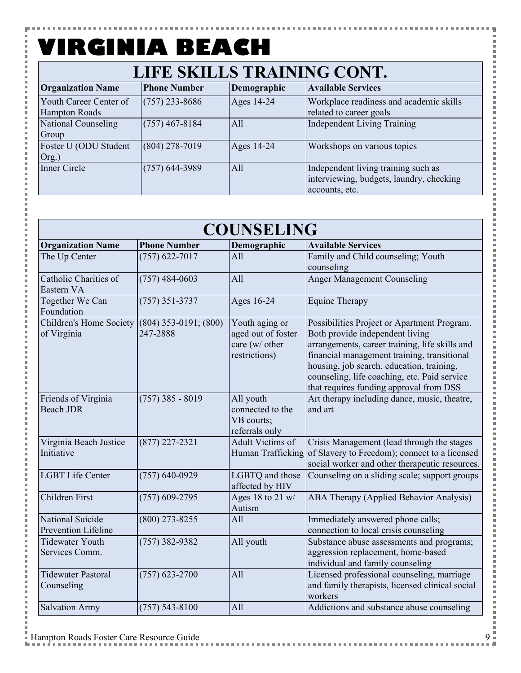F

 $\frac{1}{2}$ 

i Ė

İ

j.

j.

| LIFE SKILLS TRAINING CONT.                     |                     |             |                                                                                                   |
|------------------------------------------------|---------------------|-------------|---------------------------------------------------------------------------------------------------|
| <b>Organization Name</b>                       | <b>Phone Number</b> | Demographic | <b>Available Services</b>                                                                         |
| Youth Career Center of<br><b>Hampton Roads</b> | $(757)$ 233-8686    | Ages 14-24  | Workplace readiness and academic skills<br>related to career goals                                |
| <b>National Counseling</b><br>Group            | $(757)$ 467-8184    | All         | <b>Independent Living Training</b>                                                                |
| Foster U (ODU Student<br>Org.)                 | $(804)$ 278-7019    | Ages 14-24  | Workshops on various topics                                                                       |
| Inner Circle                                   | $(757)$ 644-3989    | All         | Independent living training such as<br>interviewing, budgets, laundry, checking<br>accounts, etc. |

| <b>COUNSELING</b>                                            |                     |                                                                         |                                                                                                                                                                                                                                                                                                                         |
|--------------------------------------------------------------|---------------------|-------------------------------------------------------------------------|-------------------------------------------------------------------------------------------------------------------------------------------------------------------------------------------------------------------------------------------------------------------------------------------------------------------------|
| <b>Organization Name</b>                                     | <b>Phone Number</b> | Demographic                                                             | <b>Available Services</b>                                                                                                                                                                                                                                                                                               |
| The Up Center                                                | $(757)$ 622-7017    | A11                                                                     | Family and Child counseling; Youth<br>counseling                                                                                                                                                                                                                                                                        |
| Catholic Charities of<br>Eastern VA                          | $(757)$ 484-0603    | All                                                                     | <b>Anger Management Counseling</b>                                                                                                                                                                                                                                                                                      |
| Together We Can<br>Foundation                                | $(757)$ 351-3737    | Ages 16-24                                                              | <b>Equine Therapy</b>                                                                                                                                                                                                                                                                                                   |
| Children's Home Society (804) 353-0191; (800)<br>of Virginia | 247-2888            | Youth aging or<br>aged out of foster<br>care (w/ other<br>restrictions) | Possibilities Project or Apartment Program.<br>Both provide independent living<br>arrangements, career training, life skills and<br>financial management training, transitional<br>housing, job search, education, training,<br>counseling, life coaching, etc. Paid service<br>that requires funding approval from DSS |
| Friends of Virginia<br><b>Beach JDR</b>                      | $(757)$ 385 - 8019  | All youth<br>connected to the<br>VB courts;<br>referrals only           | Art therapy including dance, music, theatre,<br>and art                                                                                                                                                                                                                                                                 |
| Virginia Beach Justice<br>Initiative                         | $(877)$ 227-2321    | Adult Victims of                                                        | Crisis Management (lead through the stages<br>Human Trafficking of Slavery to Freedom); connect to a licensed<br>social worker and other therapeutic resources.                                                                                                                                                         |
| <b>LGBT Life Center</b>                                      | $(757) 640 - 0929$  | LGBTQ and those<br>affected by HIV                                      | Counseling on a sliding scale; support groups                                                                                                                                                                                                                                                                           |
| Children First                                               | $(757)$ 609-2795    | Ages 18 to 21 $w/$<br>Autism                                            | ABA Therapy (Applied Behavior Analysis)                                                                                                                                                                                                                                                                                 |
| National Suicide<br><b>Prevention Lifeline</b>               | $(800)$ 273-8255    | A11                                                                     | Immediately answered phone calls;<br>connection to local crisis counseling                                                                                                                                                                                                                                              |
| <b>Tidewater Youth</b><br>Services Comm.                     | $(757)$ 382-9382    | All youth                                                               | Substance abuse assessments and programs;<br>aggression replacement, home-based<br>individual and family counseling                                                                                                                                                                                                     |
| <b>Tidewater Pastoral</b><br>Counseling                      | $(757)$ 623-2700    | All                                                                     | Licensed professional counseling, marriage<br>and family therapists, licensed clinical social<br>workers                                                                                                                                                                                                                |
| <b>Salvation Army</b>                                        | $(757) 543 - 8100$  | All                                                                     | Addictions and substance abuse counseling                                                                                                                                                                                                                                                                               |

医皮肤皮炎 医心脏

j I

l

l

i<br>I

i<br>I

l × l

l

l

i<br>I

l

j

I × i<br>I

l

i<br>I

i<br>I

医皮肤皮炎 医血管

**Contract**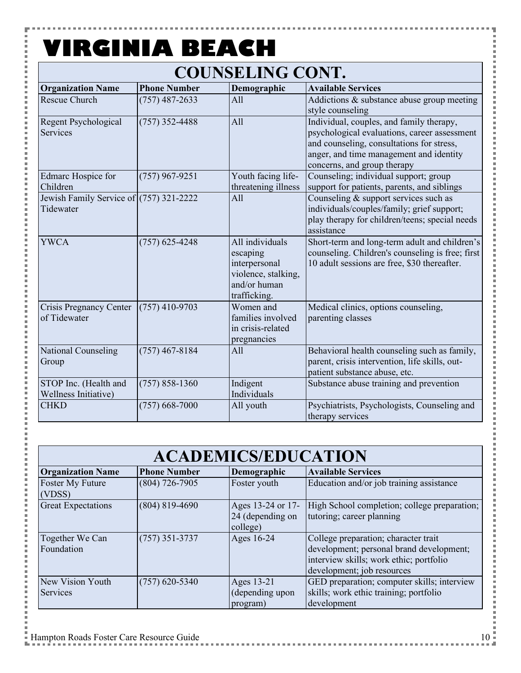۲

こうしょう こうしょう

医皮肤皮炎 医心脏

### **COUNSELING CONT.**

| <b>Organization Name</b>                               | <b>Phone Number</b> | Demographic                                                                                         | <b>Available Services</b>                                                                                                                                                                                       |
|--------------------------------------------------------|---------------------|-----------------------------------------------------------------------------------------------------|-----------------------------------------------------------------------------------------------------------------------------------------------------------------------------------------------------------------|
| <b>Rescue Church</b>                                   | $(757)$ 487-2633    | All                                                                                                 | Addictions & substance abuse group meeting<br>style counseling                                                                                                                                                  |
| Regent Psychological<br>Services                       | $(757)$ 352-4488    | All                                                                                                 | Individual, couples, and family therapy,<br>psychological evaluations, career assessment<br>and counseling, consultations for stress,<br>anger, and time management and identity<br>concerns, and group therapy |
| Edmarc Hospice for<br>Children                         | $(757)$ 967-9251    | Youth facing life-<br>threatening illness                                                           | Counseling; individual support; group<br>support for patients, parents, and siblings                                                                                                                            |
| Jewish Family Service of $(757)$ 321-2222<br>Tidewater |                     | All                                                                                                 | Counseling & support services such as<br>individuals/couples/family; grief support;<br>play therapy for children/teens; special needs<br>assistance                                                             |
| <b>YWCA</b>                                            | $(757)$ 625-4248    | All individuals<br>escaping<br>interpersonal<br>violence, stalking,<br>and/or human<br>trafficking. | Short-term and long-term adult and children's<br>counseling. Children's counseling is free; first<br>10 adult sessions are free, \$30 thereafter.                                                               |
| <b>Crisis Pregnancy Center</b><br>of Tidewater         | $(757)$ 410-9703    | Women and<br>families involved<br>in crisis-related<br>pregnancies                                  | Medical clinics, options counseling,<br>parenting classes                                                                                                                                                       |
| National Counseling<br>Group                           | $(757)$ 467-8184    | All                                                                                                 | Behavioral health counseling such as family,<br>parent, crisis intervention, life skills, out-<br>patient substance abuse, etc.                                                                                 |
| STOP Inc. (Health and<br>Wellness Initiative)          | $(757) 858 - 1360$  | Indigent<br>Individuals                                                                             | Substance abuse training and prevention                                                                                                                                                                         |
| <b>CHKD</b>                                            | $(757)$ 668-7000    | All youth                                                                                           | Psychiatrists, Psychologists, Counseling and<br>therapy services                                                                                                                                                |

| <b>ACADEMICS/EDUCATION</b>    |                     |                                                   |                                                                                                                                                           |
|-------------------------------|---------------------|---------------------------------------------------|-----------------------------------------------------------------------------------------------------------------------------------------------------------|
| <b>Organization Name</b>      | <b>Phone Number</b> | Demographic                                       | <b>Available Services</b>                                                                                                                                 |
| Foster My Future<br>(VDSS)    | $(804)$ 726-7905    | Foster youth                                      | Education and/or job training assistance                                                                                                                  |
| <b>Great Expectations</b>     | $(804) 819 - 4690$  | Ages 13-24 or 17-<br>24 (depending on<br>college) | High School completion; college preparation;<br>tutoring; career planning                                                                                 |
| Together We Can<br>Foundation | $(757)$ 351-3737    | Ages 16-24                                        | College preparation; character trait<br>development; personal brand development;<br>interview skills; work ethic; portfolio<br>development; job resources |
| New Vision Youth<br>Services  | $(757)$ 620-5340    | Ages 13-21<br>(depending upon<br>program)         | GED preparation; computer skills; interview<br>skills; work ethic training; portfolio<br>development                                                      |

l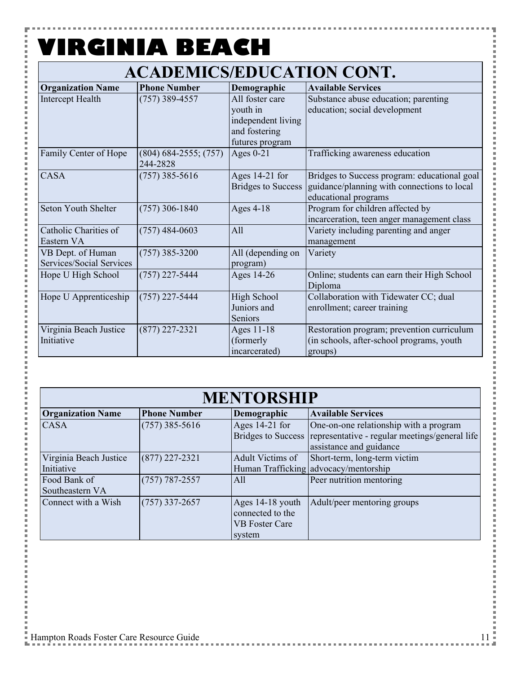H

### **ACADEMICS/EDUCATION CONT.**

| <b>Organization Name</b>   | <b>Phone Number</b>       | Demographic               | <b>Available Services</b>                    |
|----------------------------|---------------------------|---------------------------|----------------------------------------------|
| Intercept Health           | $(757)$ 389-4557          | All foster care           | Substance abuse education; parenting         |
|                            |                           | youth in                  | education; social development                |
|                            |                           | independent living        |                                              |
|                            |                           | and fostering             |                                              |
|                            |                           | futures program           |                                              |
| Family Center of Hope      | $(804) 684 - 2555; (757)$ | Ages $0-21$               | Trafficking awareness education              |
|                            | 244-2828                  |                           |                                              |
| <b>CASA</b>                | $(757)$ 385-5616          | Ages 14-21 for            | Bridges to Success program: educational goal |
|                            |                           | <b>Bridges to Success</b> | guidance/planning with connections to local  |
|                            |                           |                           | educational programs                         |
| <b>Seton Youth Shelter</b> | $(757)$ 306-1840          | Ages $4-18$               | Program for children affected by             |
|                            |                           |                           | incarceration, teen anger management class   |
| Catholic Charities of      | $(757)$ 484-0603          | All                       | Variety including parenting and anger        |
| Eastern VA                 |                           |                           | management                                   |
| VB Dept. of Human          | $(757)$ 385-3200          | All (depending on         | Variety                                      |
| Services/Social Services   |                           | program)                  |                                              |
| Hope U High School         | (757) 227-5444            | Ages 14-26                | Online; students can earn their High School  |
|                            |                           |                           | Diploma                                      |
| Hope U Apprenticeship      | $(757)$ 227-5444          | High School               | Collaboration with Tidewater CC; dual        |
|                            |                           | Juniors and               | enrollment; career training                  |
|                            |                           | Seniors                   |                                              |
| Virginia Beach Justice     | $(877)$ 227-2321          | Ages 11-18                | Restoration program; prevention curriculum   |
| Initiative                 |                           | (formerly                 | (in schools, after-school programs, youth    |
|                            |                           | incarcerated)             | groups)                                      |

#### **MENTORSHIP**

|                                      |                     | <u>MBI LONDIII</u>                                                      |                                                                                                                                        |
|--------------------------------------|---------------------|-------------------------------------------------------------------------|----------------------------------------------------------------------------------------------------------------------------------------|
| <b>Organization Name</b>             | <b>Phone Number</b> | Demographic                                                             | <b>Available Services</b>                                                                                                              |
| <b>CASA</b>                          | $(757)$ 385-5616    | Ages $14-21$ for                                                        | One-on-one relationship with a program<br>Bridges to Success representative - regular meetings/general life<br>assistance and guidance |
| Virginia Beach Justice<br>Initiative | $(877)$ 227-2321    | Adult Victims of                                                        | Short-term, long-term victim<br>Human Trafficking advocacy/mentorship                                                                  |
| Food Bank of<br>Southeastern VA      | $(757) 787 - 2557$  | All                                                                     | Peer nutrition mentoring                                                                                                               |
| Connect with a Wish                  | $(757)$ 337-2657    | Ages 14-18 youth<br>connected to the<br><b>VB Foster Care</b><br>system | Adult/peer mentoring groups                                                                                                            |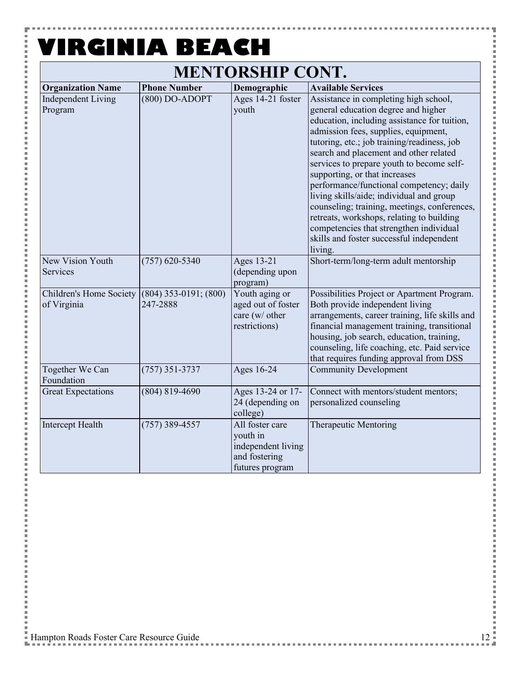#### **MENTORSHIP CONT. VIRGINIA BEACH**

F

**Contract** 

 $\frac{1}{2}$ 

i

j

 $\overline{a}$ 

i

i<br>I i i i i

i

| MENIURSHIP CUNI.                       |                                       |                                                                                       |                                                                                                                                                                                                                                                                                                                                                                                                                                                                                                                                                                                                                                    |  |
|----------------------------------------|---------------------------------------|---------------------------------------------------------------------------------------|------------------------------------------------------------------------------------------------------------------------------------------------------------------------------------------------------------------------------------------------------------------------------------------------------------------------------------------------------------------------------------------------------------------------------------------------------------------------------------------------------------------------------------------------------------------------------------------------------------------------------------|--|
| <b>Organization Name</b>               | <b>Phone Number</b>                   | Demographic                                                                           | <b>Available Services</b>                                                                                                                                                                                                                                                                                                                                                                                                                                                                                                                                                                                                          |  |
| <b>Independent Living</b><br>Program   | $(800)$ DO-ADOPT                      | Ages 14-21 foster<br>youth                                                            | Assistance in completing high school,<br>general education degree and higher<br>education, including assistance for tuition,<br>admission fees, supplies, equipment,<br>tutoring, etc.; job training/readiness, job<br>search and placement and other related<br>services to prepare youth to become self-<br>supporting, or that increases<br>performance/functional competency; daily<br>living skills/aide; individual and group<br>counseling; training, meetings, conferences,<br>retreats, workshops, relating to building<br>competencies that strengthen individual<br>skills and foster successful independent<br>living. |  |
| New Vision Youth<br>Services           | $(757)$ 620-5340                      | Ages 13-21<br>(depending upon<br>program)                                             | Short-term/long-term adult mentorship                                                                                                                                                                                                                                                                                                                                                                                                                                                                                                                                                                                              |  |
| Children's Home Society<br>of Virginia | $(804)$ 353-0191; $(800)$<br>247-2888 | Youth aging or<br>aged out of foster<br>care (w/ other<br>restrictions)               | Possibilities Project or Apartment Program.<br>Both provide independent living<br>arrangements, career training, life skills and<br>financial management training, transitional<br>housing, job search, education, training,<br>counseling, life coaching, etc. Paid service<br>that requires funding approval from DSS                                                                                                                                                                                                                                                                                                            |  |
| Together We Can<br>Foundation          | $(757)$ 351-3737                      | Ages 16-24                                                                            | <b>Community Development</b>                                                                                                                                                                                                                                                                                                                                                                                                                                                                                                                                                                                                       |  |
| <b>Great Expectations</b>              | $(804) 819 - 4690$                    | Ages 13-24 or 17-<br>24 (depending on<br>college)                                     | Connect with mentors/student mentors;<br>personalized counseling                                                                                                                                                                                                                                                                                                                                                                                                                                                                                                                                                                   |  |
| <b>Intercept Health</b>                | $(757)$ 389-4557                      | All foster care<br>youth in<br>independent living<br>and fostering<br>futures program | Therapeutic Mentoring                                                                                                                                                                                                                                                                                                                                                                                                                                                                                                                                                                                                              |  |

**Contract Contract** 

j I

j ĵ

l

j

i<br>I

医皮肤皮炎 医血管

i<br>I ×

j

i<br>I

i<br>I

l

i<br>I

l ×

医皮肤 医皮肤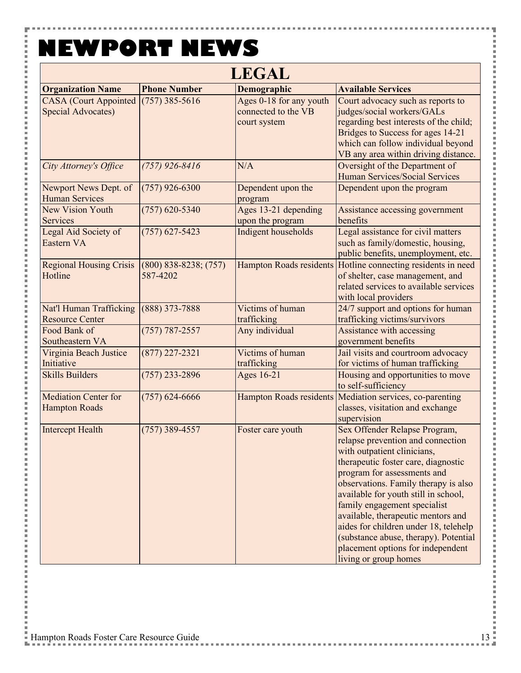Y

İ

Ē Ė

j.

j.

i

Ė

l

 $\overline{a}$ 

| <b>LEGAL</b>                                              |                                       |                                                                |                                                                                                                                                                                                                                                                                                                                                                                                                                                                               |
|-----------------------------------------------------------|---------------------------------------|----------------------------------------------------------------|-------------------------------------------------------------------------------------------------------------------------------------------------------------------------------------------------------------------------------------------------------------------------------------------------------------------------------------------------------------------------------------------------------------------------------------------------------------------------------|
| <b>Organization Name</b>                                  | <b>Phone Number</b>                   | Demographic                                                    | <b>Available Services</b>                                                                                                                                                                                                                                                                                                                                                                                                                                                     |
| <b>CASA</b> (Court Appointed<br><b>Special Advocates)</b> | $(757)$ 385-5616                      | Ages 0-18 for any youth<br>connected to the VB<br>court system | Court advocacy such as reports to<br>judges/social workers/GALs<br>regarding best interests of the child;<br>Bridges to Success for ages 14-21<br>which can follow individual beyond<br>VB any area within driving distance.                                                                                                                                                                                                                                                  |
| City Attorney's Office                                    | $(757)$ 926-8416                      | N/A                                                            | Oversight of the Department of<br>Human Services/Social Services                                                                                                                                                                                                                                                                                                                                                                                                              |
| Newport News Dept. of<br><b>Human Services</b>            | $(757)$ 926-6300                      | Dependent upon the<br>program                                  | Dependent upon the program                                                                                                                                                                                                                                                                                                                                                                                                                                                    |
| <b>New Vision Youth</b><br><b>Services</b>                | $(757)$ 620-5340                      | Ages 13-21 depending<br>upon the program                       | Assistance accessing government<br>benefits                                                                                                                                                                                                                                                                                                                                                                                                                                   |
| Legal Aid Society of<br>Eastern VA                        | $(757)$ 627-5423                      | Indigent households                                            | Legal assistance for civil matters<br>such as family/domestic, housing,<br>public benefits, unemployment, etc.                                                                                                                                                                                                                                                                                                                                                                |
| <b>Regional Housing Crisis</b><br>Hotline                 | $(800)$ 838-8238; $(757)$<br>587-4202 | <b>Hampton Roads residents</b>                                 | Hotline connecting residents in need<br>of shelter, case management, and<br>related services to available services<br>with local providers                                                                                                                                                                                                                                                                                                                                    |
| Nat'l Human Trafficking<br><b>Resource Center</b>         | (888) 373-7888                        | Victims of human<br>trafficking                                | 24/7 support and options for human<br>trafficking victims/survivors                                                                                                                                                                                                                                                                                                                                                                                                           |
| Food Bank of<br>Southeastern VA                           | $(757) 787 - 2557$                    | Any individual                                                 | Assistance with accessing<br>government benefits                                                                                                                                                                                                                                                                                                                                                                                                                              |
| Virginia Beach Justice<br>Initiative                      | $(877)$ 227-2321                      | Victims of human<br>trafficking                                | Jail visits and courtroom advocacy<br>for victims of human trafficking                                                                                                                                                                                                                                                                                                                                                                                                        |
| <b>Skills Builders</b>                                    | $(757)$ 233-2896                      | Ages 16-21                                                     | Housing and opportunities to move<br>to self-sufficiency                                                                                                                                                                                                                                                                                                                                                                                                                      |
| <b>Mediation Center for</b><br><b>Hampton Roads</b>       | $(757)$ 624-6666                      | <b>Hampton Roads residents</b>                                 | Mediation services, co-parenting<br>classes, visitation and exchange<br>supervision                                                                                                                                                                                                                                                                                                                                                                                           |
| <b>Intercept Health</b>                                   | $(757)$ 389-4557                      | Foster care youth                                              | Sex Offender Relapse Program,<br>relapse prevention and connection<br>with outpatient clinicians,<br>therapeutic foster care, diagnostic<br>program for assessments and<br>observations. Family therapy is also<br>available for youth still in school,<br>family engagement specialist<br>available, therapeutic mentors and<br>aides for children under 18, telehelp<br>(substance abuse, therapy). Potential<br>placement options for independent<br>living or group homes |

Ŧ

医皮肤炎 医皮肤病

l

Ì × ĵ

l

×

j

Ì ×

l ×

l

l

×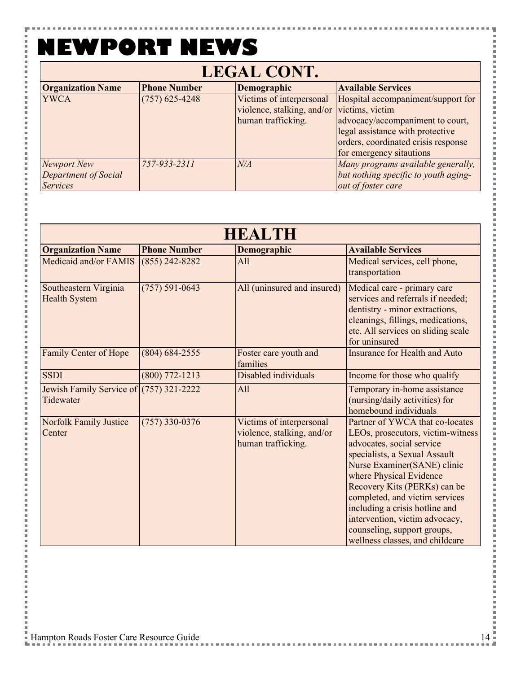#### **NEWPORT NEWS** $\mathbf{r}$

F

i.

こうしょう こうしょう

i

l Ė

i i Ė  $\overline{a}$ i

j. i Ė l

j. 

j.

l Ė

 $\overline{a}$ 

i j. 

l j. 

i Ė  $\overline{a}$ 

i j. i

Ė l j. j. l

i

| <b>LEGAL CONT.</b>       |                     |                            |                                      |
|--------------------------|---------------------|----------------------------|--------------------------------------|
| <b>Organization Name</b> | <b>Phone Number</b> | Demographic                | <b>Available Services</b>            |
| <b>YWCA</b>              | $(757)$ 625-4248    | Victims of interpersonal   | Hospital accompaniment/support for   |
|                          |                     | violence, stalking, and/or | victims, victim                      |
|                          |                     | human trafficking.         | advocacy/accompaniment to court,     |
|                          |                     |                            | legal assistance with protective     |
|                          |                     |                            | orders, coordinated crisis response  |
|                          |                     |                            | for emergency sitautions             |
| <b>Newport New</b>       | 757-933-2311        | N/A                        | Many programs available generally,   |
| Department of Social     |                     |                            | but nothing specific to youth aging- |
| <b>Services</b>          |                     |                            | out of foster care                   |

| HEALTH                                               |                     |                                                                              |                                                                                                                                                                                                                                                                                                                                                                                                      |
|------------------------------------------------------|---------------------|------------------------------------------------------------------------------|------------------------------------------------------------------------------------------------------------------------------------------------------------------------------------------------------------------------------------------------------------------------------------------------------------------------------------------------------------------------------------------------------|
| <b>Organization Name</b>                             | <b>Phone Number</b> | Demographic                                                                  | <b>Available Services</b>                                                                                                                                                                                                                                                                                                                                                                            |
| Medicaid and/or FAMIS                                | $(855)$ 242-8282    | All                                                                          | Medical services, cell phone,<br>transportation                                                                                                                                                                                                                                                                                                                                                      |
| Southeastern Virginia<br><b>Health System</b>        | $(757) 591 - 0643$  | All (uninsured and insured)                                                  | Medical care - primary care<br>services and referrals if needed;<br>dentistry - minor extractions,<br>cleanings, fillings, medications,<br>etc. All services on sliding scale<br>for uninsured                                                                                                                                                                                                       |
| Family Center of Hope                                | $(804) 684 - 2555$  | Foster care youth and<br>families                                            | <b>Insurance for Health and Auto</b>                                                                                                                                                                                                                                                                                                                                                                 |
| <b>SSDI</b>                                          | $(800)$ 772-1213    | Disabled individuals                                                         | Income for those who qualify                                                                                                                                                                                                                                                                                                                                                                         |
| Jewish Family Service of (757) 321-2222<br>Tidewater |                     | All                                                                          | Temporary in-home assistance<br>(nursing/daily activities) for<br>homebound individuals                                                                                                                                                                                                                                                                                                              |
| <b>Norfolk Family Justice</b><br>Center              | $(757)$ 330-0376    | Victims of interpersonal<br>violence, stalking, and/or<br>human trafficking. | Partner of YWCA that co-locates<br>LEOs, prosecutors, victim-witness<br>advocates, social service<br>specialists, a Sexual Assault<br>Nurse Examiner(SANE) clinic<br>where Physical Evidence<br>Recovery Kits (PERKs) can be<br>completed, and victim services<br>including a crisis hotline and<br>intervention, victim advocacy,<br>counseling, support groups,<br>wellness classes, and childcare |

医皮肤皮炎 医血管炎

医皮肤皮炎 医血管

l

**Contract** 

l

i<br>I

j

×

**Contract** 

医皮肤皮炎 医血管炎

医皮肤皮炎 医血管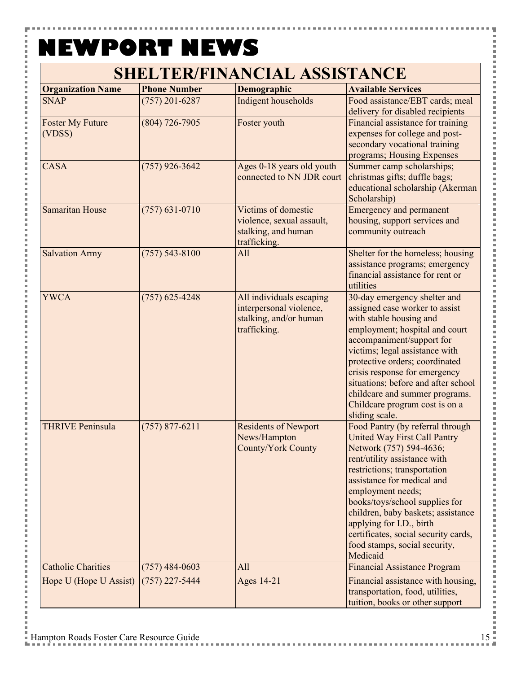| <b>Organization Name</b>          | <b>Phone Number</b> | Demographic                                                                                   | <b>Available Services</b>                                                                                                                                                                                                                                                                                                                                                                                      |
|-----------------------------------|---------------------|-----------------------------------------------------------------------------------------------|----------------------------------------------------------------------------------------------------------------------------------------------------------------------------------------------------------------------------------------------------------------------------------------------------------------------------------------------------------------------------------------------------------------|
| <b>SNAP</b>                       | $(757)$ 201-6287    | Indigent households                                                                           | Food assistance/EBT cards; meal<br>delivery for disabled recipients                                                                                                                                                                                                                                                                                                                                            |
| <b>Foster My Future</b><br>(VDSS) | $(804)$ 726-7905    | Foster youth                                                                                  | Financial assistance for training<br>expenses for college and post-<br>secondary vocational training<br>programs; Housing Expenses                                                                                                                                                                                                                                                                             |
| <b>CASA</b>                       | $(757)$ 926-3642    | Ages 0-18 years old youth<br>connected to NN JDR court                                        | Summer camp scholarships;<br>christmas gifts; duffle bags;<br>educational scholarship (Akerman<br>Scholarship)                                                                                                                                                                                                                                                                                                 |
| <b>Samaritan House</b>            | $(757) 631 - 0710$  | Victims of domestic<br>violence, sexual assault,<br>stalking, and human<br>trafficking.       | <b>Emergency and permanent</b><br>housing, support services and<br>community outreach                                                                                                                                                                                                                                                                                                                          |
| <b>Salvation Army</b>             | $(757) 543 - 8100$  | All                                                                                           | Shelter for the homeless; housing<br>assistance programs; emergency<br>financial assistance for rent or<br>utilities                                                                                                                                                                                                                                                                                           |
| <b>YWCA</b>                       | $(757)$ 625-4248    | All individuals escaping<br>interpersonal violence,<br>stalking, and/or human<br>trafficking. | 30-day emergency shelter and<br>assigned case worker to assist<br>with stable housing and<br>employment; hospital and court<br>accompaniment/support for<br>victims; legal assistance with<br>protective orders; coordinated<br>crisis response for emergency<br>situations; before and after school<br>childcare and summer programs.<br>Childcare program cost is on a<br>sliding scale.                     |
| <b>THRIVE Peninsula</b>           | $(757) 877 - 6211$  | <b>Residents of Newport</b><br>News/Hampton<br><b>County/York County</b>                      | Food Pantry (by referral through<br><b>United Way First Call Pantry</b><br>Network (757) 594-4636;<br>rent/utility assistance with<br>restrictions; transportation<br>assistance for medical and<br>employment needs;<br>books/toys/school supplies for<br>children, baby baskets; assistance<br>applying for I.D., birth<br>certificates, social security cards,<br>food stamps, social security,<br>Medicaid |
| <b>Catholic Charities</b>         | $(757)$ 484-0603    | All                                                                                           | <b>Financial Assistance Program</b>                                                                                                                                                                                                                                                                                                                                                                            |
| Hope U (Hope U Assist)            | $(757)$ 227-5444    | <b>Ages 14-21</b>                                                                             | Financial assistance with housing,<br>transportation, food, utilities,<br>tuition, books or other support                                                                                                                                                                                                                                                                                                      |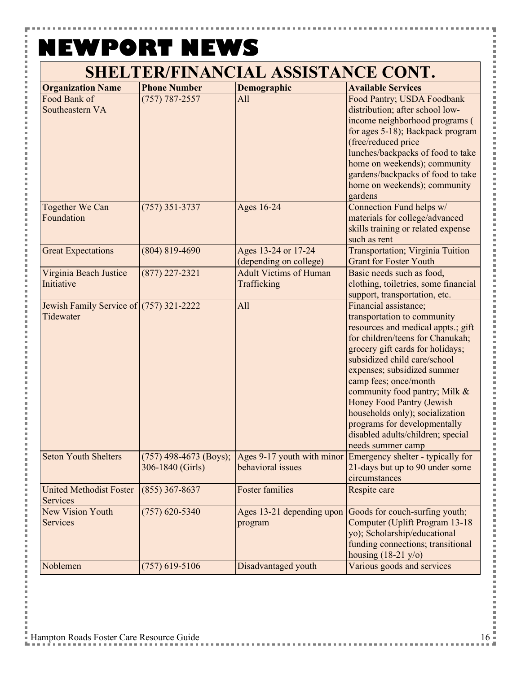| <b>Organization Name</b>                               | <b>Phone Number</b> | Demographic                                   | <b>Available Services</b>                                                                                                                                                                                                                                                                                                                                                                                                                                    |
|--------------------------------------------------------|---------------------|-----------------------------------------------|--------------------------------------------------------------------------------------------------------------------------------------------------------------------------------------------------------------------------------------------------------------------------------------------------------------------------------------------------------------------------------------------------------------------------------------------------------------|
| Food Bank of<br>Southeastern VA                        | $(757) 787 - 2557$  | All                                           | Food Pantry; USDA Foodbank<br>distribution; after school low-<br>income neighborhood programs (<br>for ages 5-18); Backpack program<br>(free/reduced price<br>lunches/backpacks of food to take<br>home on weekends); community<br>gardens/backpacks of food to take<br>home on weekends); community<br>gardens                                                                                                                                              |
| Together We Can<br>Foundation                          | $(757)$ 351-3737    | Ages 16-24                                    | Connection Fund helps w/<br>materials for college/advanced<br>skills training or related expense<br>such as rent                                                                                                                                                                                                                                                                                                                                             |
| <b>Great Expectations</b>                              | $(804) 819 - 4690$  | Ages 13-24 or 17-24<br>(depending on college) | <b>Transportation; Virginia Tuition</b><br><b>Grant for Foster Youth</b>                                                                                                                                                                                                                                                                                                                                                                                     |
| Virginia Beach Justice<br>Initiative                   | $(877)$ 227-2321    | <b>Adult Victims of Human</b><br>Trafficking  | Basic needs such as food,<br>clothing, toiletries, some financial<br>support, transportation, etc.                                                                                                                                                                                                                                                                                                                                                           |
| Jewish Family Service of $(757)$ 321-2222<br>Tidewater |                     | All                                           | Financial assistance;<br>transportation to community<br>resources and medical appts.; gift<br>for children/teens for Chanukah;<br>grocery gift cards for holidays;<br>subsidized child care/school<br>expenses; subsidized summer<br>camp fees; once/month<br>community food pantry; Milk &<br><b>Honey Food Pantry (Jewish</b><br>households only); socialization<br>programs for developmentally<br>disabled adults/children; special<br>needs summer camp |
| <b>Seton Youth Shelters</b>                            | 306-1840 (Girls)    | behavioral issues                             | $(757)$ 498-4673 (Boys); Ages 9-17 youth with minor Emergency shelter - typically for<br>21-days but up to 90 under some<br>circumstances                                                                                                                                                                                                                                                                                                                    |
| <b>United Methodist Foster</b><br><b>Services</b>      | $(855)$ 367-8637    | <b>Foster families</b>                        | Respite care                                                                                                                                                                                                                                                                                                                                                                                                                                                 |
| <b>New Vision Youth</b><br>Services                    | $(757)$ 620-5340    | Ages 13-21 depending upon<br>program          | Goods for couch-surfing youth;<br>Computer (Uplift Program 13-18<br>yo); Scholarship/educational<br>funding connections; transitional<br>housing $(18-21 \text{ y/o})$                                                                                                                                                                                                                                                                                       |
| Noblemen                                               | $(757)$ 619-5106    | Disadvantaged youth                           | Various goods and services                                                                                                                                                                                                                                                                                                                                                                                                                                   |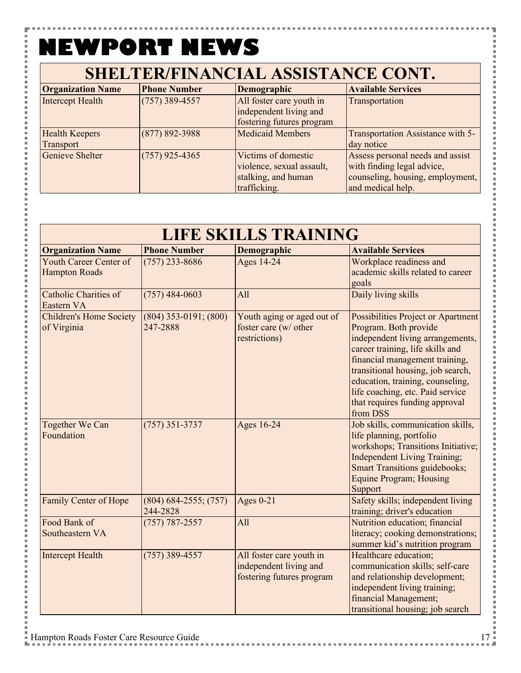Y

こうしょう こうしょう

l j. 

i

j.

 $\overline{a}$ 

l Ė

j.

 $\overline{a}$ 

l Ė

j.

j

l Ė

j.

| SHELTER/FINANCIAL ASSISTANCE CONT. |                     |                                                                                         |                                                                                                                         |
|------------------------------------|---------------------|-----------------------------------------------------------------------------------------|-------------------------------------------------------------------------------------------------------------------------|
| <b>Organization Name</b>           | <b>Phone Number</b> | Demographic                                                                             | <b>Available Services</b>                                                                                               |
| Intercept Health                   | $(757)$ 389-4557    | All foster care youth in<br>independent living and<br>fostering futures program         | Transportation                                                                                                          |
| <b>Health Keepers</b><br>Transport | $(877) 892 - 3988$  | <b>Medicaid Members</b>                                                                 | Transportation Assistance with 5-<br>day notice                                                                         |
| <b>Genieve Shelter</b>             | $(757)$ 925-4365    | Victims of domestic<br>violence, sexual assault,<br>stalking, and human<br>trafficking. | Assess personal needs and assist<br>with finding legal advice,<br>counseling, housing, employment,<br>and medical help. |

| <b>LIFE SKILLS TRAINING</b>                    |                                       |                                                                                 |                                                                                                                                                                                                                                                                                                                                  |
|------------------------------------------------|---------------------------------------|---------------------------------------------------------------------------------|----------------------------------------------------------------------------------------------------------------------------------------------------------------------------------------------------------------------------------------------------------------------------------------------------------------------------------|
| <b>Organization Name</b>                       | <b>Phone Number</b>                   | Demographic                                                                     | <b>Available Services</b>                                                                                                                                                                                                                                                                                                        |
| Youth Career Center of<br><b>Hampton Roads</b> | $(757)$ 233-8686                      | <b>Ages 14-24</b>                                                               | Workplace readiness and<br>academic skills related to career<br>goals                                                                                                                                                                                                                                                            |
| Catholic Charities of<br>Eastern VA            | $(757)$ 484-0603                      | All                                                                             | Daily living skills                                                                                                                                                                                                                                                                                                              |
| <b>Children's Home Society</b><br>of Virginia  | $(804)$ 353-0191; $(800)$<br>247-2888 | Youth aging or aged out of<br>foster care (w/ other<br>restrictions)            | Possibilities Project or Apartment<br>Program. Both provide<br>independent living arrangements,<br>career training, life skills and<br>financial management training,<br>transitional housing, job search,<br>education, training, counseling,<br>life coaching, etc. Paid service<br>that requires funding approval<br>from DSS |
| <b>Together We Can</b><br>Foundation           | $(757)$ 351-3737                      | Ages 16-24                                                                      | Job skills, communication skills,<br>life planning, portfolio<br>workshops; Transitions Initiative;<br><b>Independent Living Training;</b><br><b>Smart Transitions guidebooks;</b><br><b>Equine Program; Housing</b><br>Support                                                                                                  |
| Family Center of Hope                          | $(804)$ 684-2555; (757)<br>244-2828   | Ages $0-21$                                                                     | Safety skills; independent living<br>training; driver's education                                                                                                                                                                                                                                                                |
| Food Bank of<br>Southeastern VA                | $(757) 787 - 2557$                    | All                                                                             | Nutrition education; financial<br>literacy; cooking demonstrations;<br>summer kid's nutrition program                                                                                                                                                                                                                            |
| <b>Intercept Health</b>                        | $(757)$ 389-4557                      | All foster care youth in<br>independent living and<br>fostering futures program | Healthcare education;<br>communication skills; self-care<br>and relationship development;<br>independent living training;<br>financial Management;<br>transitional housing; job search                                                                                                                                           |

医皮肤皮炎 医心脏

l

**Contract**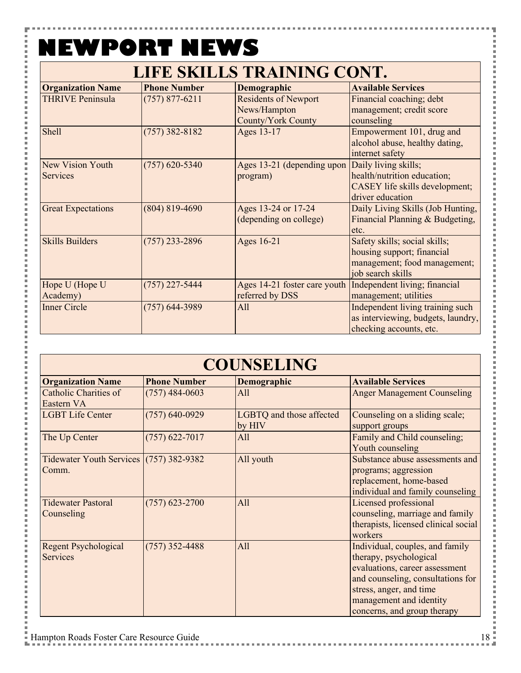۵

### **LIFE SKILLS TRAINING CONT.**

| <b>Organization Name</b>            | <b>Phone Number</b> | Demographic                                                       | <b>Available Services</b>                                                                                        |
|-------------------------------------|---------------------|-------------------------------------------------------------------|------------------------------------------------------------------------------------------------------------------|
| <b>THRIVE Peninsula</b>             | $(757) 877 - 6211$  | <b>Residents of Newport</b><br>News/Hampton<br>County/York County | Financial coaching; debt<br>management; credit score<br>counseling                                               |
| Shell                               | $(757)$ 382-8182    | Ages 13-17                                                        | Empowerment 101, drug and<br>alcohol abuse, healthy dating,<br>internet safety                                   |
| New Vision Youth<br><b>Services</b> | $(757)$ 620-5340    | Ages 13-21 (depending upon<br>program)                            | Daily living skills;<br>health/nutrition education;<br>CASEY life skills development;<br>driver education        |
| <b>Great Expectations</b>           | $(804) 819 - 4690$  | Ages 13-24 or 17-24<br>(depending on college)                     | Daily Living Skills (Job Hunting,<br>Financial Planning & Budgeting,<br>etc.                                     |
| <b>Skills Builders</b>              | $(757)$ 233-2896    | Ages 16-21                                                        | Safety skills; social skills;<br>housing support; financial<br>management; food management;<br>job search skills |
| Hope U (Hope U<br>Academy)          | $(757)$ 227-5444    | Ages 14-21 foster care youth<br>referred by DSS                   | Independent living; financial<br>management; utilities                                                           |
| <b>Inner Circle</b>                 | $(757)$ 644-3989    | All                                                               | Independent living training such<br>as interviewing, budgets, laundry,<br>checking accounts, etc.                |

| <b>COUNSELING</b>                                |                     |                                    |                                                                                                                                                                                                                       |
|--------------------------------------------------|---------------------|------------------------------------|-----------------------------------------------------------------------------------------------------------------------------------------------------------------------------------------------------------------------|
| <b>Organization Name</b>                         | <b>Phone Number</b> | Demographic                        | <b>Available Services</b>                                                                                                                                                                                             |
| Catholic Charities of<br>Eastern VA              | $(757)$ 484-0603    | All                                | <b>Anger Management Counseling</b>                                                                                                                                                                                    |
| <b>LGBT Life Center</b>                          | $(757)$ 640-0929    | LGBTQ and those affected<br>by HIV | Counseling on a sliding scale;<br>support groups                                                                                                                                                                      |
| The Up Center                                    | $(757)$ 622-7017    | All                                | Family and Child counseling;<br>Youth counseling                                                                                                                                                                      |
| Tidewater Youth Services (757) 382-9382<br>Comm. |                     | All youth                          | Substance abuse assessments and<br>programs; aggression<br>replacement, home-based<br>individual and family counseling                                                                                                |
| <b>Tidewater Pastoral</b><br>Counseling          | $(757)$ 623-2700    | All                                | Licensed professional<br>counseling, marriage and family<br>therapists, licensed clinical social<br>workers                                                                                                           |
| <b>Regent Psychological</b><br><b>Services</b>   | $(757)$ 352-4488    | All                                | Individual, couples, and family<br>therapy, psychological<br>evaluations, career assessment<br>and counseling, consultations for<br>stress, anger, and time<br>management and identity<br>concerns, and group therapy |

l l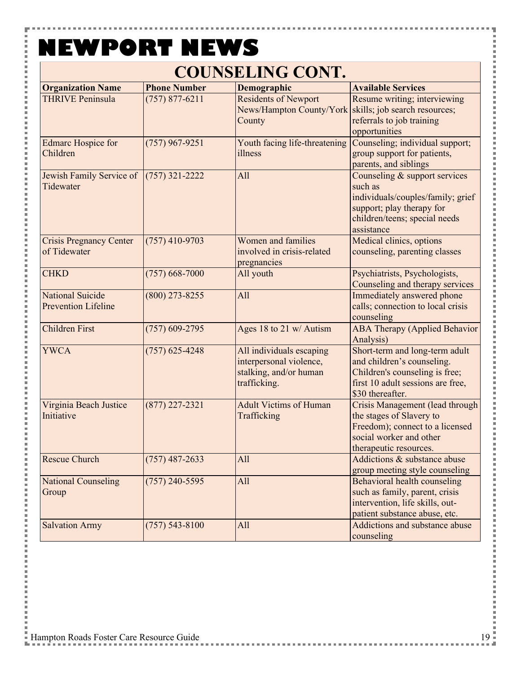۵

### **COUNSELING CONT.**

| <b>Organization Name</b>                              | <b>Phone Number</b> | Demographic                                                                                   | <b>Available Services</b>                                                                                                                                 |
|-------------------------------------------------------|---------------------|-----------------------------------------------------------------------------------------------|-----------------------------------------------------------------------------------------------------------------------------------------------------------|
| <b>THRIVE Peninsula</b>                               | $(757) 877 - 6211$  | <b>Residents of Newport</b><br>News/Hampton County/York<br>County                             | Resume writing; interviewing<br>skills; job search resources;<br>referrals to job training<br>opportunities                                               |
| <b>Edmarc Hospice for</b><br>Children                 | $(757)$ 967-9251    | Youth facing life-threatening<br>illness                                                      | Counseling; individual support;<br>group support for patients,<br>parents, and siblings                                                                   |
| Jewish Family Service of<br>Tidewater                 | $(757)$ 321-2222    | All                                                                                           | Counseling & support services<br>such as<br>individuals/couples/family; grief<br>support; play therapy for<br>children/teens; special needs<br>assistance |
| <b>Crisis Pregnancy Center</b><br>of Tidewater        | $(757)$ 410-9703    | Women and families<br>involved in crisis-related<br>pregnancies                               | Medical clinics, options<br>counseling, parenting classes                                                                                                 |
| <b>CHKD</b>                                           | $(757) 668 - 7000$  | All youth                                                                                     | Psychiatrists, Psychologists,<br>Counseling and therapy services                                                                                          |
| <b>National Suicide</b><br><b>Prevention Lifeline</b> | $(800)$ 273-8255    | All                                                                                           | Immediately answered phone<br>calls; connection to local crisis<br>counseling                                                                             |
| <b>Children First</b>                                 | $(757)$ 609-2795    | Ages 18 to 21 w/ Autism                                                                       | <b>ABA Therapy (Applied Behavior</b><br>Analysis)                                                                                                         |
| <b>YWCA</b>                                           | $(757)$ 625-4248    | All individuals escaping<br>interpersonal violence,<br>stalking, and/or human<br>trafficking. | Short-term and long-term adult<br>and children's counseling.<br>Children's counseling is free;<br>first 10 adult sessions are free,<br>\$30 thereafter.   |
| Virginia Beach Justice<br>Initiative                  | $(877)$ 227-2321    | <b>Adult Victims of Human</b><br>Trafficking                                                  | Crisis Management (lead through<br>the stages of Slavery to<br>Freedom); connect to a licensed<br>social worker and other<br>therapeutic resources.       |
| <b>Rescue Church</b>                                  | $(757)$ 487-2633    | All                                                                                           | Addictions & substance abuse<br>group meeting style counseling                                                                                            |
| <b>National Counseling</b><br>Group                   | $(757)$ 240-5595    | All                                                                                           | Behavioral health counseling<br>such as family, parent, crisis<br>intervention, life skills, out-<br>patient substance abuse, etc.                        |
| <b>Salvation Army</b>                                 | $(757) 543 - 8100$  | All                                                                                           | Addictions and substance abuse<br>counseling                                                                                                              |

j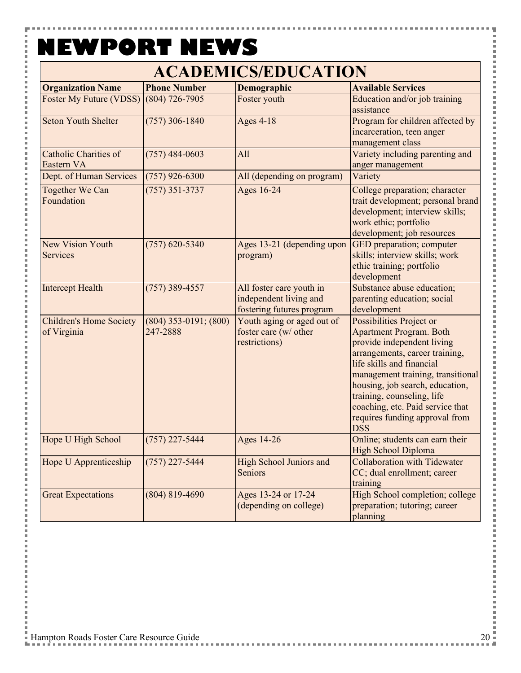H

 $\overline{a}$ 

### **ACADEMICS/EDUCATION**

| <b>Organization Name</b>                      | <b>Phone Number</b>                   | Demographic                                                                     | <b>Available Services</b>                                                                                                                                                                                                                                                                                                                         |
|-----------------------------------------------|---------------------------------------|---------------------------------------------------------------------------------|---------------------------------------------------------------------------------------------------------------------------------------------------------------------------------------------------------------------------------------------------------------------------------------------------------------------------------------------------|
| Foster My Future (VDSS)                       | $(804)$ 726-7905                      | Foster youth                                                                    | Education and/or job training<br>assistance                                                                                                                                                                                                                                                                                                       |
| <b>Seton Youth Shelter</b>                    | $(757)$ 306-1840                      | <b>Ages 4-18</b>                                                                | Program for children affected by<br>incarceration, teen anger<br>management class                                                                                                                                                                                                                                                                 |
| <b>Catholic Charities of</b><br>Eastern VA    | $(757)$ 484-0603                      | All                                                                             | Variety including parenting and<br>anger management                                                                                                                                                                                                                                                                                               |
| Dept. of Human Services                       | $(757)$ 926-6300                      | All (depending on program)                                                      | Variety                                                                                                                                                                                                                                                                                                                                           |
| <b>Together We Can</b><br>Foundation          | $(757)$ 351-3737                      | Ages 16-24                                                                      | College preparation; character<br>trait development; personal brand<br>development; interview skills;<br>work ethic; portfolio<br>development; job resources                                                                                                                                                                                      |
| <b>New Vision Youth</b><br><b>Services</b>    | $(757)$ 620-5340                      | Ages 13-21 (depending upon<br>program)                                          | GED preparation; computer<br>skills; interview skills; work<br>ethic training; portfolio<br>development                                                                                                                                                                                                                                           |
| <b>Intercept Health</b>                       | $(757)$ 389-4557                      | All foster care youth in<br>independent living and<br>fostering futures program | Substance abuse education;<br>parenting education; social<br>development                                                                                                                                                                                                                                                                          |
| <b>Children's Home Society</b><br>of Virginia | $(804)$ 353-0191; $(800)$<br>247-2888 | Youth aging or aged out of<br>foster care (w/ other<br>restrictions)            | Possibilities Project or<br><b>Apartment Program. Both</b><br>provide independent living<br>arrangements, career training,<br>life skills and financial<br>management training, transitional<br>housing, job search, education,<br>training, counseling, life<br>coaching, etc. Paid service that<br>requires funding approval from<br><b>DSS</b> |
| Hope U High School                            | $(757)$ 227-5444                      | Ages 14-26                                                                      | Online; students can earn their<br>High School Diploma                                                                                                                                                                                                                                                                                            |
| Hope U Apprenticeship                         | $(757)$ 227-5444                      | <b>High School Juniors and</b><br>Seniors                                       | <b>Collaboration with Tidewater</b><br>CC; dual enrollment; career<br>training                                                                                                                                                                                                                                                                    |
| <b>Great Expectations</b>                     | $(804) 819 - 4690$                    | Ages 13-24 or 17-24<br>(depending on college)                                   | High School completion; college<br>preparation; tutoring; career<br>planning                                                                                                                                                                                                                                                                      |

l l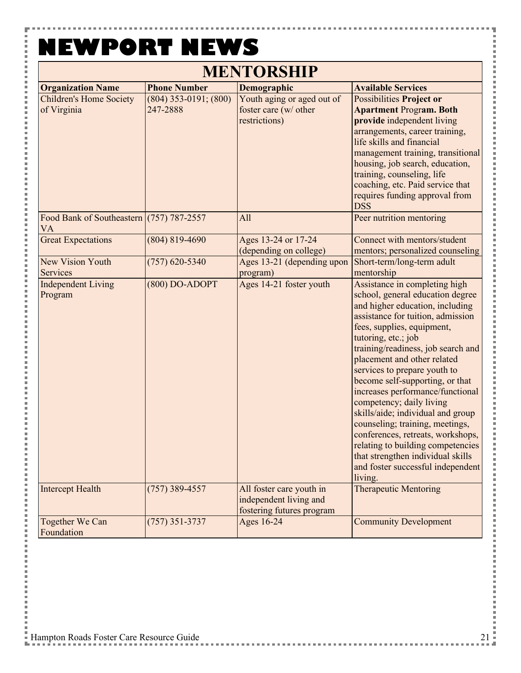Y

j.

j.

j

| <b>MENTORSHIP</b>                                     |                                       |                                                                                 |                                                                                                                                                                                                                                                                                                                                                                                                                                                                                                                                                                                                                                               |
|-------------------------------------------------------|---------------------------------------|---------------------------------------------------------------------------------|-----------------------------------------------------------------------------------------------------------------------------------------------------------------------------------------------------------------------------------------------------------------------------------------------------------------------------------------------------------------------------------------------------------------------------------------------------------------------------------------------------------------------------------------------------------------------------------------------------------------------------------------------|
| <b>Organization Name</b>                              | <b>Phone Number</b>                   | Demographic                                                                     | <b>Available Services</b>                                                                                                                                                                                                                                                                                                                                                                                                                                                                                                                                                                                                                     |
| <b>Children's Home Society</b><br>of Virginia         | $(804)$ 353-0191; $(800)$<br>247-2888 | Youth aging or aged out of<br>foster care (w/ other<br>restrictions)            | <b>Possibilities Project or</b><br><b>Apartment Program. Both</b><br>provide independent living<br>arrangements, career training,<br>life skills and financial<br>management training, transitional<br>housing, job search, education,<br>training, counseling, life<br>coaching, etc. Paid service that<br>requires funding approval from<br><b>DSS</b>                                                                                                                                                                                                                                                                                      |
| Food Bank of Southeastern (757) 787-2557<br><b>VA</b> |                                       | All                                                                             | Peer nutrition mentoring                                                                                                                                                                                                                                                                                                                                                                                                                                                                                                                                                                                                                      |
| <b>Great Expectations</b>                             | $(804) 819 - 4690$                    | Ages 13-24 or 17-24<br>(depending on college)                                   | Connect with mentors/student<br>mentors; personalized counseling                                                                                                                                                                                                                                                                                                                                                                                                                                                                                                                                                                              |
| <b>New Vision Youth</b><br>Services                   | $(757)$ 620-5340                      | Ages 13-21 (depending upon<br>program)                                          | Short-term/long-term adult<br>mentorship                                                                                                                                                                                                                                                                                                                                                                                                                                                                                                                                                                                                      |
| <b>Independent Living</b><br>Program                  | $(800)$ DO-ADOPT                      | Ages 14-21 foster youth                                                         | Assistance in completing high<br>school, general education degree<br>and higher education, including<br>assistance for tuition, admission<br>fees, supplies, equipment,<br>tutoring, etc.; job<br>training/readiness, job search and<br>placement and other related<br>services to prepare youth to<br>become self-supporting, or that<br>increases performance/functional<br>competency; daily living<br>skills/aide; individual and group<br>counseling; training, meetings,<br>conferences, retreats, workshops,<br>relating to building competencies<br>that strengthen individual skills<br>and foster successful independent<br>living. |
| <b>Intercept Health</b>                               | $(757)$ 389-4557                      | All foster care youth in<br>independent living and<br>fostering futures program | <b>Therapeutic Mentoring</b>                                                                                                                                                                                                                                                                                                                                                                                                                                                                                                                                                                                                                  |
| Together We Can<br>Foundation                         | $(757)$ 351-3737                      | Ages 16-24                                                                      | <b>Community Development</b>                                                                                                                                                                                                                                                                                                                                                                                                                                                                                                                                                                                                                  |

i<br>I

j

l

ĵ

l

j

j

l

l

j

l

l

i<br>I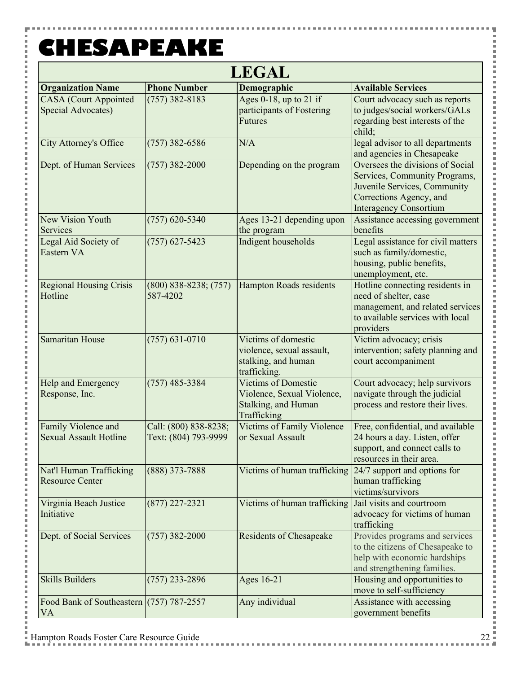Y

i<br>I

j. Ė l Ė i Ė

l Ė l p Ė i i Ė  $\overline{a}$ i j. i Ė l j. j. i j. l Ė i j. l j. i Ė l j. 

i Ė i i j. j. l Ė l j. Ė i Ė

i

**ALC: YES** 

| <b>LEGAL</b>                                            |                                               |                                                                                                |                                                                                                                                                               |
|---------------------------------------------------------|-----------------------------------------------|------------------------------------------------------------------------------------------------|---------------------------------------------------------------------------------------------------------------------------------------------------------------|
| <b>Organization Name</b>                                | <b>Phone Number</b>                           | Demographic                                                                                    | <b>Available Services</b>                                                                                                                                     |
| <b>CASA</b> (Court Appointed<br>Special Advocates)      | $(757)$ 382-8183                              | Ages 0-18, up to 21 if<br>participants of Fostering<br><b>Futures</b>                          | Court advocacy such as reports<br>to judges/social workers/GALs<br>regarding best interests of the<br>child:                                                  |
| <b>City Attorney's Office</b>                           | $(757)$ 382-6586                              | N/A                                                                                            | legal advisor to all departments<br>and agencies in Chesapeake                                                                                                |
| Dept. of Human Services                                 | $(757)$ 382-2000                              | Depending on the program                                                                       | Oversees the divisions of Social<br>Services, Community Programs,<br>Juvenile Services, Community<br>Corrections Agency, and<br><b>Interagency Consortium</b> |
| <b>New Vision Youth</b><br>Services                     | $(757)$ 620-5340                              | Ages 13-21 depending upon<br>the program                                                       | Assistance accessing government<br>benefits                                                                                                                   |
| Legal Aid Society of<br>Eastern VA                      | $(757)$ 627-5423                              | Indigent households                                                                            | Legal assistance for civil matters<br>such as family/domestic,<br>housing, public benefits,<br>unemployment, etc.                                             |
| <b>Regional Housing Crisis</b><br>Hotline               | $(800)$ 838-8238; $(757)$<br>587-4202         | <b>Hampton Roads residents</b>                                                                 | Hotline connecting residents in<br>need of shelter, case<br>management, and related services<br>to available services with local<br>providers                 |
| Samaritan House                                         | $(757) 631 - 0710$                            | Victims of domestic<br>violence, sexual assault,<br>stalking, and human<br>trafficking.        | Victim advocacy; crisis<br>intervention; safety planning and<br>court accompaniment                                                                           |
| Help and Emergency<br>Response, Inc.                    | $(757)$ 485-3384                              | <b>Victims of Domestic</b><br>Violence, Sexual Violence,<br>Stalking, and Human<br>Trafficking | Court advocacy; help survivors<br>navigate through the judicial<br>process and restore their lives.                                                           |
| Family Violence and<br><b>Sexual Assault Hotline</b>    | Call: (800) 838-8238;<br>Text: (804) 793-9999 | Victims of Family Violence<br>or Sexual Assault                                                | Free, confidential, and available<br>24 hours a day. Listen, offer<br>support, and connect calls to<br>resources in their area.                               |
| Nat'l Human Trafficking<br><b>Resource Center</b>       | $(888)$ 373-7888                              | Victims of human trafficking $\left  \frac{24}{7} \right $ support and options for             | human trafficking<br>victims/survivors                                                                                                                        |
| Virginia Beach Justice<br>Initiative                    | $(877)$ 227-2321                              | Victims of human trafficking Jail visits and courtroom                                         | advocacy for victims of human<br>trafficking                                                                                                                  |
| Dept. of Social Services                                | $(757)$ 382-2000                              | <b>Residents of Chesapeake</b>                                                                 | Provides programs and services<br>to the citizens of Chesapeake to<br>help with economic hardships<br>and strengthening families.                             |
| <b>Skills Builders</b>                                  | $(757)$ 233-2896                              | Ages 16-21                                                                                     | Housing and opportunities to<br>move to self-sufficiency                                                                                                      |
| Food Bank of Southeastern $(757)$ 787-2557<br><b>VA</b> |                                               | Any individual                                                                                 | Assistance with accessing<br>government benefits                                                                                                              |

ŧ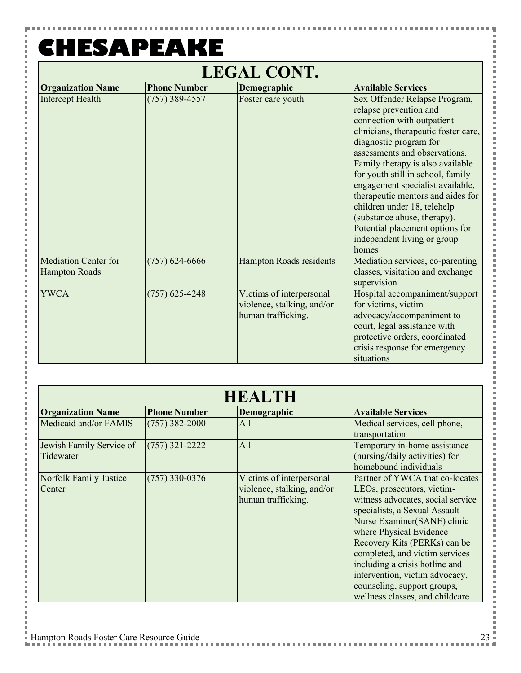Y

 $\frac{1}{2}$ 

こうしょう こうしょう

 $\overline{a}$ Ė i

l Ė

i i

Ė

 $\overline{a}$ 

i j. i

Ė l j. Ė

i Ė

l Ė  $\overline{a}$ 

Ė

l j. i Ė l j. j.

i i

Ė i

j.

l j. j.

l Ė l j. Ė

i Ė

 $\overline{a}$ 

| <b>LEGAL CONT.</b>                                  |                     |                                                                              |                                                                                                                                                                                                                                                                                                                                                                                                                                                                                            |
|-----------------------------------------------------|---------------------|------------------------------------------------------------------------------|--------------------------------------------------------------------------------------------------------------------------------------------------------------------------------------------------------------------------------------------------------------------------------------------------------------------------------------------------------------------------------------------------------------------------------------------------------------------------------------------|
| <b>Organization Name</b>                            | <b>Phone Number</b> | Demographic                                                                  | <b>Available Services</b>                                                                                                                                                                                                                                                                                                                                                                                                                                                                  |
| <b>Intercept Health</b>                             | $(757)$ 389-4557    | Foster care youth                                                            | Sex Offender Relapse Program,<br>relapse prevention and<br>connection with outpatient<br>clinicians, therapeutic foster care,<br>diagnostic program for<br>assessments and observations.<br>Family therapy is also available<br>for youth still in school, family<br>engagement specialist available,<br>therapeutic mentors and aides for<br>children under 18, telehelp<br>(substance abuse, therapy).<br>Potential placement options for<br>independent living or group<br><b>homes</b> |
| <b>Mediation Center for</b><br><b>Hampton Roads</b> | $(757)$ 624-6666    | <b>Hampton Roads residents</b>                                               | Mediation services, co-parenting<br>classes, visitation and exchange<br>supervision                                                                                                                                                                                                                                                                                                                                                                                                        |
| <b>YWCA</b>                                         | $(757)$ 625-4248    | Victims of interpersonal<br>violence, stalking, and/or<br>human trafficking. | Hospital accompaniment/support<br>for victims, victim<br>advocacy/accompaniment to<br>court, legal assistance with<br>protective orders, coordinated<br>crisis response for emergency<br>situations                                                                                                                                                                                                                                                                                        |

| <b>HEALTH</b>                         |                     |                                                                              |                                                                                                                                                                                                                                                                                                                                                                                                       |
|---------------------------------------|---------------------|------------------------------------------------------------------------------|-------------------------------------------------------------------------------------------------------------------------------------------------------------------------------------------------------------------------------------------------------------------------------------------------------------------------------------------------------------------------------------------------------|
| <b>Organization Name</b>              | <b>Phone Number</b> | Demographic                                                                  | <b>Available Services</b>                                                                                                                                                                                                                                                                                                                                                                             |
| Medicaid and/or FAMIS                 | $(757)$ 382-2000    | All                                                                          | Medical services, cell phone,<br>transportation                                                                                                                                                                                                                                                                                                                                                       |
| Jewish Family Service of<br>Tidewater | $(757)$ 321-2222    | All                                                                          | Temporary in-home assistance<br>(nursing/daily activities) for<br>homebound individuals                                                                                                                                                                                                                                                                                                               |
| Norfolk Family Justice<br>Center      | $(757)$ 330-0376    | Victims of interpersonal<br>violence, stalking, and/or<br>human trafficking. | Partner of YWCA that co-locates<br>LEOs, prosecutors, victim-<br>witness advocates, social service<br>specialists, a Sexual Assault<br>Nurse Examiner(SANE) clinic<br>where Physical Evidence<br>Recovery Kits (PERKs) can be<br>completed, and victim services<br>including a crisis hotline and<br>intervention, victim advocacy,<br>counseling, support groups,<br>wellness classes, and childcare |

Ŧ

. . . . . . . . . . .

× ĵ × l

l

i<br>I

l

×

医皮肤皮炎 医血管

医皮肤皮炎 医血管

i<br>I

i<br>I

i<br>I

ĵ

i<br>I

l

I

i<br>I

医皮肤皮炎 医血管

i<br>I

i<br>I

**Contract** 

in the control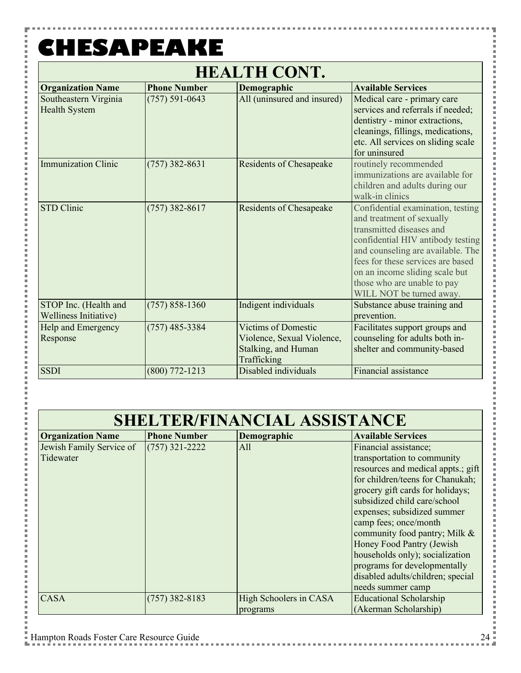Y

 $\frac{1}{2}$ 

i

Ē Ė

i j.

l Ė

 $\overline{a}$ 

j. l j. i

Ė l

j. Ė

i Ė

l Ė

 $\overline{a}$ 

Ė l j. i

Ė l j. j. i

i

Ė  $\overline{a}$ j.

l j.

j.

l Ė l j. Ė

i Ė

j.

 $\overline{a}$ 

| <b>HEALTH CONT.</b>                                   |                     |                                                                                                |                                                                                                                                                                                                                                                                                                        |  |
|-------------------------------------------------------|---------------------|------------------------------------------------------------------------------------------------|--------------------------------------------------------------------------------------------------------------------------------------------------------------------------------------------------------------------------------------------------------------------------------------------------------|--|
| <b>Organization Name</b>                              | <b>Phone Number</b> | Demographic                                                                                    | <b>Available Services</b>                                                                                                                                                                                                                                                                              |  |
| Southeastern Virginia<br><b>Health System</b>         | $(757) 591 - 0643$  | All (uninsured and insured)                                                                    | Medical care - primary care<br>services and referrals if needed;<br>dentistry - minor extractions,<br>cleanings, fillings, medications,<br>etc. All services on sliding scale<br>for uninsured                                                                                                         |  |
| <b>Immunization Clinic</b>                            | $(757)$ 382-8631    | <b>Residents of Chesapeake</b>                                                                 | routinely recommended<br>immunizations are available for<br>children and adults during our<br>walk-in clinics                                                                                                                                                                                          |  |
| STD Clinic                                            | $(757)$ 382-8617    | <b>Residents of Chesapeake</b>                                                                 | Confidential examination, testing<br>and treatment of sexually<br>transmitted diseases and<br>confidential HIV antibody testing<br>and counseling are available. The<br>fees for these services are based<br>on an income sliding scale but<br>those who are unable to pay<br>WILL NOT be turned away. |  |
| STOP Inc. (Health and<br><b>Welliness Initiative)</b> | $(757) 858 - 1360$  | Indigent individuals                                                                           | Substance abuse training and<br>prevention.                                                                                                                                                                                                                                                            |  |
| Help and Emergency<br>Response                        | $(757)$ 485-3384    | <b>Victims of Domestic</b><br>Violence, Sexual Violence,<br>Stalking, and Human<br>Trafficking | Facilitates support groups and<br>counseling for adults both in-<br>shelter and community-based                                                                                                                                                                                                        |  |
| <b>SSDI</b>                                           | $(800)$ 772-1213    | Disabled individuals                                                                           | Financial assistance                                                                                                                                                                                                                                                                                   |  |

| <b>SHELTER/FINANCIAL ASSISTANCE</b>   |                     |                                    |                                                                                                                                                                                                                                                                                                                                                                                                                                                       |
|---------------------------------------|---------------------|------------------------------------|-------------------------------------------------------------------------------------------------------------------------------------------------------------------------------------------------------------------------------------------------------------------------------------------------------------------------------------------------------------------------------------------------------------------------------------------------------|
| <b>Organization Name</b>              | <b>Phone Number</b> | Demographic                        | <b>Available Services</b>                                                                                                                                                                                                                                                                                                                                                                                                                             |
| Jewish Family Service of<br>Tidewater | $(757)$ 321-2222    | All                                | Financial assistance;<br>transportation to community<br>resources and medical appts.; gift<br>for children/teens for Chanukah;<br>grocery gift cards for holidays;<br>subsidized child care/school<br>expenses; subsidized summer<br>camp fees; once/month<br>community food pantry; Milk &<br>Honey Food Pantry (Jewish<br>households only); socialization<br>programs for developmentally<br>disabled adults/children; special<br>needs summer camp |
| <b>CASA</b>                           | $(757)$ 382-8183    | High Schoolers in CASA<br>programs | <b>Educational Scholarship</b><br>(Akerman Scholarship)                                                                                                                                                                                                                                                                                                                                                                                               |

Ŧ

. . . . . . . . . . . . . .

i<br>I

l

i<br>I

l

×

医皮肤皮炎 医血管

i<br>I

l

i<br>I

l

×

医皮肤皮炎 医血管

j

×

医皮肤皮炎 医血管

I

×

医皮肤皮炎 医血管

i<br>I

i<br>I

**Contract** 

i<br>I ×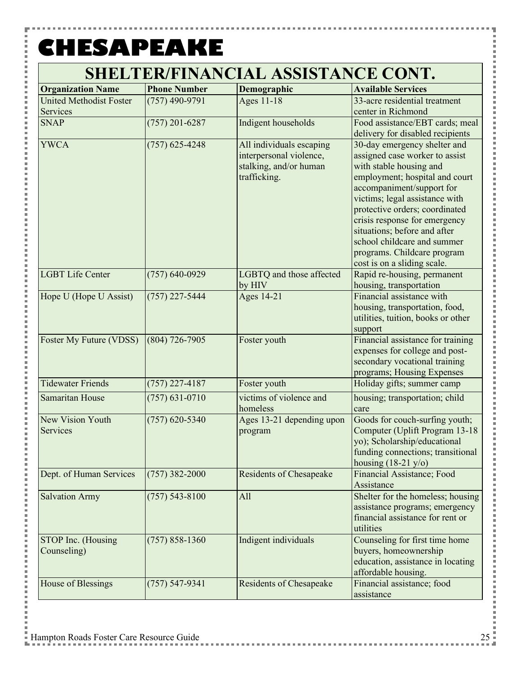۳

こうしょう こうしょう

| <b>Organization Name</b>       | <b>Phone Number</b> | Demographic                    | <b>Available Services</b>                                          |
|--------------------------------|---------------------|--------------------------------|--------------------------------------------------------------------|
| <b>United Methodist Foster</b> | $(757)$ 490-9791    | Ages 11-18                     | 33-acre residential treatment                                      |
| Services                       |                     |                                | center in Richmond                                                 |
| <b>SNAP</b>                    | $(757)$ 201-6287    | Indigent households            | Food assistance/EBT cards; meal                                    |
|                                |                     |                                | delivery for disabled recipients                                   |
| <b>YWCA</b>                    | $(757)$ 625-4248    | All individuals escaping       | 30-day emergency shelter and                                       |
|                                |                     | interpersonal violence,        | assigned case worker to assist                                     |
|                                |                     | stalking, and/or human         | with stable housing and                                            |
|                                |                     | trafficking.                   | employment; hospital and court<br>accompaniment/support for        |
|                                |                     |                                | victims; legal assistance with                                     |
|                                |                     |                                | protective orders; coordinated                                     |
|                                |                     |                                | crisis response for emergency                                      |
|                                |                     |                                | situations; before and after                                       |
|                                |                     |                                | school childcare and summer                                        |
|                                |                     |                                | programs. Childcare program                                        |
|                                |                     |                                | cost is on a sliding scale.                                        |
| <b>LGBT Life Center</b>        | $(757) 640 - 0929$  | LGBTQ and those affected       | Rapid re-housing, permanent                                        |
|                                |                     | by HIV                         | housing, transportation                                            |
| Hope U (Hope U Assist)         | $(757)$ 227-5444    | Ages 14-21                     | Financial assistance with                                          |
|                                |                     |                                | housing, transportation, food,                                     |
|                                |                     |                                | utilities, tuition, books or other                                 |
| <b>Foster My Future (VDSS)</b> | $(804)$ 726-7905    | Foster youth                   | support<br>Financial assistance for training                       |
|                                |                     |                                | expenses for college and post-                                     |
|                                |                     |                                | secondary vocational training                                      |
|                                |                     |                                | programs; Housing Expenses                                         |
| <b>Tidewater Friends</b>       | $(757)$ 227-4187    | Foster youth                   | Holiday gifts; summer camp                                         |
| Samaritan House                | $(757) 631 - 0710$  | victims of violence and        | housing; transportation; child                                     |
|                                |                     | homeless                       | care                                                               |
| New Vision Youth               | $(757)$ 620-5340    | Ages 13-21 depending upon      | Goods for couch-surfing youth;                                     |
| Services                       |                     | program                        | Computer (Uplift Program 13-18                                     |
|                                |                     |                                | yo); Scholarship/educational                                       |
|                                |                     |                                | funding connections; transitional<br>housing $(18-21 \text{ y/o})$ |
| Dept. of Human Services        | $(757)$ 382-2000    | <b>Residents of Chesapeake</b> | Financial Assistance; Food                                         |
|                                |                     |                                | Assistance                                                         |
| <b>Salvation Army</b>          | $(757) 543 - 8100$  | All                            | Shelter for the homeless; housing                                  |
|                                |                     |                                | assistance programs; emergency                                     |
|                                |                     |                                | financial assistance for rent or                                   |
|                                |                     |                                | utilities                                                          |
| STOP Inc. (Housing             | $(757) 858 - 1360$  | Indigent individuals           | Counseling for first time home                                     |
| Counseling)                    |                     |                                | buyers, homeownership                                              |
|                                |                     |                                | education, assistance in locating                                  |
|                                |                     |                                | affordable housing.                                                |
| House of Blessings             | $(757) 547 - 9341$  | <b>Residents of Chesapeake</b> | Financial assistance; food<br>assistance                           |
|                                |                     |                                |                                                                    |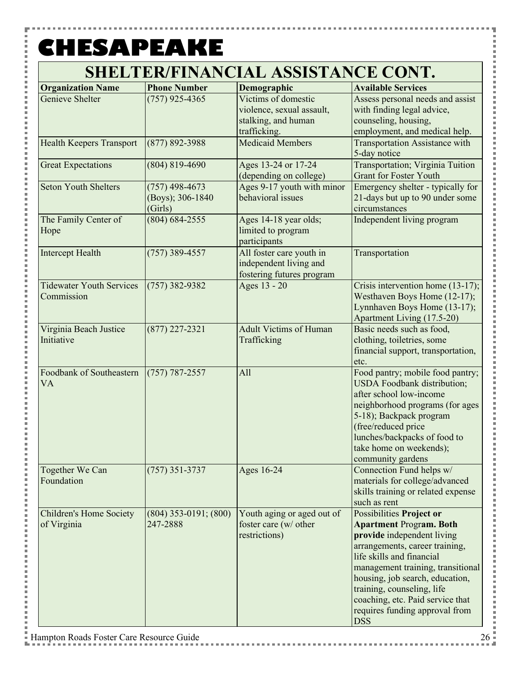۳

こうしょう こうしょう

| <b>Organization Name</b>        | <b>Phone Number</b>       | Demographic                                        | <b>Available Services</b>                                              |
|---------------------------------|---------------------------|----------------------------------------------------|------------------------------------------------------------------------|
| <b>Genieve Shelter</b>          | $(757)$ 925-4365          | Victims of domestic                                | Assess personal needs and assist                                       |
|                                 |                           | violence, sexual assault,                          | with finding legal advice,                                             |
|                                 |                           | stalking, and human<br>trafficking.                | counseling, housing,                                                   |
| <b>Health Keepers Transport</b> | $(877) 892 - 3988$        | <b>Medicaid Members</b>                            | employment, and medical help.<br><b>Transportation Assistance with</b> |
|                                 |                           |                                                    | 5-day notice                                                           |
| <b>Great Expectations</b>       | $(804) 819 - 4690$        | Ages 13-24 or 17-24                                | Transportation; Virginia Tuition                                       |
|                                 |                           | (depending on college)                             | <b>Grant for Foster Youth</b>                                          |
| <b>Seton Youth Shelters</b>     | $(757)$ 498-4673          | Ages 9-17 youth with minor                         | Emergency shelter - typically for                                      |
|                                 | (Boys); 306-1840          | behavioral issues                                  | 21-days but up to 90 under some                                        |
|                                 | (Girls)                   |                                                    | circumstances                                                          |
| The Family Center of            | $(804) 684 - 2555$        | Ages 14-18 year olds;                              | Independent living program                                             |
| Hope                            |                           | limited to program                                 |                                                                        |
|                                 |                           | participants                                       |                                                                        |
| <b>Intercept Health</b>         | $(757)$ 389-4557          | All foster care youth in<br>independent living and | Transportation                                                         |
|                                 |                           | fostering futures program                          |                                                                        |
| <b>Tidewater Youth Services</b> | $(757)$ 382-9382          | Ages 13 - 20                                       | Crisis intervention home (13-17);                                      |
| Commission                      |                           |                                                    | Westhaven Boys Home (12-17);                                           |
|                                 |                           |                                                    | Lynnhaven Boys Home (13-17);                                           |
|                                 |                           |                                                    | Apartment Living (17.5-20)                                             |
| Virginia Beach Justice          | $(877)$ 227-2321          | <b>Adult Victims of Human</b>                      | Basic needs such as food,                                              |
| Initiative                      |                           | Trafficking                                        | clothing, toiletries, some                                             |
|                                 |                           |                                                    | financial support, transportation,                                     |
|                                 |                           |                                                    | etc.                                                                   |
| Foodbank of Southeastern        | $(757) 787 - 2557$        | All                                                | Food pantry; mobile food pantry;                                       |
| <b>VA</b>                       |                           |                                                    | <b>USDA</b> Foodbank distribution;                                     |
|                                 |                           |                                                    | after school low-income                                                |
|                                 |                           |                                                    | neighborhood programs (for ages                                        |
|                                 |                           |                                                    | 5-18); Backpack program                                                |
|                                 |                           |                                                    | (free/reduced price                                                    |
|                                 |                           |                                                    | lunches/backpacks of food to<br>take home on weekends);                |
|                                 |                           |                                                    | community gardens                                                      |
| Together We Can                 | $(757)$ 351-3737          | Ages 16-24                                         | Connection Fund helps w/                                               |
| Foundation                      |                           |                                                    | materials for college/advanced                                         |
|                                 |                           |                                                    | skills training or related expense                                     |
|                                 |                           |                                                    | such as rent                                                           |
| <b>Children's Home Society</b>  | $(804)$ 353-0191; $(800)$ | Youth aging or aged out of                         | <b>Possibilities Project or</b>                                        |
| of Virginia                     | 247-2888                  | foster care (w/ other                              | <b>Apartment Program. Both</b>                                         |
|                                 |                           | restrictions)                                      | provide independent living                                             |
|                                 |                           |                                                    | arrangements, career training,                                         |
|                                 |                           |                                                    | life skills and financial                                              |
|                                 |                           |                                                    | management training, transitional                                      |
|                                 |                           |                                                    | housing, job search, education,                                        |
|                                 |                           |                                                    | training, counseling, life                                             |
|                                 |                           |                                                    | coaching, etc. Paid service that                                       |
|                                 |                           |                                                    | requires funding approval from<br><b>DSS</b>                           |
|                                 |                           |                                                    |                                                                        |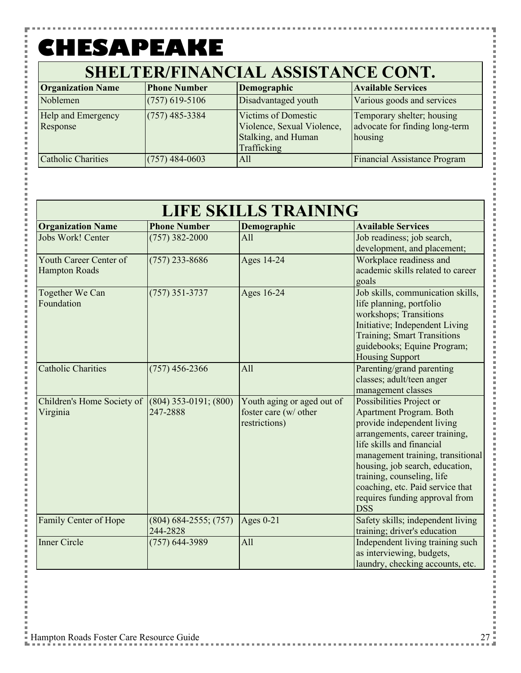| <b>Organization Name</b>       | <b>Phone Number</b> | Demographic                                                                                    | <b>Available Services</b>                                               |
|--------------------------------|---------------------|------------------------------------------------------------------------------------------------|-------------------------------------------------------------------------|
| Noblemen                       | $(757)$ 619-5106    | Disadvantaged youth                                                                            | Various goods and services                                              |
| Help and Emergency<br>Response | $(757)$ 485-3384    | <b>Victims of Domestic</b><br>Violence, Sexual Violence,<br>Stalking, and Human<br>Trafficking | Temporary shelter; housing<br>advocate for finding long-term<br>housing |
| <b>Catholic Charities</b>      | $(757)$ 484-0603    | All                                                                                            | <b>Financial Assistance Program</b>                                     |

| <b>LIFE SKILLS TRAINING</b>                    |                                       |                                                                      |                                                                                                                                                                                                                                                                                                                                                   |
|------------------------------------------------|---------------------------------------|----------------------------------------------------------------------|---------------------------------------------------------------------------------------------------------------------------------------------------------------------------------------------------------------------------------------------------------------------------------------------------------------------------------------------------|
| <b>Organization Name</b>                       | <b>Phone Number</b>                   | Demographic                                                          | <b>Available Services</b>                                                                                                                                                                                                                                                                                                                         |
| Jobs Work! Center                              | $(757)$ 382-2000                      | All                                                                  | Job readiness; job search,<br>development, and placement;                                                                                                                                                                                                                                                                                         |
| Youth Career Center of<br><b>Hampton Roads</b> | $(757)$ 233-8686                      | Ages 14-24                                                           | Workplace readiness and<br>academic skills related to career<br>goals                                                                                                                                                                                                                                                                             |
| Together We Can<br>Foundation                  | $(757)$ 351-3737                      | Ages 16-24                                                           | Job skills, communication skills,<br>life planning, portfolio<br>workshops; Transitions<br>Initiative; Independent Living<br><b>Training</b> ; Smart Transitions<br>guidebooks; Equine Program;<br><b>Housing Support</b>                                                                                                                         |
| <b>Catholic Charities</b>                      | $(757)$ 456-2366                      | All                                                                  | Parenting/grand parenting<br>classes; adult/teen anger<br>management classes                                                                                                                                                                                                                                                                      |
| Children's Home Society of<br>Virginia         | $(804)$ 353-0191; $(800)$<br>247-2888 | Youth aging or aged out of<br>foster care (w/ other<br>restrictions) | Possibilities Project or<br><b>Apartment Program. Both</b><br>provide independent living<br>arrangements, career training,<br>life skills and financial<br>management training, transitional<br>housing, job search, education,<br>training, counseling, life<br>coaching, etc. Paid service that<br>requires funding approval from<br><b>DSS</b> |
| Family Center of Hope                          | $(804) 684 - 2555; (757)$<br>244-2828 | Ages $0-21$                                                          | Safety skills; independent living<br>training; driver's education                                                                                                                                                                                                                                                                                 |
| <b>Inner Circle</b>                            | $(757)$ 644-3989                      | All                                                                  | Independent living training such<br>as interviewing, budgets,<br>laundry, checking accounts, etc.                                                                                                                                                                                                                                                 |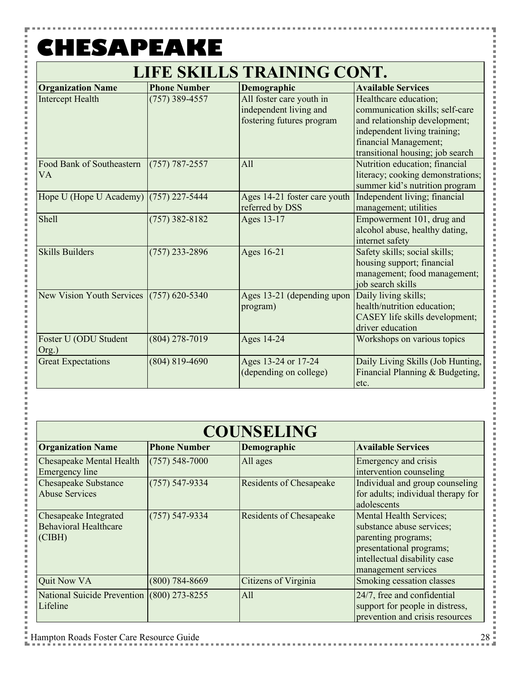Y

こうしょう こうしょう

 $\frac{1}{2}$ 

Ė i

j.

i Ė j. i Ė p

j. j. i

l j.

l

 $\overline{a}$ 

l Ė p

j.

| <b>LIFE SKILLS TRAINING CONT.</b> |  |
|-----------------------------------|--|
|-----------------------------------|--|

| <b>Organization Name</b>                   | <b>Phone Number</b> | Demographic                  | <b>Available Services</b>         |
|--------------------------------------------|---------------------|------------------------------|-----------------------------------|
| <b>Intercept Health</b>                    | $(757)$ 389-4557    | All foster care youth in     | Healthcare education;             |
|                                            |                     | independent living and       | communication skills; self-care   |
|                                            |                     | fostering futures program    | and relationship development;     |
|                                            |                     |                              | independent living training;      |
|                                            |                     |                              | financial Management;             |
|                                            |                     |                              | transitional housing; job search  |
| Food Bank of Southeastern                  | $(757) 787 - 2557$  | All                          | Nutrition education; financial    |
| VA                                         |                     |                              | literacy; cooking demonstrations; |
|                                            |                     |                              | summer kid's nutrition program    |
| Hope U (Hope U Academy) (757) 227-5444     |                     | Ages 14-21 foster care youth | Independent living; financial     |
|                                            |                     | referred by DSS              | management; utilities             |
| Shell                                      | $(757)$ 382-8182    | Ages 13-17                   | Empowerment 101, drug and         |
|                                            |                     |                              | alcohol abuse, healthy dating,    |
|                                            |                     |                              | internet safety                   |
| <b>Skills Builders</b>                     | $(757)$ 233-2896    | Ages 16-21                   | Safety skills; social skills;     |
|                                            |                     |                              | housing support; financial        |
|                                            |                     |                              | management; food management;      |
|                                            |                     |                              | job search skills                 |
| New Vision Youth Services $(757)$ 620-5340 |                     | Ages 13-21 (depending upon   | Daily living skills;              |
|                                            |                     | program)                     | health/nutrition education;       |
|                                            |                     |                              | CASEY life skills development;    |
|                                            |                     |                              | driver education                  |
| Foster U (ODU Student                      | $(804)$ 278-7019    | Ages 14-24                   | Workshops on various topics       |
| Org.)                                      |                     |                              |                                   |
| <b>Great Expectations</b>                  | $(804) 819 - 4690$  | Ages 13-24 or 17-24          | Daily Living Skills (Job Hunting, |
|                                            |                     | (depending on college)       | Financial Planning & Budgeting,   |
|                                            |                     |                              | etc.                              |

| <b>COUNSELING</b>                                                      |                     |                                |                                                                                                                                                                |
|------------------------------------------------------------------------|---------------------|--------------------------------|----------------------------------------------------------------------------------------------------------------------------------------------------------------|
| <b>Organization Name</b>                                               | <b>Phone Number</b> | Demographic                    | <b>Available Services</b>                                                                                                                                      |
| <b>Chesapeake Mental Health</b><br>Emergency line                      | $(757) 548 - 7000$  | All ages                       | Emergency and crisis<br>intervention counseling                                                                                                                |
| <b>Chesapeake Substance</b><br><b>Abuse Services</b>                   | $(757) 547 - 9334$  | <b>Residents of Chesapeake</b> | Individual and group counseling<br>for adults; individual therapy for<br>adolescents                                                                           |
| <b>Chesapeake Integrated</b><br><b>Behavioral Healthcare</b><br>(CIBH) | $(757) 547 - 9334$  | <b>Residents of Chesapeake</b> | Mental Health Services;<br>substance abuse services;<br>parenting programs;<br>presentational programs;<br>intellectual disability case<br>management services |
| Quit Now VA                                                            | $(800) 784 - 8669$  | Citizens of Virginia           | Smoking cessation classes                                                                                                                                      |
| National Suicide Prevention (800) 273-8255<br>Lifeline                 |                     | All                            | 24/7, free and confidential<br>support for people in distress,<br>prevention and crisis resources                                                              |

Ŧ

i<br>S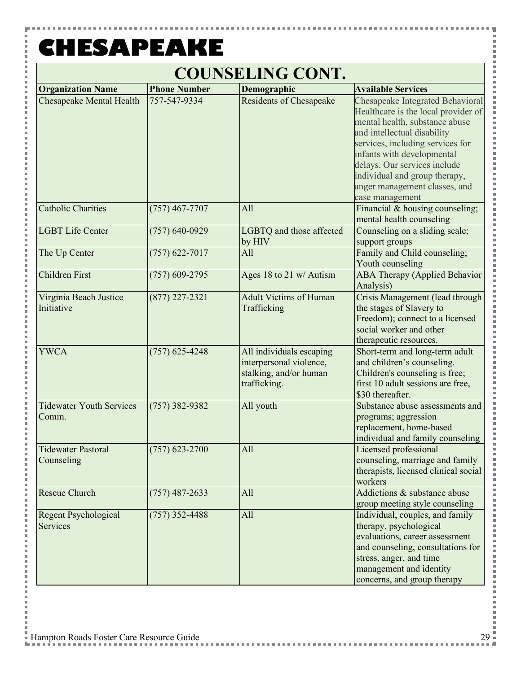P

### **COUNSELING CONT.**

| <b>Organization Name</b>                 | <b>Phone Number</b> | Demographic                                                                                   | <b>Available Services</b>                                                                                                                                                                                                                                                                                                       |
|------------------------------------------|---------------------|-----------------------------------------------------------------------------------------------|---------------------------------------------------------------------------------------------------------------------------------------------------------------------------------------------------------------------------------------------------------------------------------------------------------------------------------|
| <b>Chesapeake Mental Health</b>          | 757-547-9334        | <b>Residents of Chesapeake</b>                                                                | Chesapeake Integrated Behavioral<br>Healthcare is the local provider of<br>mental health, substance abuse<br>and intellectual disability<br>services, including services for<br>infants with developmental<br>delays. Our services include<br>individual and group therapy,<br>anger management classes, and<br>case management |
| <b>Catholic Charities</b>                | $(757)$ 467-7707    | All                                                                                           | Financial & housing counseling;<br>mental health counseling                                                                                                                                                                                                                                                                     |
| <b>LGBT Life Center</b>                  | $(757) 640 - 0929$  | LGBTQ and those affected<br>by HIV                                                            | Counseling on a sliding scale;<br>support groups                                                                                                                                                                                                                                                                                |
| The Up Center                            | $(757)$ 622-7017    | All                                                                                           | Family and Child counseling;<br>Youth counseling                                                                                                                                                                                                                                                                                |
| <b>Children First</b>                    | $(757)$ 609-2795    | Ages 18 to 21 w/ Autism                                                                       | <b>ABA Therapy (Applied Behavior</b><br>Analysis)                                                                                                                                                                                                                                                                               |
| Virginia Beach Justice<br>Initiative     | $(877)$ 227-2321    | <b>Adult Victims of Human</b><br>Trafficking                                                  | Crisis Management (lead through<br>the stages of Slavery to<br>Freedom); connect to a licensed<br>social worker and other<br>therapeutic resources.                                                                                                                                                                             |
| <b>YWCA</b>                              | $(757)$ 625-4248    | All individuals escaping<br>interpersonal violence,<br>stalking, and/or human<br>trafficking. | Short-term and long-term adult<br>and children's counseling.<br>Children's counseling is free;<br>first 10 adult sessions are free,<br>\$30 thereafter.                                                                                                                                                                         |
| <b>Tidewater Youth Services</b><br>Comm. | $(757)$ 382-9382    | All youth                                                                                     | Substance abuse assessments and<br>programs; aggression<br>replacement, home-based<br>individual and family counseling                                                                                                                                                                                                          |
| <b>Tidewater Pastoral</b><br>Counseling  | $(757)$ 623-2700    | All                                                                                           | Licensed professional<br>counseling, marriage and family<br>therapists, licensed clinical social<br>workers                                                                                                                                                                                                                     |
| Rescue Church                            | $(757)$ 487-2633    | All                                                                                           | Addictions & substance abuse<br>group meeting style counseling                                                                                                                                                                                                                                                                  |
| <b>Regent Psychological</b><br>Services  | $(757)$ 352-4488    | All                                                                                           | Individual, couples, and family<br>therapy, psychological<br>evaluations, career assessment<br>and counseling, consultations for<br>stress, anger, and time<br>management and identity<br>concerns, and group therapy                                                                                                           |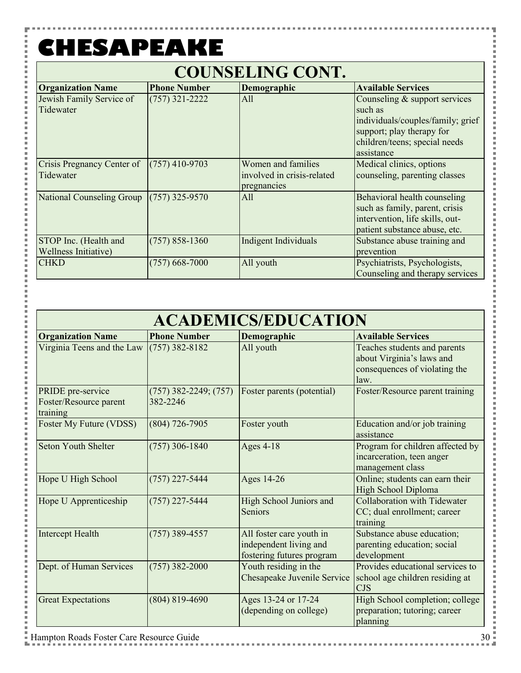Y

i<br>I i i i i

i

j. l Ė i

Ė

j j.

j. Ė i

Ė

j.

j.

l Ė Ė

p i Ė j. i Ė

j. l Ė l p Ė i j. j.

j Ė j. Ė l Ė Ė p l j.

j

 $\Gamma$ 

| <b>COUNSELING CONT.</b>                       |                     |                                                                 |                                                                                                                                                           |  |
|-----------------------------------------------|---------------------|-----------------------------------------------------------------|-----------------------------------------------------------------------------------------------------------------------------------------------------------|--|
| <b>Organization Name</b>                      | <b>Phone Number</b> | Demographic                                                     | <b>Available Services</b>                                                                                                                                 |  |
| Jewish Family Service of<br>Tidewater         | $(757)$ 321-2222    | All                                                             | Counseling & support services<br>such as<br>individuals/couples/family; grief<br>support; play therapy for<br>children/teens; special needs<br>assistance |  |
| Crisis Pregnancy Center of<br>Tidewater       | $(757)$ 410-9703    | Women and families<br>involved in crisis-related<br>pregnancies | Medical clinics, options<br>counseling, parenting classes                                                                                                 |  |
| National Counseling Group                     | $(757)$ 325-9570    | All                                                             | Behavioral health counseling<br>such as family, parent, crisis<br>intervention, life skills, out-<br>patient substance abuse, etc.                        |  |
| STOP Inc. (Health and<br>Wellness Initiative) | $(757) 858 - 1360$  | Indigent Individuals                                            | Substance abuse training and<br>prevention                                                                                                                |  |
| <b>CHKD</b>                                   | $(757)$ 668-7000    | All youth                                                       | Psychiatrists, Psychologists,<br>Counseling and therapy services                                                                                          |  |

| <b>ACADEMICS/EDUCATION</b>                              |                                       |                                                                                 |                                                                                                    |
|---------------------------------------------------------|---------------------------------------|---------------------------------------------------------------------------------|----------------------------------------------------------------------------------------------------|
| <b>Organization Name</b>                                | <b>Phone Number</b>                   | Demographic                                                                     | <b>Available Services</b>                                                                          |
| Virginia Teens and the Law                              | $(757)$ 382-8182                      | All youth                                                                       | Teaches students and parents<br>about Virginia's laws and<br>consequences of violating the<br>law. |
| PRIDE pre-service<br>Foster/Resource parent<br>training | $(757)$ 382-2249; $(757)$<br>382-2246 | Foster parents (potential)                                                      | Foster/Resource parent training                                                                    |
| Foster My Future (VDSS)                                 | $(804)$ 726-7905                      | Foster youth                                                                    | Education and/or job training<br>assistance                                                        |
| Seton Youth Shelter                                     | $(757)$ 306-1840                      | Ages 4-18                                                                       | Program for children affected by<br>incarceration, teen anger<br>management class                  |
| Hope U High School                                      | $(757)$ 227-5444                      | Ages 14-26                                                                      | Online; students can earn their<br>High School Diploma                                             |
| Hope U Apprenticeship                                   | $(757)$ 227-5444                      | High School Juniors and<br>Seniors                                              | <b>Collaboration with Tidewater</b><br>CC; dual enrollment; career<br>training                     |
| <b>Intercept Health</b>                                 | $(757)$ 389-4557                      | All foster care youth in<br>independent living and<br>fostering futures program | Substance abuse education;<br>parenting education; social<br>development                           |
| Dept. of Human Services                                 | $(757)$ 382-2000                      | Youth residing in the<br>Chesapeake Juvenile Service                            | Provides educational services to<br>school age children residing at<br><b>CJS</b>                  |
| <b>Great Expectations</b>                               | $(804) 819 - 4690$                    | Ages 13-24 or 17-24<br>(depending on college)                                   | High School completion; college<br>preparation; tutoring; career<br>planning                       |

Ŧ

,,,,,,,,,,,,,,,,,

i i s

l

l

I

×

Î

ĵ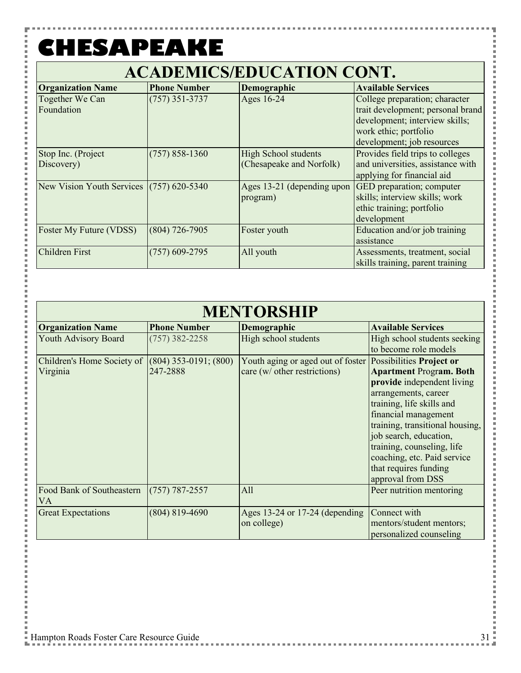### **ACADEMICS/EDUCATION CONT.**

| <b>Organization Name</b>                   | <b>Phone Number</b> | Demographic                 | <b>Available Services</b>         |
|--------------------------------------------|---------------------|-----------------------------|-----------------------------------|
| Together We Can                            | $(757)$ 351-3737    | Ages 16-24                  | College preparation; character    |
| Foundation                                 |                     |                             | trait development; personal brand |
|                                            |                     |                             | development; interview skills;    |
|                                            |                     |                             | work ethic; portfolio             |
|                                            |                     |                             | development; job resources        |
| Stop Inc. (Project                         | $(757) 858 - 1360$  | <b>High School students</b> | Provides field trips to colleges  |
| Discovery)                                 |                     | (Chesapeake and Norfolk)    | and universities, assistance with |
|                                            |                     |                             | applying for financial aid        |
| New Vision Youth Services $(757)$ 620-5340 |                     | Ages 13-21 (depending upon  | GED preparation; computer         |
|                                            |                     | program)                    | skills; interview skills; work    |
|                                            |                     |                             | ethic training; portfolio         |
|                                            |                     |                             | development                       |
| <b>Foster My Future (VDSS)</b>             | $(804)$ 726-7905    | Foster youth                | Education and/or job training     |
|                                            |                     |                             | assistance                        |
| <b>Children First</b>                      | $(757)$ 609-2795    | All youth                   | Assessments, treatment, social    |
|                                            |                     |                             | skills training, parent training  |

|--|

| <b>Organization Name</b>        | <b>Phone Number</b>       | Demographic                                                | <b>Available Services</b>                                    |
|---------------------------------|---------------------------|------------------------------------------------------------|--------------------------------------------------------------|
| Youth Advisory Board            | $(757)$ 382-2258          | High school students                                       | High school students seeking                                 |
|                                 |                           |                                                            | to become role models                                        |
| Children's Home Society of      | $(804)$ 353-0191; $(800)$ | Youth aging or aged out of foster Possibilities Project or |                                                              |
| Virginia                        | 247-2888                  | care (w/ other restrictions)                               | <b>Apartment Program. Both</b><br>provide independent living |
|                                 |                           |                                                            | arrangements, career                                         |
|                                 |                           |                                                            | training, life skills and                                    |
|                                 |                           |                                                            | financial management                                         |
|                                 |                           |                                                            | training, transitional housing,                              |
|                                 |                           |                                                            | job search, education,                                       |
|                                 |                           |                                                            | training, counseling, life                                   |
|                                 |                           |                                                            | coaching, etc. Paid service                                  |
|                                 |                           |                                                            | that requires funding                                        |
|                                 |                           |                                                            | approval from DSS                                            |
| Food Bank of Southeastern<br>VA | $(757) 787 - 2557$        | All                                                        | Peer nutrition mentoring                                     |
| <b>Great Expectations</b>       | $(804) 819 - 4690$        | Ages 13-24 or 17-24 (depending                             | Connect with                                                 |
|                                 |                           | on college)                                                | mentors/student mentors;                                     |
|                                 |                           |                                                            | personalized counseling                                      |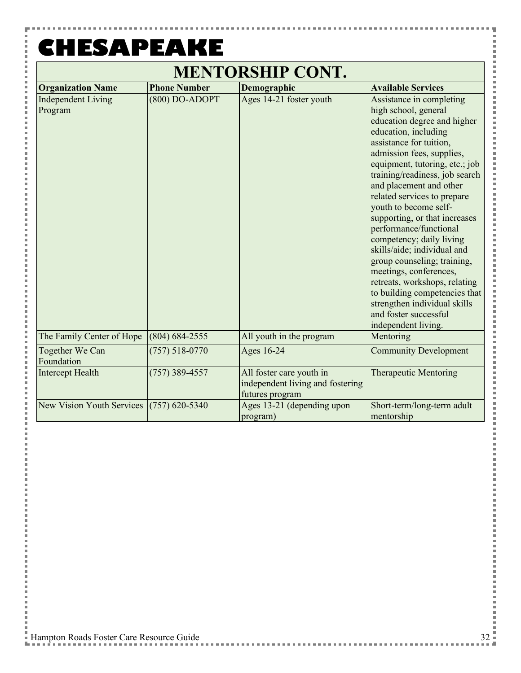P

### **MENTORSHIP CONT.**

| <b>Organization Name</b>                   | <b>Phone Number</b> | Demographic                                                                     | <b>Available Services</b>                                                                                                                                                                                                                                                                                                                                                                                                                                                                                                                                                                                                                               |
|--------------------------------------------|---------------------|---------------------------------------------------------------------------------|---------------------------------------------------------------------------------------------------------------------------------------------------------------------------------------------------------------------------------------------------------------------------------------------------------------------------------------------------------------------------------------------------------------------------------------------------------------------------------------------------------------------------------------------------------------------------------------------------------------------------------------------------------|
| <b>Independent Living</b><br>Program       | $(800)$ DO-ADOPT    | Ages 14-21 foster youth                                                         | Assistance in completing<br>high school, general<br>education degree and higher<br>education, including<br>assistance for tuition,<br>admission fees, supplies,<br>equipment, tutoring, etc.; job<br>training/readiness, job search<br>and placement and other<br>related services to prepare<br>youth to become self-<br>supporting, or that increases<br>performance/functional<br>competency; daily living<br>skills/aide; individual and<br>group counseling; training,<br>meetings, conferences,<br>retreats, workshops, relating<br>to building competencies that<br>strengthen individual skills<br>and foster successful<br>independent living. |
| The Family Center of Hope                  | $(804) 684 - 2555$  | All youth in the program                                                        | Mentoring                                                                                                                                                                                                                                                                                                                                                                                                                                                                                                                                                                                                                                               |
| Together We Can<br>Foundation              | $(757) 518 - 0770$  | Ages 16-24                                                                      | <b>Community Development</b>                                                                                                                                                                                                                                                                                                                                                                                                                                                                                                                                                                                                                            |
| <b>Intercept Health</b>                    | $(757)$ 389-4557    | All foster care youth in<br>independent living and fostering<br>futures program | <b>Therapeutic Mentoring</b>                                                                                                                                                                                                                                                                                                                                                                                                                                                                                                                                                                                                                            |
| New Vision Youth Services $(757)$ 620-5340 |                     | Ages 13-21 (depending upon<br>program)                                          | Short-term/long-term adult<br>mentorship                                                                                                                                                                                                                                                                                                                                                                                                                                                                                                                                                                                                                |

医皮肤炎 医皮肤

l I

×

j

l

į ×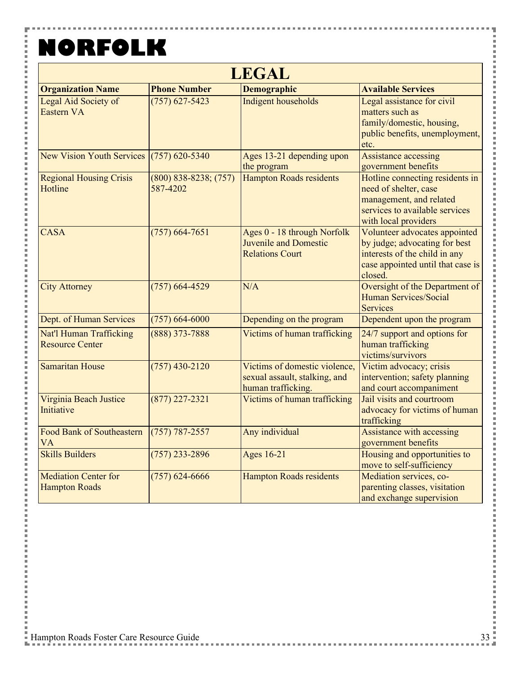F

i<br>Sidoo

j.  $\frac{1}{2}$ 

 $\overline{a}$ i j. 

i

i

i<br>I j.

 $\frac{1}{2}$ 

 $\frac{1}{2}$  and  $\frac{1}{2}$  and  $\frac{1}{2}$  and  $\frac{1}{2}$  and  $\frac{1}{2}$  and  $\frac{1}{2}$  and  $\frac{1}{2}$  and  $\frac{1}{2}$  and  $\frac{1}{2}$  and  $\frac{1}{2}$  and  $\frac{1}{2}$  and  $\frac{1}{2}$  and  $\frac{1}{2}$  and  $\frac{1}{2}$  and  $\frac{1}{2}$  and  $\frac{1}{2}$  a

i

i<br>I Ė

 $\frac{1}{2}$ 

 $\frac{1}{2}$  and  $\frac{1}{2}$  and  $\frac{1}{2}$  and  $\frac{1}{2}$  and  $\frac{1}{2}$  and  $\frac{1}{2}$  and  $\frac{1}{2}$  and  $\frac{1}{2}$  and  $\frac{1}{2}$  and  $\frac{1}{2}$  and  $\frac{1}{2}$  and  $\frac{1}{2}$  and  $\frac{1}{2}$  and  $\frac{1}{2}$  and  $\frac{1}{2}$  and  $\frac{1}{2}$  a

i i

İ Ė

 $\frac{1}{2}$ 

 $\frac{1}{2}$  and  $\frac{1}{2}$  and  $\frac{1}{2}$  and  $\frac{1}{2}$  and  $\frac{1}{2}$  and  $\frac{1}{2}$  and  $\frac{1}{2}$  and  $\frac{1}{2}$  and  $\frac{1}{2}$  and  $\frac{1}{2}$  and  $\frac{1}{2}$  and  $\frac{1}{2}$  and  $\frac{1}{2}$  and  $\frac{1}{2}$  and  $\frac{1}{2}$  and  $\frac{1}{2}$  a

i

i Ė  $\overline{a}$ j.

| <b>LEGAL</b>                                        |                                     |                                                                                      |                                                                                                                                                 |  |
|-----------------------------------------------------|-------------------------------------|--------------------------------------------------------------------------------------|-------------------------------------------------------------------------------------------------------------------------------------------------|--|
| <b>Organization Name</b>                            | <b>Phone Number</b>                 | <b>Demographic</b>                                                                   | <b>Available Services</b>                                                                                                                       |  |
| Legal Aid Society of<br>Eastern VA                  | $(757)$ 627-5423                    | Indigent households                                                                  | Legal assistance for civil<br>matters such as<br>family/domestic, housing,<br>public benefits, unemployment,<br>etc.                            |  |
| <b>New Vision Youth Services</b>                    | $(757)$ 620-5340                    | Ages 13-21 depending upon<br>the program                                             | <b>Assistance accessing</b><br>government benefits                                                                                              |  |
| <b>Regional Housing Crisis</b><br>Hotline           | $(800)$ 838-8238; (757)<br>587-4202 | Hampton Roads residents                                                              | Hotline connecting residents in<br>need of shelter, case<br>management, and related<br>services to available services<br>with local providers   |  |
| <b>CASA</b>                                         | $(757)$ 664-7651                    | Ages 0 - 18 through Norfolk<br>Juvenile and Domestic<br><b>Relations Court</b>       | Volunteer advocates appointed<br>by judge; advocating for best<br>interests of the child in any<br>case appointed until that case is<br>closed. |  |
| <b>City Attorney</b>                                | $(757)$ 664-4529                    | N/A                                                                                  | Oversight of the Department of<br>Human Services/Social<br><b>Services</b>                                                                      |  |
| Dept. of Human Services                             | $(757) 664 - 6000$                  | Depending on the program                                                             | Dependent upon the program                                                                                                                      |  |
| Nat'l Human Trafficking<br><b>Resource Center</b>   | $(888)$ 373-7888                    | Victims of human trafficking                                                         | 24/7 support and options for<br>human trafficking<br>victims/survivors                                                                          |  |
| <b>Samaritan House</b>                              | $(757)$ 430-2120                    | Victims of domestic violence,<br>sexual assault, stalking, and<br>human trafficking. | Victim advocacy; crisis<br>intervention; safety planning<br>and court accompaniment                                                             |  |
| Virginia Beach Justice<br>Initiative                | $(877)$ 227-2321                    | Victims of human trafficking                                                         | Jail visits and courtroom<br>advocacy for victims of human<br>trafficking                                                                       |  |
| <b>Food Bank of Southeastern</b><br><b>VA</b>       | $(757) 787 - 2557$                  | Any individual                                                                       | Assistance with accessing<br>government benefits                                                                                                |  |
| <b>Skills Builders</b>                              | $(757)$ 233-2896                    | <b>Ages 16-21</b>                                                                    | Housing and opportunities to<br>move to self-sufficiency                                                                                        |  |
| <b>Mediation Center for</b><br><b>Hampton Roads</b> | $(757)$ 624-6666                    | <b>Hampton Roads residents</b>                                                       | Mediation services, co-<br>parenting classes, visitation<br>and exchange supervision                                                            |  |

Ŧ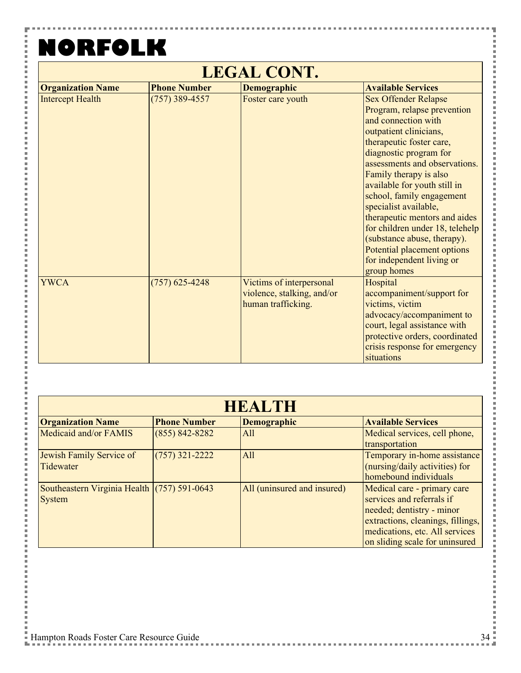F i

> I  $\overline{a}$ Ė  $\overline{a}$ j.

i

Ė l j. こうしょう こうしょう

i Ė İ

i

こうしょう こうしょう

i Ė

 $\frac{1}{2}$ 

i<br>I i i i i

i

こうしょう こうしょう

i Ė 一 一 一

i<br>I i i i i

i

こうしょう こうしょう

i

Ė  $\overline{a}$ Ė

| <b>LEGAL CONT.</b>       |                     |                                                                              |                                                                                                                                                                                                                                                                                                                                                                                                                                                                                                  |
|--------------------------|---------------------|------------------------------------------------------------------------------|--------------------------------------------------------------------------------------------------------------------------------------------------------------------------------------------------------------------------------------------------------------------------------------------------------------------------------------------------------------------------------------------------------------------------------------------------------------------------------------------------|
| <b>Organization Name</b> | <b>Phone Number</b> | <b>Demographic</b>                                                           | <b>Available Services</b>                                                                                                                                                                                                                                                                                                                                                                                                                                                                        |
| <b>Intercept Health</b>  | $(757)$ 389-4557    | Foster care youth                                                            | <b>Sex Offender Relapse</b><br>Program, relapse prevention<br>and connection with<br>outpatient clinicians,<br>therapeutic foster care,<br>diagnostic program for<br>assessments and observations.<br>Family therapy is also<br>available for youth still in<br>school, family engagement<br>specialist available,<br>therapeutic mentors and aides<br>for children under 18, telehelp<br>(substance abuse, therapy).<br>Potential placement options<br>for independent living or<br>group homes |
| <b>YWCA</b>              | $(757)$ 625-4248    | Victims of interpersonal<br>violence, stalking, and/or<br>human trafficking. | Hospital<br>accompaniment/support for<br>victims, victim<br>advocacy/accompaniment to<br>court, legal assistance with<br>protective orders, coordinated<br>crisis response for emergency<br>situations                                                                                                                                                                                                                                                                                           |

| <b>HEALTH</b>                                                |                     |                             |                                                                                                                                                                                                |
|--------------------------------------------------------------|---------------------|-----------------------------|------------------------------------------------------------------------------------------------------------------------------------------------------------------------------------------------|
| <b>Organization Name</b>                                     | <b>Phone Number</b> | <b>Demographic</b>          | <b>Available Services</b>                                                                                                                                                                      |
| Medicaid and/or FAMIS                                        | $(855) 842 - 8282$  | All                         | Medical services, cell phone,<br>transportation                                                                                                                                                |
| Jewish Family Service of<br>Tidewater                        | $(757)$ 321-2222    | All                         | Temporary in-home assistance<br>(nursing/daily activities) for<br>homebound individuals                                                                                                        |
| Southeastern Virginia Health (757) 591-0643<br><b>System</b> |                     | All (uninsured and insured) | Medical care - primary care<br>services and referrals if<br>needed; dentistry - minor<br>extractions, cleanings, fillings,<br>medications, etc. All services<br>on sliding scale for uninsured |

,,,,,,,,,,,,,,,,,

医皮肤皮炎 医血管

,,,,,,,,,,,,,

l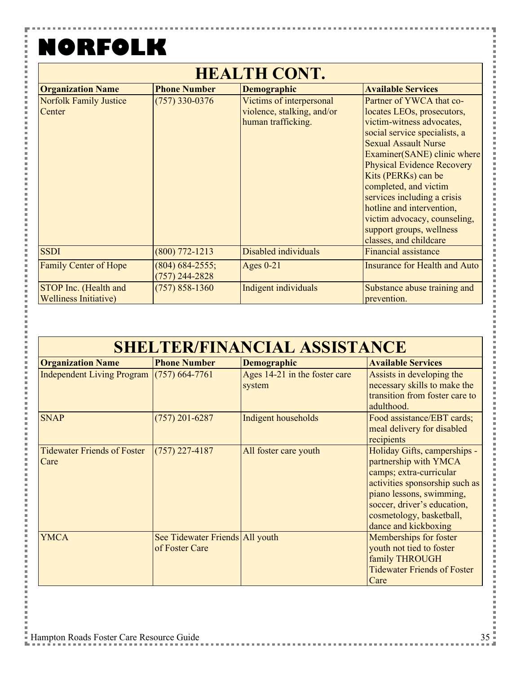н

| <b>HEALTH CONT.</b>           |                     |                            |                                      |  |  |  |
|-------------------------------|---------------------|----------------------------|--------------------------------------|--|--|--|
| <b>Organization Name</b>      | <b>Phone Number</b> | <b>Demographic</b>         | <b>Available Services</b>            |  |  |  |
| <b>Norfolk Family Justice</b> | $(757)$ 330-0376    | Victims of interpersonal   | Partner of YWCA that co-             |  |  |  |
| Center                        |                     | violence, stalking, and/or | locates LEOs, prosecutors,           |  |  |  |
|                               |                     | human trafficking.         | victim-witness advocates,            |  |  |  |
|                               |                     |                            | social service specialists, a        |  |  |  |
|                               |                     |                            | <b>Sexual Assault Nurse</b>          |  |  |  |
|                               |                     |                            | Examiner(SANE) clinic where          |  |  |  |
|                               |                     |                            | <b>Physical Evidence Recovery</b>    |  |  |  |
|                               |                     |                            | Kits (PERKs) can be                  |  |  |  |
|                               |                     |                            | completed, and victim                |  |  |  |
|                               |                     |                            | services including a crisis          |  |  |  |
|                               |                     |                            | hotline and intervention,            |  |  |  |
|                               |                     |                            | victim advocacy, counseling,         |  |  |  |
|                               |                     |                            | support groups, wellness             |  |  |  |
|                               |                     |                            | classes, and childcare               |  |  |  |
| <b>SSDI</b>                   | $(800)$ 772-1213    | Disabled individuals       | <b>Financial assistance</b>          |  |  |  |
| Family Center of Hope         | $(804)$ 684-2555;   | Ages $0-21$                | <b>Insurance for Health and Auto</b> |  |  |  |
|                               | $(757)$ 244-2828    |                            |                                      |  |  |  |
| STOP Inc. (Health and         | $(757) 858 - 1360$  | Indigent individuals       | Substance abuse training and         |  |  |  |
| <b>Welliness Initiative)</b>  |                     |                            | prevention.                          |  |  |  |

| <b>Organization Name</b>                    | <b>Phone Number</b>                               | <b>Demographic</b>                      | <b>Available Services</b>                                                                                                                                                                                                         |
|---------------------------------------------|---------------------------------------------------|-----------------------------------------|-----------------------------------------------------------------------------------------------------------------------------------------------------------------------------------------------------------------------------------|
| Independent Living Program $(757)$ 664-7761 |                                                   | Ages 14-21 in the foster care<br>system | Assists in developing the<br>necessary skills to make the<br>transition from foster care to<br>adulthood.                                                                                                                         |
| <b>SNAP</b>                                 | $(757)$ 201-6287                                  | Indigent households                     | Food assistance/EBT cards;<br>meal delivery for disabled<br>recipients                                                                                                                                                            |
| <b>Tidewater Friends of Foster</b><br>Care  | $(757)$ 227-4187                                  | All foster care youth                   | Holiday Gifts, camperships -<br>partnership with YMCA<br>camps; extra-curricular<br>activities sponsorship such as<br>piano lessons, swimming,<br>soccer, driver's education,<br>cosmetology, basketball,<br>dance and kickboxing |
| <b>YMCA</b>                                 | See Tidewater Friends All youth<br>of Foster Care |                                         | Memberships for foster<br>youth not tied to foster<br>family THROUGH<br><b>Tidewater Friends of Foster</b><br>Care                                                                                                                |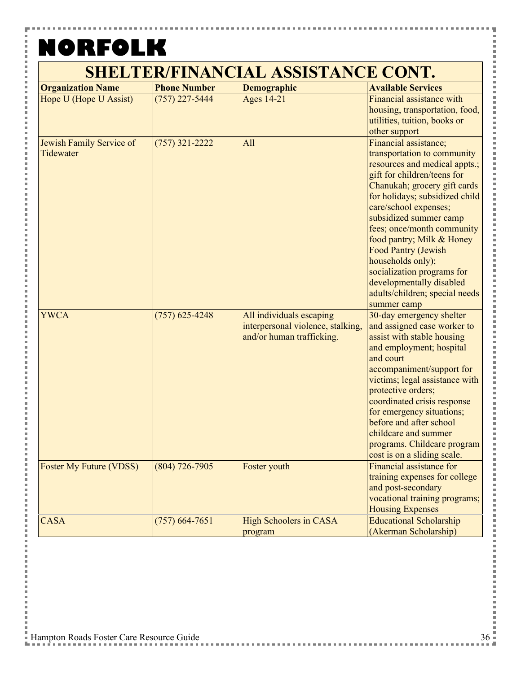P

| <b>Organization Name</b>       | <b>Phone Number</b> | <b>Demographic</b>                | <b>Available Services</b>                                 |
|--------------------------------|---------------------|-----------------------------------|-----------------------------------------------------------|
| Hope U (Hope U Assist)         | $(757)$ 227-5444    | <b>Ages 14-21</b>                 | Financial assistance with                                 |
|                                |                     |                                   | housing, transportation, food,                            |
|                                |                     |                                   | utilities, tuition, books or                              |
|                                |                     |                                   | other support                                             |
| Jewish Family Service of       | $(757)$ 321-2222    | All                               | Financial assistance;                                     |
| Tidewater                      |                     |                                   | transportation to community                               |
|                                |                     |                                   | resources and medical appts.;                             |
|                                |                     |                                   | gift for children/teens for                               |
|                                |                     |                                   | Chanukah; grocery gift cards                              |
|                                |                     |                                   | for holidays; subsidized child                            |
|                                |                     |                                   | care/school expenses;                                     |
|                                |                     |                                   | subsidized summer camp                                    |
|                                |                     |                                   | fees; once/month community                                |
|                                |                     |                                   | food pantry; Milk & Honey                                 |
|                                |                     |                                   | <b>Food Pantry (Jewish</b>                                |
|                                |                     |                                   | households only);                                         |
|                                |                     |                                   | socialization programs for                                |
|                                |                     |                                   | developmentally disabled                                  |
|                                |                     |                                   | adults/children; special needs                            |
|                                |                     |                                   | summer camp                                               |
| <b>YWCA</b>                    | $(757)$ 625-4248    | All individuals escaping          | 30-day emergency shelter                                  |
|                                |                     | interpersonal violence, stalking, | and assigned case worker to                               |
|                                |                     | and/or human trafficking.         | assist with stable housing                                |
|                                |                     |                                   | and employment; hospital                                  |
|                                |                     |                                   | and court                                                 |
|                                |                     |                                   | accompaniment/support for                                 |
|                                |                     |                                   | victims; legal assistance with                            |
|                                |                     |                                   | protective orders;                                        |
|                                |                     |                                   | coordinated crisis response                               |
|                                |                     |                                   | for emergency situations;                                 |
|                                |                     |                                   | before and after school                                   |
|                                |                     |                                   | childcare and summer                                      |
|                                |                     |                                   | programs. Childcare program                               |
|                                |                     |                                   | cost is on a sliding scale.                               |
| <b>Foster My Future (VDSS)</b> | $(804)$ 726-7905    | Foster youth                      | Financial assistance for                                  |
|                                |                     |                                   | training expenses for college                             |
|                                |                     |                                   | and post-secondary                                        |
|                                |                     |                                   | vocational training programs;                             |
| <b>CASA</b>                    |                     | <b>High Schoolers in CASA</b>     | <b>Housing Expenses</b><br><b>Educational Scholarship</b> |
|                                | $(757)$ 664-7651    |                                   |                                                           |
|                                |                     | program                           | (Akerman Scholarship)                                     |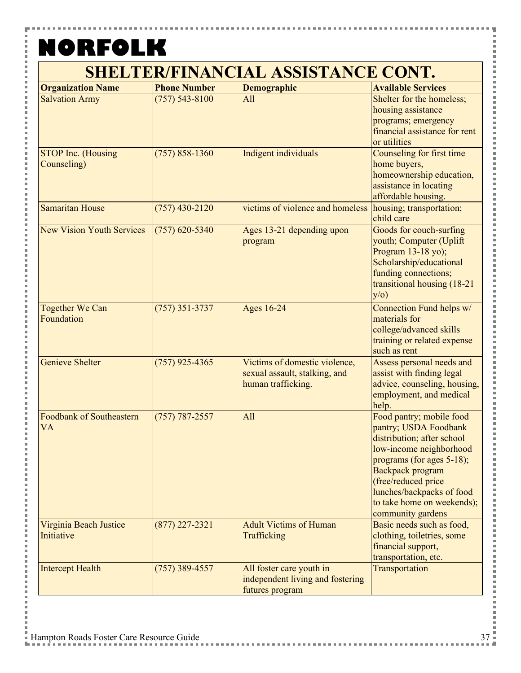P

i<br>I

| <b>Organization Name</b>                 | <b>Phone Number</b> | <b>Demographic</b>                                                                   | <b>Available Services</b>                                                                                                                                                                                                                                          |
|------------------------------------------|---------------------|--------------------------------------------------------------------------------------|--------------------------------------------------------------------------------------------------------------------------------------------------------------------------------------------------------------------------------------------------------------------|
| <b>Salvation Army</b>                    | $(757) 543 - 8100$  | All                                                                                  | Shelter for the homeless;<br>housing assistance<br>programs; emergency<br>financial assistance for rent<br>or utilities                                                                                                                                            |
| <b>STOP Inc. (Housing</b><br>Counseling) | $(757) 858 - 1360$  | Indigent individuals                                                                 | Counseling for first time<br>home buyers,<br>homeownership education,<br>assistance in locating<br>affordable housing.                                                                                                                                             |
| <b>Samaritan House</b>                   | $(757)$ 430-2120    | victims of violence and homeless                                                     | housing; transportation;<br>child care                                                                                                                                                                                                                             |
| <b>New Vision Youth Services</b>         | $(757)$ 620-5340    | Ages 13-21 depending upon<br>program                                                 | Goods for couch-surfing<br>youth; Computer (Uplift<br>Program 13-18 yo);<br>Scholarship/educational<br>funding connections;<br>transitional housing (18-21<br>y/o)                                                                                                 |
| <b>Together We Can</b><br>Foundation     | $(757)$ 351-3737    | <b>Ages 16-24</b>                                                                    | Connection Fund helps w/<br>materials for<br>college/advanced skills<br>training or related expense<br>such as rent                                                                                                                                                |
| <b>Genieve Shelter</b>                   | $(757)$ 925-4365    | Victims of domestic violence,<br>sexual assault, stalking, and<br>human trafficking. | Assess personal needs and<br>assist with finding legal<br>advice, counseling, housing,<br>employment, and medical<br>help.                                                                                                                                         |
| Foodbank of Southeastern<br><b>VA</b>    | $(757) 787 - 2557$  | All                                                                                  | Food pantry; mobile food<br>pantry; USDA Foodbank<br>distribution; after school<br>low-income neighborhood<br>programs (for ages 5-18);<br>Backpack program<br>(free/reduced price<br>lunches/backpacks of food<br>to take home on weekends);<br>community gardens |
| Virginia Beach Justice<br>Initiative     | $(877)$ 227-2321    | <b>Adult Victims of Human</b><br>Trafficking                                         | Basic needs such as food,<br>clothing, toiletries, some<br>financial support,<br>transportation, etc.                                                                                                                                                              |
| <b>Intercept Health</b>                  | $(757)$ 389-4557    | All foster care youth in<br>independent living and fostering<br>futures program      | Transportation                                                                                                                                                                                                                                                     |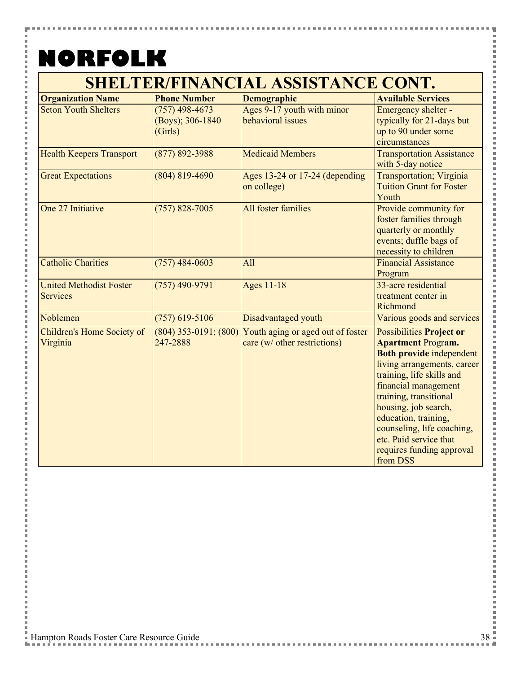н

#### **SHELTER/FINANCIAL ASSISTANCE CONT.**

| <b>Organization Name</b>        | <b>Phone Number</b>       | <b>Demographic</b>                | <b>Available Services</b>        |
|---------------------------------|---------------------------|-----------------------------------|----------------------------------|
| <b>Seton Youth Shelters</b>     | $(757)$ 498-4673          | Ages 9-17 youth with minor        | Emergency shelter -              |
|                                 | (Boys); 306-1840          | behavioral issues                 | typically for 21-days but        |
|                                 | (Girls)                   |                                   | up to 90 under some              |
|                                 |                           |                                   | circumstances                    |
| <b>Health Keepers Transport</b> | $(877) 892 - 3988$        | <b>Medicaid Members</b>           | <b>Transportation Assistance</b> |
|                                 |                           |                                   | with 5-day notice                |
| <b>Great Expectations</b>       | $(804) 819 - 4690$        | Ages 13-24 or 17-24 (depending    | Transportation; Virginia         |
|                                 |                           | on college)                       | <b>Tuition Grant for Foster</b>  |
|                                 |                           |                                   | Youth                            |
| One 27 Initiative               | $(757)$ 828-7005          | All foster families               | Provide community for            |
|                                 |                           |                                   | foster families through          |
|                                 |                           |                                   | quarterly or monthly             |
|                                 |                           |                                   | events; duffle bags of           |
|                                 |                           |                                   | necessity to children            |
| <b>Catholic Charities</b>       | $(757)$ 484-0603          | All                               | <b>Financial Assistance</b>      |
|                                 |                           |                                   | Program                          |
| <b>United Methodist Foster</b>  | $(757)$ 490-9791          | <b>Ages 11-18</b>                 | 33-acre residential              |
| <b>Services</b>                 |                           |                                   | treatment center in              |
|                                 |                           |                                   | Richmond                         |
| Noblemen                        | $(757)$ 619-5106          | Disadvantaged youth               | Various goods and services       |
| Children's Home Society of      | $(804)$ 353-0191; $(800)$ | Youth aging or aged out of foster | <b>Possibilities Project or</b>  |
| Virginia                        | 247-2888                  | care (w/ other restrictions)      | <b>Apartment Program.</b>        |
|                                 |                           |                                   | <b>Both provide independent</b>  |
|                                 |                           |                                   | living arrangements, career      |
|                                 |                           |                                   | training, life skills and        |
|                                 |                           |                                   | financial management             |
|                                 |                           |                                   | training, transitional           |
|                                 |                           |                                   | housing, job search,             |
|                                 |                           |                                   | education, training,             |
|                                 |                           |                                   | counseling, life coaching,       |
|                                 |                           |                                   | etc. Paid service that           |
|                                 |                           |                                   | requires funding approval        |
|                                 |                           |                                   | from DSS                         |

Ē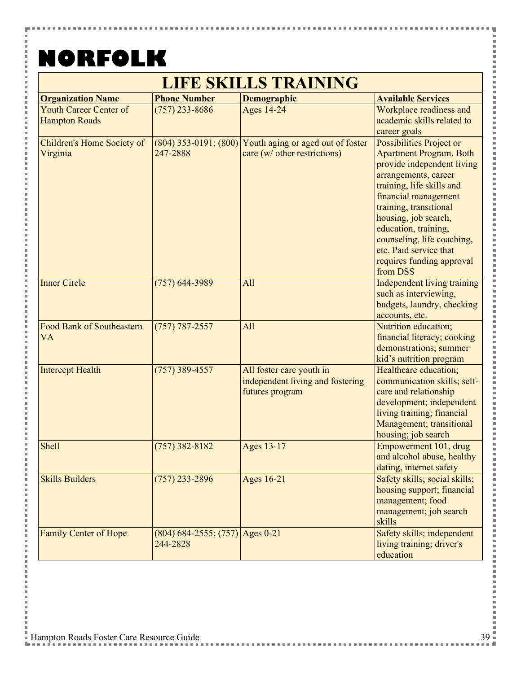H

Е

**Contract** 

 $\frac{1}{2}$ 

i

l Ė

i i

Ė

 $\overline{a}$ 

i

j.

l j. 

i

Ė

 $\overline{a}$ 

i

j. 

l

j. 

i

Ė

i

i j. i

Ė l j. j.

i Ė j.  $\overline{a}$ 

| <b>LIFE SKILLS TRAINING</b>                           |                                               |                                                                                 |                                                                                                                                                                                                                                                                                                                                                  |  |
|-------------------------------------------------------|-----------------------------------------------|---------------------------------------------------------------------------------|--------------------------------------------------------------------------------------------------------------------------------------------------------------------------------------------------------------------------------------------------------------------------------------------------------------------------------------------------|--|
| <b>Organization Name</b>                              | <b>Phone Number</b>                           | Demographic                                                                     | <b>Available Services</b>                                                                                                                                                                                                                                                                                                                        |  |
| <b>Youth Career Center of</b><br><b>Hampton Roads</b> | $(757)$ 233-8686                              | <b>Ages 14-24</b>                                                               | Workplace readiness and<br>academic skills related to<br>career goals                                                                                                                                                                                                                                                                            |  |
| Children's Home Society of<br>Virginia                | $(804)$ 353-0191; $(800)$<br>247-2888         | Youth aging or aged out of foster<br>care (w/ other restrictions)               | Possibilities Project or<br><b>Apartment Program. Both</b><br>provide independent living<br>arrangements, career<br>training, life skills and<br>financial management<br>training, transitional<br>housing, job search,<br>education, training,<br>counseling, life coaching,<br>etc. Paid service that<br>requires funding approval<br>from DSS |  |
| <b>Inner Circle</b>                                   | $(757)$ 644-3989                              | All                                                                             | Independent living training<br>such as interviewing,<br>budgets, laundry, checking<br>accounts, etc.                                                                                                                                                                                                                                             |  |
| <b>Food Bank of Southeastern</b><br><b>VA</b>         | $(757) 787 - 2557$                            | All                                                                             | Nutrition education;<br>financial literacy; cooking<br>demonstrations; summer<br>kid's nutrition program                                                                                                                                                                                                                                         |  |
| <b>Intercept Health</b>                               | $(757)$ 389-4557                              | All foster care youth in<br>independent living and fostering<br>futures program | Healthcare education;<br>communication skills; self-<br>care and relationship<br>development; independent<br>living training; financial<br>Management; transitional<br>housing; job search                                                                                                                                                       |  |
| Shell                                                 | $(757)$ 382-8182                              | Ages 13-17                                                                      | Empowerment 101, drug<br>and alcohol abuse, healthy<br>dating, internet safety                                                                                                                                                                                                                                                                   |  |
| <b>Skills Builders</b>                                | $(757)$ 233-2896                              | Ages 16-21                                                                      | Safety skills; social skills;<br>housing support; financial<br>management; food<br>management; job search<br>skills                                                                                                                                                                                                                              |  |
| Family Center of Hope                                 | $(804)$ 684-2555; (757) Ages 0-21<br>244-2828 |                                                                                 | Safety skills; independent<br>living training; driver's<br>education                                                                                                                                                                                                                                                                             |  |

Ŧ

Ì

i<br>I

l

i<br>I

l

×

j

l

×

医皮肤皮炎 医血管

i<br>I

l

×

İ

i<br>I

i<br>I

l

i<br>I

l

×

**Contract** 

医皮肤皮炎 医血管

,,,,,,,,,,,,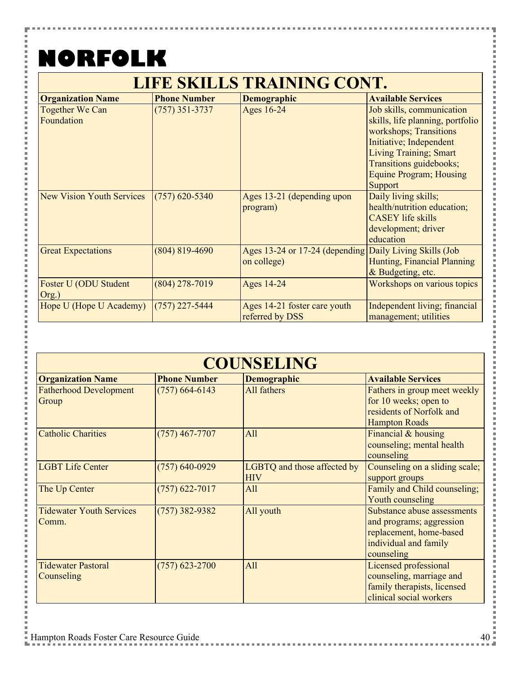н

医皮肤皮炎 医心脏

#### **LIFE SKILLS TRAINING CONT.**

| <b>Organization Name</b>  | <b>Phone Number</b> | <b>Demographic</b>                                      | <b>Available Services</b>        |
|---------------------------|---------------------|---------------------------------------------------------|----------------------------------|
| Together We Can           | $(757)$ 351-3737    | Ages 16-24                                              | Job skills, communication        |
| Foundation                |                     |                                                         | skills, life planning, portfolio |
|                           |                     |                                                         | workshops; Transitions           |
|                           |                     |                                                         | Initiative; Independent          |
|                           |                     |                                                         | Living Training; Smart           |
|                           |                     |                                                         | Transitions guidebooks;          |
|                           |                     |                                                         | <b>Equine Program</b> ; Housing  |
|                           |                     |                                                         | Support                          |
| New Vision Youth Services | $(757)$ 620-5340    | Ages 13-21 (depending upon                              | Daily living skills;             |
|                           |                     | program)                                                | health/nutrition education;      |
|                           |                     |                                                         | <b>CASEY</b> life skills         |
|                           |                     |                                                         | development; driver              |
|                           |                     |                                                         | education                        |
| <b>Great Expectations</b> | $(804) 819 - 4690$  | Ages 13-24 or 17-24 (depending Daily Living Skills (Job |                                  |
|                           |                     | on college)                                             | Hunting, Financial Planning      |
|                           |                     |                                                         | & Budgeting, etc.                |
| Foster U (ODU Student     | $(804)$ 278-7019    | <b>Ages 14-24</b>                                       | Workshops on various topics      |
| Org.)                     |                     |                                                         |                                  |
| Hope U (Hope U Academy)   | $(757)$ 227-5444    | Ages 14-21 foster care youth                            | Independent living; financial    |
|                           |                     | referred by DSS                                         | management; utilities            |

| <b>COUNSELING</b>                        |                     |                                           |                                                                                                                           |
|------------------------------------------|---------------------|-------------------------------------------|---------------------------------------------------------------------------------------------------------------------------|
| <b>Organization Name</b>                 | <b>Phone Number</b> | <b>Demographic</b>                        | <b>Available Services</b>                                                                                                 |
| <b>Fatherhood Development</b><br>Group   | $(757)$ 664-6143    | All fathers                               | Fathers in group meet weekly<br>for 10 weeks; open to<br>residents of Norfolk and<br><b>Hampton Roads</b>                 |
| <b>Catholic Charities</b>                | $(757)$ 467-7707    | All                                       | Financial & housing<br>counseling; mental health<br>counseling                                                            |
| <b>LGBT Life Center</b>                  | $(757)$ 640-0929    | LGBTQ and those affected by<br><b>HIV</b> | Counseling on a sliding scale;<br>support groups                                                                          |
| The Up Center                            | $(757)$ 622-7017    | All                                       | Family and Child counseling;<br>Youth counseling                                                                          |
| <b>Tidewater Youth Services</b><br>Comm. | $(757)$ 382-9382    | All youth                                 | Substance abuse assessments<br>and programs; aggression<br>replacement, home-based<br>individual and family<br>counseling |
| <b>Tidewater Pastoral</b><br>Counseling  | $(757)$ 623-2700    | All                                       | Licensed professional<br>counseling, marriage and<br>family therapists, licensed<br>clinical social workers               |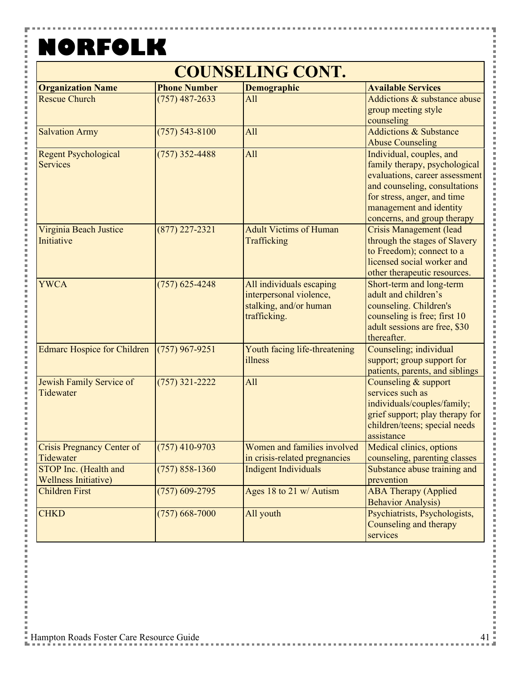Y

 $\frac{1}{2}$ 

#### **COUNSELING CONT.**

| <b>Organization Name</b>           | <b>Phone Number</b> | <b>Demographic</b>            | <b>Available Services</b>         |
|------------------------------------|---------------------|-------------------------------|-----------------------------------|
| <b>Rescue Church</b>               | $(757)$ 487-2633    | All                           | Addictions & substance abuse      |
|                                    |                     |                               | group meeting style               |
|                                    |                     |                               | counseling                        |
| <b>Salvation Army</b>              | $(757) 543 - 8100$  | All                           | <b>Addictions &amp; Substance</b> |
|                                    |                     |                               | <b>Abuse Counseling</b>           |
| <b>Regent Psychological</b>        | $(757)$ 352-4488    | All                           | Individual, couples, and          |
| <b>Services</b>                    |                     |                               | family therapy, psychological     |
|                                    |                     |                               | evaluations, career assessment    |
|                                    |                     |                               | and counseling, consultations     |
|                                    |                     |                               | for stress, anger, and time       |
|                                    |                     |                               | management and identity           |
|                                    |                     |                               | concerns, and group therapy       |
| Virginia Beach Justice             | $(877)$ 227-2321    | <b>Adult Victims of Human</b> | <b>Crisis Management (lead</b>    |
| Initiative                         |                     | Trafficking                   | through the stages of Slavery     |
|                                    |                     |                               | to Freedom); connect to a         |
|                                    |                     |                               | licensed social worker and        |
|                                    |                     |                               | other therapeutic resources.      |
| <b>YWCA</b>                        | $(757)$ 625-4248    | All individuals escaping      | Short-term and long-term          |
|                                    |                     | interpersonal violence,       | adult and children's              |
|                                    |                     | stalking, and/or human        | counseling. Children's            |
|                                    |                     | trafficking.                  | counseling is free; first 10      |
|                                    |                     |                               | adult sessions are free, \$30     |
|                                    |                     |                               | thereafter.                       |
| <b>Edmarc Hospice for Children</b> | $(757)$ 967-9251    | Youth facing life-threatening | Counseling; individual            |
|                                    |                     | illness                       | support; group support for        |
|                                    |                     |                               | patients, parents, and siblings   |
| Jewish Family Service of           | $(757)$ 321-2222    | All                           | Counseling & support              |
| Tidewater                          |                     |                               | services such as                  |
|                                    |                     |                               | individuals/couples/family;       |
|                                    |                     |                               | grief support; play therapy for   |
|                                    |                     |                               | children/teens; special needs     |
|                                    |                     |                               | assistance                        |
| <b>Crisis Pregnancy Center of</b>  | $(757)$ 410-9703    | Women and families involved   | Medical clinics, options          |
| Tidewater                          |                     | in crisis-related pregnancies | counseling, parenting classes     |
| STOP Inc. (Health and              | $(757) 858 - 1360$  | <b>Indigent Individuals</b>   | Substance abuse training and      |
| <b>Wellness Initiative)</b>        |                     |                               | prevention                        |
| <b>Children First</b>              | $(757)$ 609-2795    | Ages 18 to 21 w/ Autism       | <b>ABA Therapy (Applied</b>       |
|                                    |                     |                               | <b>Behavior Analysis)</b>         |
| <b>CHKD</b>                        | $(757) 668 - 7000$  | All youth                     | Psychiatrists, Psychologists,     |
|                                    |                     |                               | Counseling and therapy            |
|                                    |                     |                               | services                          |
|                                    |                     |                               |                                   |

i<br>S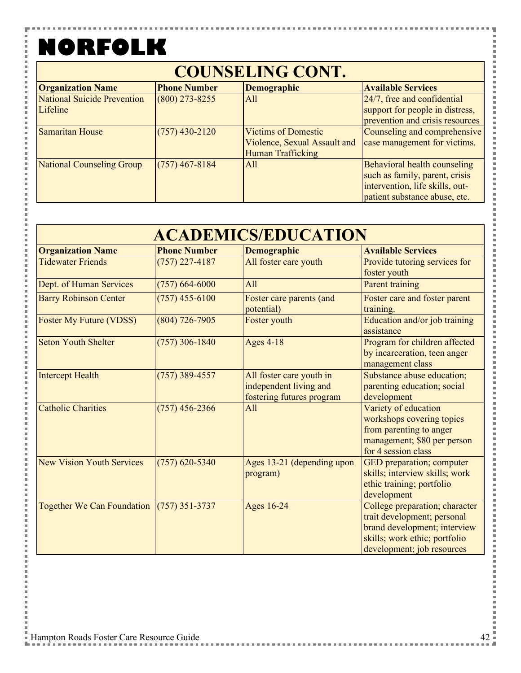Y

 $\frac{1}{2}$ 

#### **COUNSELING CONT.**

| <b>Organization Name</b>    | <b>Phone Number</b> | <b>Demographic</b>           | <b>Available Services</b>       |
|-----------------------------|---------------------|------------------------------|---------------------------------|
| National Suicide Prevention | $(800)$ 273-8255    | All                          | 24/7, free and confidential     |
| Lifeline                    |                     |                              | support for people in distress, |
|                             |                     |                              | prevention and crisis resources |
| <b>Samaritan House</b>      | $(757)$ 430-2120    | <b>Victims of Domestic</b>   | Counseling and comprehensive    |
|                             |                     | Violence, Sexual Assault and | case management for victims.    |
|                             |                     | <b>Human Trafficking</b>     |                                 |
| National Counseling Group   | $(757)$ 467-8184    | All                          | Behavioral health counseling    |
|                             |                     |                              | such as family, parent, crisis  |
|                             |                     |                              | intervention, life skills, out- |
|                             |                     |                              | patient substance abuse, etc.   |

| <b>ACADEMICS/EDUCATION</b>                |                     |                                                                                 |                                                                                                                                                              |
|-------------------------------------------|---------------------|---------------------------------------------------------------------------------|--------------------------------------------------------------------------------------------------------------------------------------------------------------|
| <b>Organization Name</b>                  | <b>Phone Number</b> | Demographic                                                                     | <b>Available Services</b>                                                                                                                                    |
| <b>Tidewater Friends</b>                  | $(757)$ 227-4187    | All foster care youth                                                           | Provide tutoring services for<br>foster youth                                                                                                                |
| Dept. of Human Services                   | $(757) 664 - 6000$  | All                                                                             | <b>Parent training</b>                                                                                                                                       |
| <b>Barry Robinson Center</b>              | $(757)$ 455-6100    | Foster care parents (and<br>potential)                                          | Foster care and foster parent<br>training.                                                                                                                   |
| <b>Foster My Future (VDSS)</b>            | $(804)$ 726-7905    | Foster youth                                                                    | Education and/or job training<br>assistance                                                                                                                  |
| <b>Seton Youth Shelter</b>                | $(757)$ 306-1840    | <b>Ages 4-18</b>                                                                | Program for children affected<br>by incarceration, teen anger<br>management class                                                                            |
| <b>Intercept Health</b>                   | $(757)$ 389-4557    | All foster care youth in<br>independent living and<br>fostering futures program | Substance abuse education;<br>parenting education; social<br>development                                                                                     |
| <b>Catholic Charities</b>                 | $(757)$ 456-2366    | All                                                                             | Variety of education<br>workshops covering topics<br>from parenting to anger<br>management; \$80 per person<br>for 4 session class                           |
| <b>New Vision Youth Services</b>          | $(757)$ 620-5340    | Ages 13-21 (depending upon<br>program)                                          | GED preparation; computer<br>skills; interview skills; work<br>ethic training; portfolio<br>development                                                      |
| Together We Can Foundation (757) 351-3737 |                     | Ages 16-24                                                                      | College preparation; character<br>trait development; personal<br>brand development; interview<br>skills; work ethic; portfolio<br>development; job resources |

l l

j

i<br>I

l

j

Ì ×

l

į

× l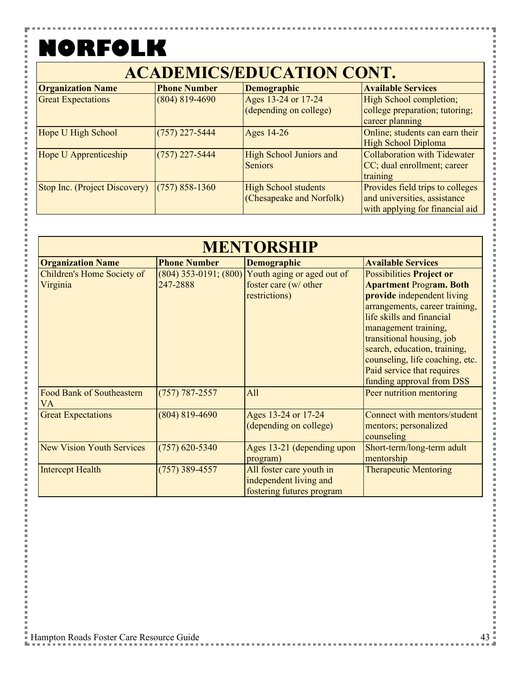F

 $\frac{1}{2}$ 

l Ė i

Ė

i i Ė  $\overline{a}$ i j. i

Ė l

j. j. i

j.

l Ė

 $\overline{a}$ 

j. l j. 

l j. 

i

Ė i i j. i

Ė l j. Ė i Ė j.  $\overline{a}$   $\blacksquare$ 

| <b>ACADEMICS/EDUCATION CONT.</b> |                     |                                                         |                                                                                                     |
|----------------------------------|---------------------|---------------------------------------------------------|-----------------------------------------------------------------------------------------------------|
| <b>Organization Name</b>         | <b>Phone Number</b> | <b>Demographic</b>                                      | <b>Available Services</b>                                                                           |
| <b>Great Expectations</b>        | $(804) 819 - 4690$  | Ages 13-24 or 17-24<br>(depending on college)           | High School completion;<br>college preparation; tutoring;<br>career planning                        |
| Hope U High School               | $(757)$ 227-5444    | Ages 14-26                                              | Online; students can earn their<br><b>High School Diploma</b>                                       |
| Hope U Apprenticeship            | $(757)$ 227-5444    | <b>High School Juniors and</b><br><b>Seniors</b>        | Collaboration with Tidewater<br>CC; dual enrollment; career<br>training                             |
| Stop Inc. (Project Discovery)    | $(757) 858 - 1360$  | <b>High School students</b><br>(Chesapeake and Norfolk) | Provides field trips to colleges<br>and universities, assistance<br>with applying for financial aid |

| <b>MENTORSHIP</b>                      |                                       |                                                                                 |                                                                                                                                                                                                                                                                                                                                                   |
|----------------------------------------|---------------------------------------|---------------------------------------------------------------------------------|---------------------------------------------------------------------------------------------------------------------------------------------------------------------------------------------------------------------------------------------------------------------------------------------------------------------------------------------------|
| <b>Organization Name</b>               | <b>Phone Number</b>                   | <b>Demographic</b>                                                              | <b>Available Services</b>                                                                                                                                                                                                                                                                                                                         |
| Children's Home Society of<br>Virginia | $(804)$ 353-0191; $(800)$<br>247-2888 | Youth aging or aged out of<br>foster care (w/ other<br>restrictions)            | <b>Possibilities Project or</b><br><b>Apartment Program. Both</b><br>provide independent living<br>arrangements, career training,<br>life skills and financial<br>management training,<br>transitional housing, job<br>search, education, training,<br>counseling, life coaching, etc.<br>Paid service that requires<br>funding approval from DSS |
| Food Bank of Southeastern<br><b>VA</b> | $(757) 787 - 2557$                    | All                                                                             | Peer nutrition mentoring                                                                                                                                                                                                                                                                                                                          |
| <b>Great Expectations</b>              | $(804) 819 - 4690$                    | Ages 13-24 or 17-24<br>(depending on college)                                   | Connect with mentors/student<br>mentors; personalized<br>counseling                                                                                                                                                                                                                                                                               |
| <b>New Vision Youth Services</b>       | $(757)$ 620-5340                      | Ages 13-21 (depending upon<br>program)                                          | Short-term/long-term adult<br>mentorship                                                                                                                                                                                                                                                                                                          |
| <b>Intercept Health</b>                | $(757)$ 389-4557                      | All foster care youth in<br>independent living and<br>fostering futures program | <b>Therapeutic Mentoring</b>                                                                                                                                                                                                                                                                                                                      |

Ŧ

i<br>I

l

l

Ì

×

**Contract** 

医皮肤皮炎 医血管

i i s

**Contract**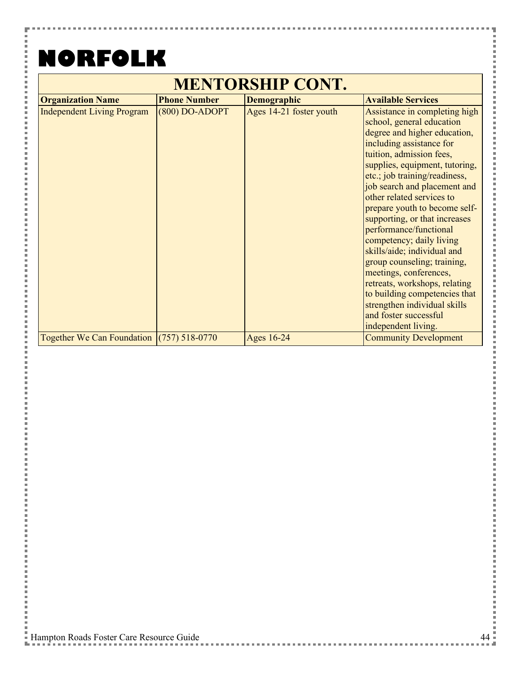#### **NORFOLK** $\overline{\phantom{0}}$

H

 $\frac{1}{2}$ 

i

i i

 $\frac{1}{2}$ 

 $\frac{1}{2}$  and  $\frac{1}{2}$  and  $\frac{1}{2}$  and  $\frac{1}{2}$  and  $\frac{1}{2}$  and  $\frac{1}{2}$  and  $\frac{1}{2}$  and  $\frac{1}{2}$  and  $\frac{1}{2}$  and  $\frac{1}{2}$  and  $\frac{1}{2}$  and  $\frac{1}{2}$  and  $\frac{1}{2}$  and  $\frac{1}{2}$  and  $\frac{1}{2}$  and  $\frac{1}{2}$  a

,,,,,,,,,,,,,,,,

 $\frac{1}{2}$  and  $\frac{1}{2}$  and  $\frac{1}{2}$  and  $\frac{1}{2}$  and  $\frac{1}{2}$  and  $\frac{1}{2}$  and  $\frac{1}{2}$  and  $\frac{1}{2}$  and  $\frac{1}{2}$  and  $\frac{1}{2}$  and  $\frac{1}{2}$  and  $\frac{1}{2}$  and  $\frac{1}{2}$  and  $\frac{1}{2}$  and  $\frac{1}{2}$  and  $\frac{1}{2}$  a

i

i Ė İ j.

| <b>MENTORSHIP CONT.</b>                   |                     |                         |                                                                                                                                                                                                                                                                                                                                                                                                                                                                                                                                                                                                                                                      |
|-------------------------------------------|---------------------|-------------------------|------------------------------------------------------------------------------------------------------------------------------------------------------------------------------------------------------------------------------------------------------------------------------------------------------------------------------------------------------------------------------------------------------------------------------------------------------------------------------------------------------------------------------------------------------------------------------------------------------------------------------------------------------|
| <b>Organization Name</b>                  | <b>Phone Number</b> | <b>Demographic</b>      | <b>Available Services</b>                                                                                                                                                                                                                                                                                                                                                                                                                                                                                                                                                                                                                            |
| <b>Independent Living Program</b>         | $(800)$ DO-ADOPT    | Ages 14-21 foster youth | Assistance in completing high<br>school, general education<br>degree and higher education,<br>including assistance for<br>tuition, admission fees,<br>supplies, equipment, tutoring,<br>etc.; job training/readiness,<br>job search and placement and<br>other related services to<br>prepare youth to become self-<br>supporting, or that increases<br>performance/functional<br>competency; daily living<br>skills/aide; individual and<br>group counseling; training,<br>meetings, conferences,<br>retreats, workshops, relating<br>to building competencies that<br>strengthen individual skills<br>and foster successful<br>independent living. |
| Together We Can Foundation (757) 518-0770 |                     | Ages 16-24              | <b>Community Development</b>                                                                                                                                                                                                                                                                                                                                                                                                                                                                                                                                                                                                                         |

Ŧ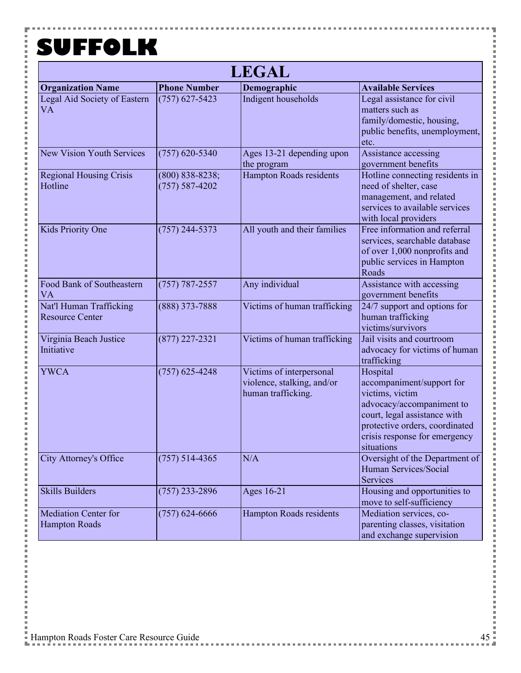Y

į

Î  $\frac{1}{2}$ 

医皮肤皮炎 医心脏

 $\frac{1}{2}$  and  $\frac{1}{2}$  and  $\frac{1}{2}$  and  $\frac{1}{2}$  and  $\frac{1}{2}$  and  $\frac{1}{2}$  and  $\frac{1}{2}$  and  $\frac{1}{2}$  and  $\frac{1}{2}$  and  $\frac{1}{2}$  and  $\frac{1}{2}$  and  $\frac{1}{2}$  and  $\frac{1}{2}$  and  $\frac{1}{2}$  and  $\frac{1}{2}$  and  $\frac{1}{2}$  a

Ė

 $\frac{1}{2}$ 

| <b>LEGAL</b>                                        |                                           |                                                                              |                                                                                                                                                                                                        |  |
|-----------------------------------------------------|-------------------------------------------|------------------------------------------------------------------------------|--------------------------------------------------------------------------------------------------------------------------------------------------------------------------------------------------------|--|
| <b>Organization Name</b>                            | <b>Phone Number</b>                       | Demographic                                                                  | <b>Available Services</b>                                                                                                                                                                              |  |
| Legal Aid Society of Eastern<br><b>VA</b>           | $(757)$ 627-5423                          | Indigent households                                                          | Legal assistance for civil<br>matters such as<br>family/domestic, housing,<br>public benefits, unemployment,<br>etc.                                                                                   |  |
| <b>New Vision Youth Services</b>                    | $(757)$ 620-5340                          | Ages 13-21 depending upon<br>the program                                     | Assistance accessing<br>government benefits                                                                                                                                                            |  |
| <b>Regional Housing Crisis</b><br>Hotline           | $(800) 838 - 8238;$<br>$(757) 587 - 4202$ | <b>Hampton Roads residents</b>                                               | Hotline connecting residents in<br>need of shelter, case<br>management, and related<br>services to available services<br>with local providers                                                          |  |
| Kids Priority One                                   | $(757)$ 244-5373                          | All youth and their families                                                 | Free information and referral<br>services, searchable database<br>of over 1,000 nonprofits and<br>public services in Hampton<br>Roads                                                                  |  |
| Food Bank of Southeastern<br><b>VA</b>              | $(757) 787 - 2557$                        | Any individual                                                               | Assistance with accessing<br>government benefits                                                                                                                                                       |  |
| Nat'l Human Trafficking<br><b>Resource Center</b>   | $(888)$ 373-7888                          | Victims of human trafficking                                                 | 24/7 support and options for<br>human trafficking<br>victims/survivors                                                                                                                                 |  |
| Virginia Beach Justice<br>Initiative                | $(877)$ 227-2321                          | Victims of human trafficking                                                 | Jail visits and courtroom<br>advocacy for victims of human<br>trafficking                                                                                                                              |  |
| <b>YWCA</b>                                         | $(757)$ 625-4248                          | Victims of interpersonal<br>violence, stalking, and/or<br>human trafficking. | Hospital<br>accompaniment/support for<br>victims, victim<br>advocacy/accompaniment to<br>court, legal assistance with<br>protective orders, coordinated<br>crisis response for emergency<br>sıtuatıons |  |
| <b>City Attorney's Office</b>                       | $(757)$ 514-4365                          | N/A                                                                          | Oversight of the Department of<br><b>Human Services/Social</b><br>Services                                                                                                                             |  |
| <b>Skills Builders</b>                              | $(757)$ 233-2896                          | Ages 16-21                                                                   | Housing and opportunities to<br>move to self-sufficiency                                                                                                                                               |  |
| <b>Mediation Center for</b><br><b>Hampton Roads</b> | $(757)$ 624-6666                          | <b>Hampton Roads residents</b>                                               | Mediation services, co-<br>parenting classes, visitation<br>and exchange supervision                                                                                                                   |  |

ŧ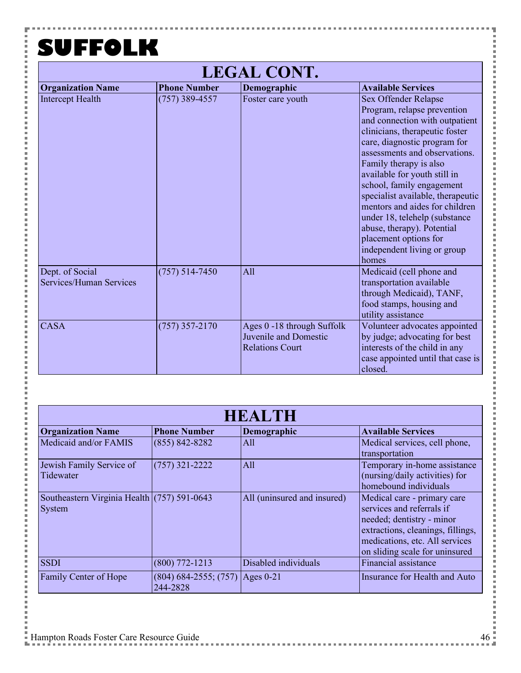Y

 $\frac{1}{2}$ 

一 一 一 i j. i<br>I i i i i

i

,,,,,,,,,,,,,,,,

 $\frac{1}{2}$ 

 $\frac{1}{2}$  and  $\frac{1}{2}$  and  $\frac{1}{2}$  and  $\frac{1}{2}$  and  $\frac{1}{2}$  and  $\frac{1}{2}$  and  $\frac{1}{2}$  and  $\frac{1}{2}$  and  $\frac{1}{2}$  and  $\frac{1}{2}$  and  $\frac{1}{2}$  and  $\frac{1}{2}$  and  $\frac{1}{2}$  and  $\frac{1}{2}$  and  $\frac{1}{2}$  and  $\frac{1}{2}$  a

,,,,,,,,,,,,,,,,

 $\frac{1}{2}$  and  $\frac{1}{2}$  and  $\frac{1}{2}$  and  $\frac{1}{2}$ 

i i

i Ė 一 一 一 i

| <b>LEGAL CONT.</b>                         |                     |                                                                               |                                                                                                                                                                                                                                                                                                                                                                                                                                                                                        |  |
|--------------------------------------------|---------------------|-------------------------------------------------------------------------------|----------------------------------------------------------------------------------------------------------------------------------------------------------------------------------------------------------------------------------------------------------------------------------------------------------------------------------------------------------------------------------------------------------------------------------------------------------------------------------------|--|
| <b>Organization Name</b>                   | <b>Phone Number</b> | Demographic                                                                   | <b>Available Services</b>                                                                                                                                                                                                                                                                                                                                                                                                                                                              |  |
| <b>Intercept Health</b>                    | $(757)$ 389-4557    | Foster care youth                                                             | Sex Offender Relapse<br>Program, relapse prevention<br>and connection with outpatient<br>clinicians, therapeutic foster<br>care, diagnostic program for<br>assessments and observations.<br>Family therapy is also<br>available for youth still in<br>school, family engagement<br>specialist available, therapeutic<br>mentors and aides for children<br>under 18, telehelp (substance<br>abuse, therapy). Potential<br>placement options for<br>independent living or group<br>homes |  |
| Dept. of Social<br>Services/Human Services | $(757) 514 - 7450$  | All                                                                           | Medicaid (cell phone and<br>transportation available<br>through Medicaid), TANF,<br>food stamps, housing and<br>utility assistance                                                                                                                                                                                                                                                                                                                                                     |  |
| <b>CASA</b>                                | $(757)$ 357-2170    | Ages 0 -18 through Suffolk<br>Juvenile and Domestic<br><b>Relations Court</b> | Volunteer advocates appointed<br>by judge; advocating for best<br>interests of the child in any<br>case appointed until that case is<br>closed.                                                                                                                                                                                                                                                                                                                                        |  |

| <b>HEALTH</b>                                           |                                       |                             |                                                                                                                                                                                                |
|---------------------------------------------------------|---------------------------------------|-----------------------------|------------------------------------------------------------------------------------------------------------------------------------------------------------------------------------------------|
| <b>Organization Name</b>                                | <b>Phone Number</b>                   | Demographic                 | <b>Available Services</b>                                                                                                                                                                      |
| Medicaid and/or FAMIS                                   | $(855) 842 - 8282$                    | All                         | Medical services, cell phone,<br>transportation                                                                                                                                                |
| Jewish Family Service of<br>Tidewater                   | $(757)$ 321-2222                      | All                         | Temporary in-home assistance<br>(nursing/daily activities) for<br>homebound individuals                                                                                                        |
| Southeastern Virginia Health $(757)$ 591-0643<br>System |                                       | All (uninsured and insured) | Medical care - primary care<br>services and referrals if<br>needed; dentistry - minor<br>extractions, cleanings, fillings,<br>medications, etc. All services<br>on sliding scale for uninsured |
| <b>SSDI</b>                                             | $(800)$ 772-1213                      | Disabled individuals        | Financial assistance                                                                                                                                                                           |
| Family Center of Hope                                   | $(804) 684 - 2555; (757)$<br>244-2828 | Ages $0-21$                 | Insurance for Health and Auto                                                                                                                                                                  |

l ×

ŧ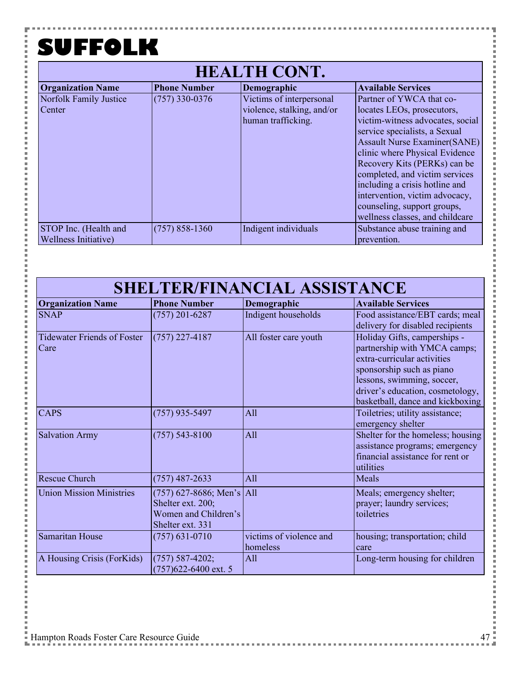۵

| <b>HEALTH CONT.</b>                           |                     |                                                                              |                                                                                                                                                                                                                                                                                                                                                                                                              |
|-----------------------------------------------|---------------------|------------------------------------------------------------------------------|--------------------------------------------------------------------------------------------------------------------------------------------------------------------------------------------------------------------------------------------------------------------------------------------------------------------------------------------------------------------------------------------------------------|
| <b>Organization Name</b>                      | <b>Phone Number</b> | Demographic                                                                  | <b>Available Services</b>                                                                                                                                                                                                                                                                                                                                                                                    |
| Norfolk Family Justice<br>Center              | $(757)$ 330-0376    | Victims of interpersonal<br>violence, stalking, and/or<br>human trafficking. | Partner of YWCA that co-<br>locates LEOs, prosecutors,<br>victim-witness advocates, social<br>service specialists, a Sexual<br><b>Assault Nurse Examiner(SANE)</b><br>clinic where Physical Evidence<br>Recovery Kits (PERKs) can be<br>completed, and victim services<br>including a crisis hotline and<br>intervention, victim advocacy,<br>counseling, support groups,<br>wellness classes, and childcare |
| STOP Inc. (Health and<br>Wellness Initiative) | $(757)$ 858-1360    | Indigent individuals                                                         | Substance abuse training and<br>prevention.                                                                                                                                                                                                                                                                                                                                                                  |

| <b>Organization Name</b>                   | <b>Phone Number</b>                                                                          | Demographic                         | <b>Available Services</b>                                                                                                                                                                                                      |
|--------------------------------------------|----------------------------------------------------------------------------------------------|-------------------------------------|--------------------------------------------------------------------------------------------------------------------------------------------------------------------------------------------------------------------------------|
| <b>SNAP</b>                                | $(757)$ 201-6287                                                                             | Indigent households                 | Food assistance/EBT cards; meal<br>delivery for disabled recipients                                                                                                                                                            |
| <b>Tidewater Friends of Foster</b><br>Care | $(757)$ 227-4187                                                                             | All foster care youth               | Holiday Gifts, camperships -<br>partnership with YMCA camps;<br>extra-curricular activities<br>sponsorship such as piano<br>lessons, swimming, soccer,<br>driver's education, cosmetology,<br>basketball, dance and kickboxing |
| <b>CAPS</b>                                | $(757)$ 935-5497                                                                             | All                                 | Toiletries; utility assistance;<br>emergency shelter                                                                                                                                                                           |
| <b>Salvation Army</b>                      | $(757)$ 543-8100                                                                             | All                                 | Shelter for the homeless; housing<br>assistance programs; emergency<br>financial assistance for rent or<br>utilities                                                                                                           |
| Rescue Church                              | $(757)$ 487-2633                                                                             | All                                 | Meals                                                                                                                                                                                                                          |
| <b>Union Mission Ministries</b>            | $(757)$ 627-8686; Men's All<br>Shelter ext. 200;<br>Women and Children's<br>Shelter ext. 331 |                                     | Meals; emergency shelter;<br>prayer; laundry services;<br>toiletries                                                                                                                                                           |
| Samaritan House                            | $(757)$ 631-0710                                                                             | victims of violence and<br>homeless | housing; transportation; child<br>care                                                                                                                                                                                         |
| A Housing Crisis (ForKids)                 | $(757) 587 - 4202;$<br>$(757)622 - 6400$ ext. 5                                              | All                                 | Long-term housing for children                                                                                                                                                                                                 |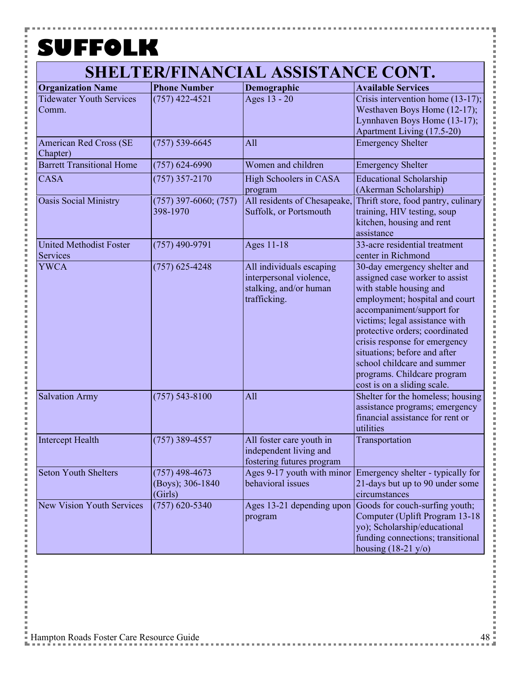۵

| <b>Organization Name</b>                   | <b>Phone Number</b>                             | Demographic                                                                                   | <b>Available Services</b>                                                                                                                                                                                                                                                                                                                                                                  |
|--------------------------------------------|-------------------------------------------------|-----------------------------------------------------------------------------------------------|--------------------------------------------------------------------------------------------------------------------------------------------------------------------------------------------------------------------------------------------------------------------------------------------------------------------------------------------------------------------------------------------|
| <b>Tidewater Youth Services</b><br>Comm.   | $(757)$ 422-4521                                | Ages 13 - 20                                                                                  | Crisis intervention home (13-17);<br>Westhaven Boys Home (12-17);<br>Lynnhaven Boys Home (13-17);<br>Apartment Living (17.5-20)                                                                                                                                                                                                                                                            |
| <b>American Red Cross (SE</b><br>Chapter)  | $(757) 539 - 6645$                              | All                                                                                           | <b>Emergency Shelter</b>                                                                                                                                                                                                                                                                                                                                                                   |
| <b>Barrett Transitional Home</b>           | $(757)$ 624-6990                                | Women and children                                                                            | <b>Emergency Shelter</b>                                                                                                                                                                                                                                                                                                                                                                   |
| <b>CASA</b>                                | $(757)$ 357-2170                                | High Schoolers in CASA<br>program                                                             | <b>Educational Scholarship</b><br>(Akerman Scholarship)                                                                                                                                                                                                                                                                                                                                    |
| <b>Oasis Social Ministry</b>               | $(757)$ 397-6060; $(757)$<br>398-1970           | All residents of Chesapeake,<br>Suffolk, or Portsmouth                                        | Thrift store, food pantry, culinary<br>training, HIV testing, soup<br>kitchen, housing and rent<br>assistance                                                                                                                                                                                                                                                                              |
| <b>United Methodist Foster</b><br>Services | $(757)$ 490-9791                                | Ages 11-18                                                                                    | 33-acre residential treatment<br>center in Richmond                                                                                                                                                                                                                                                                                                                                        |
| <b>YWCA</b>                                | $(757)$ 625-4248                                | All individuals escaping<br>interpersonal violence,<br>stalking, and/or human<br>trafficking. | 30-day emergency shelter and<br>assigned case worker to assist<br>with stable housing and<br>employment; hospital and court<br>accompaniment/support for<br>victims; legal assistance with<br>protective orders; coordinated<br>crisis response for emergency<br>situations; before and after<br>school childcare and summer<br>programs. Childcare program<br>cost is on a sliding scale. |
| <b>Salvation Army</b>                      | $(757) 543 - 8100$                              | All                                                                                           | Shelter for the homeless; housing<br>assistance programs; emergency<br>financial assistance for rent or<br>utilities                                                                                                                                                                                                                                                                       |
| Intercept Health                           | $(757)$ 389-4557                                | All foster care youth in<br>independent living and<br>fostering futures program               | Transportation                                                                                                                                                                                                                                                                                                                                                                             |
| <b>Seton Youth Shelters</b>                | $(757)$ 498-4673<br>(Boys); 306-1840<br>(Girls) | behavioral issues                                                                             | Ages 9-17 youth with minor Emergency shelter - typically for<br>21-days but up to 90 under some<br>circumstances                                                                                                                                                                                                                                                                           |
| <b>New Vision Youth Services</b>           | $(757)$ 620-5340                                | Ages 13-21 depending upon<br>program                                                          | Goods for couch-surfing youth;<br>Computer (Uplift Program 13-18<br>yo); Scholarship/educational<br>funding connections; transitional<br>housing $(18-21 \text{ y/o})$                                                                                                                                                                                                                     |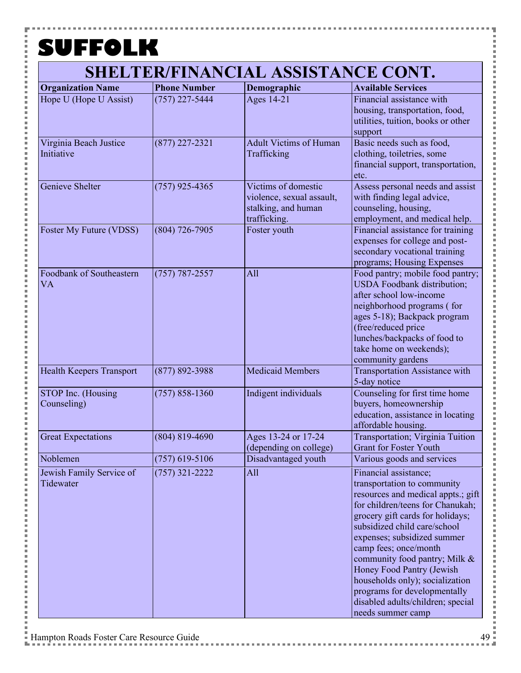P

| <b>Organization Name</b>              | <b>Phone Number</b> | Demographic                                                                             | <b>Available Services</b>                                                                                                                                                                                                                                                                                                                                                                                                                             |
|---------------------------------------|---------------------|-----------------------------------------------------------------------------------------|-------------------------------------------------------------------------------------------------------------------------------------------------------------------------------------------------------------------------------------------------------------------------------------------------------------------------------------------------------------------------------------------------------------------------------------------------------|
| Hope U (Hope U Assist)                | $(757)$ 227-5444    | Ages 14-21                                                                              | Financial assistance with<br>housing, transportation, food,<br>utilities, tuition, books or other<br>support                                                                                                                                                                                                                                                                                                                                          |
| Virginia Beach Justice<br>Initiative  | $(877)$ 227-2321    | <b>Adult Victims of Human</b><br>Trafficking                                            | Basic needs such as food,<br>clothing, toiletries, some<br>financial support, transportation,<br>etc.                                                                                                                                                                                                                                                                                                                                                 |
| Genieve Shelter                       | $(757)$ 925-4365    | Victims of domestic<br>violence, sexual assault,<br>stalking, and human<br>trafficking. | Assess personal needs and assist<br>with finding legal advice,<br>counseling, housing,<br>employment, and medical help.                                                                                                                                                                                                                                                                                                                               |
| Foster My Future (VDSS)               | $(804)$ 726-7905    | Foster youth                                                                            | Financial assistance for training<br>expenses for college and post-<br>secondary vocational training<br>programs; Housing Expenses                                                                                                                                                                                                                                                                                                                    |
| Foodbank of Southeastern<br><b>VA</b> | $(757) 787 - 2557$  | All                                                                                     | Food pantry; mobile food pantry;<br><b>USDA</b> Foodbank distribution;<br>after school low-income<br>neighborhood programs (for<br>ages 5-18); Backpack program<br>(free/reduced price<br>lunches/backpacks of food to<br>take home on weekends);<br>community gardens                                                                                                                                                                                |
| Health Keepers Transport              | $(877) 892 - 3988$  | <b>Medicaid Members</b>                                                                 | <b>Transportation Assistance with</b><br>5-day notice                                                                                                                                                                                                                                                                                                                                                                                                 |
| STOP Inc. (Housing<br>Counseling)     | $(757) 858 - 1360$  | Indigent individuals                                                                    | Counseling for first time home<br>buyers, homeownership<br>education, assistance in locating<br>affordable housing.                                                                                                                                                                                                                                                                                                                                   |
| <b>Great Expectations</b>             | $(804)$ 819-4690    | Ages 13-24 or 17-24<br>(depending on college)                                           | Transportation; Virginia Tuition<br><b>Grant for Foster Youth</b>                                                                                                                                                                                                                                                                                                                                                                                     |
| Noblemen                              | $(757)$ 619-5106    | Disadvantaged youth                                                                     | Various goods and services                                                                                                                                                                                                                                                                                                                                                                                                                            |
| Jewish Family Service of<br>Tidewater | $(757)$ 321-2222    | All                                                                                     | Financial assistance;<br>transportation to community<br>resources and medical appts.; gift<br>for children/teens for Chanukah;<br>grocery gift cards for holidays;<br>subsidized child care/school<br>expenses; subsidized summer<br>camp fees; once/month<br>community food pantry; Milk &<br>Honey Food Pantry (Jewish<br>households only); socialization<br>programs for developmentally<br>disabled adults/children; special<br>needs summer camp |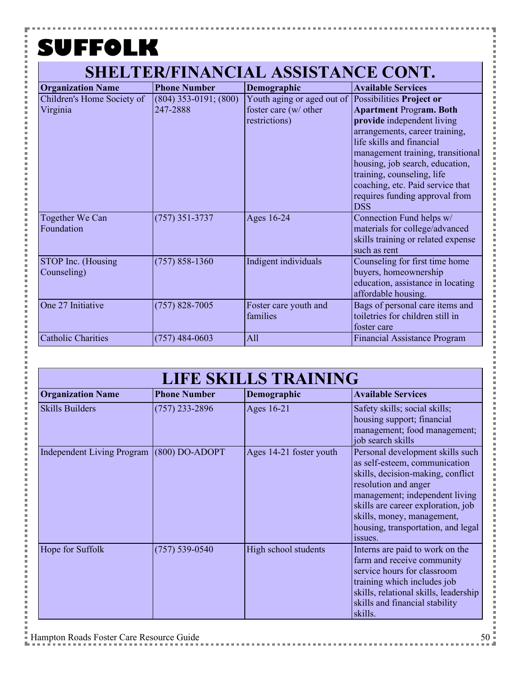P

| <b>Organization Name</b>               | <b>Phone Number</b>                   | Demographic                                                                                   | <b>Available Services</b>                                                                                                                                                                                                                                                                                             |
|----------------------------------------|---------------------------------------|-----------------------------------------------------------------------------------------------|-----------------------------------------------------------------------------------------------------------------------------------------------------------------------------------------------------------------------------------------------------------------------------------------------------------------------|
| Children's Home Society of<br>Virginia | $(804)$ 353-0191; $(800)$<br>247-2888 | Youth aging or aged out of Possibilities Project or<br>foster care (w/ other<br>restrictions) | <b>Apartment Program. Both</b><br>provide independent living<br>arrangements, career training,<br>life skills and financial<br>management training, transitional<br>housing, job search, education,<br>training, counseling, life<br>coaching, etc. Paid service that<br>requires funding approval from<br><b>DSS</b> |
| Together We Can<br>Foundation          | $(757)$ 351-3737                      | Ages 16-24                                                                                    | Connection Fund helps w/<br>materials for college/advanced<br>skills training or related expense<br>such as rent                                                                                                                                                                                                      |
| STOP Inc. (Housing<br>Counseling)      | $(757)$ 858-1360                      | Indigent individuals                                                                          | Counseling for first time home<br>buyers, homeownership<br>education, assistance in locating<br>affordable housing.                                                                                                                                                                                                   |
| One 27 Initiative                      | $(757)$ 828-7005                      | Foster care youth and<br>families                                                             | Bags of personal care items and<br>toiletries for children still in<br>foster care                                                                                                                                                                                                                                    |
| <b>Catholic Charities</b>              | $(757)$ 484-0603                      | All                                                                                           | <b>Financial Assistance Program</b>                                                                                                                                                                                                                                                                                   |

| <b>LIFE SKILLS TRAINING</b>       |                     |                         |                                                                                                                                                                                                                                                                                       |
|-----------------------------------|---------------------|-------------------------|---------------------------------------------------------------------------------------------------------------------------------------------------------------------------------------------------------------------------------------------------------------------------------------|
| <b>Organization Name</b>          | <b>Phone Number</b> | Demographic             | <b>Available Services</b>                                                                                                                                                                                                                                                             |
| <b>Skills Builders</b>            | $(757)$ 233-2896    | Ages 16-21              | Safety skills; social skills;<br>housing support; financial<br>management; food management;<br>job search skills                                                                                                                                                                      |
| <b>Independent Living Program</b> | $(800)$ DO-ADOPT    | Ages 14-21 foster youth | Personal development skills such<br>as self-esteem, communication<br>skills, decision-making, conflict<br>resolution and anger<br>management; independent living<br>skills are career exploration, job<br>skills, money, management,<br>housing, transportation, and legal<br>issues. |
| Hope for Suffolk                  | $(757) 539 - 0540$  | High school students    | Interns are paid to work on the<br>farm and receive community<br>service hours for classroom<br>training which includes job<br>skills, relational skills, leadership<br>skills and financial stability<br>skills.                                                                     |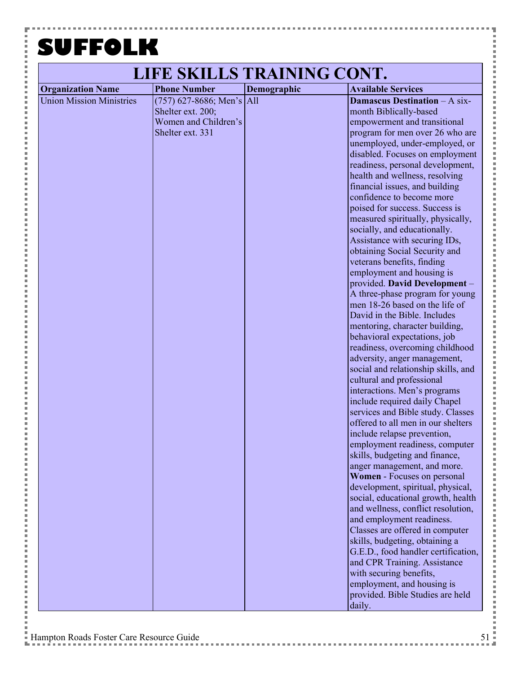F

**Contract** 

j.

 $\frac{1}{2}$  and  $\frac{1}{2}$  and  $\frac{1}{2}$  and  $\frac{1}{2}$  and  $\frac{1}{2}$  and  $\frac{1}{2}$  and  $\frac{1}{2}$  and  $\frac{1}{2}$  and  $\frac{1}{2}$  and  $\frac{1}{2}$  and  $\frac{1}{2}$  and  $\frac{1}{2}$  and  $\frac{1}{2}$  and  $\frac{1}{2}$  and  $\frac{1}{2}$  and  $\frac{1}{2}$  a

i

i Ė l j. i

i Ė

 $\frac{1}{2}$ 

 $\frac{1}{2}$  and  $\frac{1}{2}$  and  $\frac{1}{2}$  and  $\frac{1}{2}$  and  $\frac{1}{2}$  and  $\frac{1}{2}$  and  $\frac{1}{2}$  and  $\frac{1}{2}$  and  $\frac{1}{2}$  and  $\frac{1}{2}$  and  $\frac{1}{2}$  and  $\frac{1}{2}$  and  $\frac{1}{2}$  and  $\frac{1}{2}$  and  $\frac{1}{2}$  and  $\frac{1}{2}$  a

i

i Ė

 $\frac{1}{2}$ 

 $\frac{1}{2}$  and  $\frac{1}{2}$  and  $\frac{1}{2}$  and  $\frac{1}{2}$  and  $\frac{1}{2}$  and  $\frac{1}{2}$  and  $\frac{1}{2}$  and  $\frac{1}{2}$  and  $\frac{1}{2}$  and  $\frac{1}{2}$  and  $\frac{1}{2}$  and  $\frac{1}{2}$  and  $\frac{1}{2}$  and  $\frac{1}{2}$  and  $\frac{1}{2}$  and  $\frac{1}{2}$  a

i

i<br>I Ė

 $\frac{1}{2}$ 

 $\frac{1}{2}$  and  $\frac{1}{2}$  and  $\frac{1}{2}$  and  $\frac{1}{2}$  and  $\frac{1}{2}$  and  $\frac{1}{2}$  and  $\frac{1}{2}$  and  $\frac{1}{2}$  and  $\frac{1}{2}$  and  $\frac{1}{2}$  and  $\frac{1}{2}$  and  $\frac{1}{2}$  and  $\frac{1}{2}$  and  $\frac{1}{2}$  and  $\frac{1}{2}$  and  $\frac{1}{2}$  a

こうしょう こうしょう

i Ė  $\overline{a}$ Ė

|                                 | LIFE SKILLS TRAINING CONT.                                                                   |             |                                                                                                                                                                                                                                                                                                                                                                                                                                                                                                                                                                                                                                                                                                                                                                                                                                                                                                                                                                                                                                                                                                                                                                                                                                                                                                                                                                                                                                                                                                                                                                                                                                              |
|---------------------------------|----------------------------------------------------------------------------------------------|-------------|----------------------------------------------------------------------------------------------------------------------------------------------------------------------------------------------------------------------------------------------------------------------------------------------------------------------------------------------------------------------------------------------------------------------------------------------------------------------------------------------------------------------------------------------------------------------------------------------------------------------------------------------------------------------------------------------------------------------------------------------------------------------------------------------------------------------------------------------------------------------------------------------------------------------------------------------------------------------------------------------------------------------------------------------------------------------------------------------------------------------------------------------------------------------------------------------------------------------------------------------------------------------------------------------------------------------------------------------------------------------------------------------------------------------------------------------------------------------------------------------------------------------------------------------------------------------------------------------------------------------------------------------|
| <b>Organization Name</b>        | <b>Phone Number</b>                                                                          | Demographic | <b>Available Services</b>                                                                                                                                                                                                                                                                                                                                                                                                                                                                                                                                                                                                                                                                                                                                                                                                                                                                                                                                                                                                                                                                                                                                                                                                                                                                                                                                                                                                                                                                                                                                                                                                                    |
| <b>Union Mission Ministries</b> | $(757)$ 627-8686; Men's All<br>Shelter ext. 200;<br>Women and Children's<br>Shelter ext. 331 |             | <b>Damascus Destination - A six-</b><br>month Biblically-based<br>empowerment and transitional<br>program for men over 26 who are<br>unemployed, under-employed, or<br>disabled. Focuses on employment<br>readiness, personal development,<br>health and wellness, resolving<br>financial issues, and building<br>confidence to become more<br>poised for success. Success is<br>measured spiritually, physically,<br>socially, and educationally.<br>Assistance with securing IDs,<br>obtaining Social Security and<br>veterans benefits, finding<br>employment and housing is<br>provided. David Development -<br>A three-phase program for young<br>men 18-26 based on the life of<br>David in the Bible. Includes<br>mentoring, character building,<br>behavioral expectations, job<br>readiness, overcoming childhood<br>adversity, anger management,<br>social and relationship skills, and<br>cultural and professional<br>interactions. Men's programs<br>include required daily Chapel<br>services and Bible study. Classes<br>offered to all men in our shelters<br>include relapse prevention,<br>employment readiness, computer<br>skills, budgeting and finance,<br>anger management, and more.<br>Women - Focuses on personal<br>development, spiritual, physical,<br>social, educational growth, health<br>and wellness, conflict resolution,<br>and employment readiness.<br>Classes are offered in computer<br>skills, budgeting, obtaining a<br>G.E.D., food handler certification,<br>and CPR Training. Assistance<br>with securing benefits,<br>employment, and housing is<br>provided. Bible Studies are held<br>daily. |

ŧ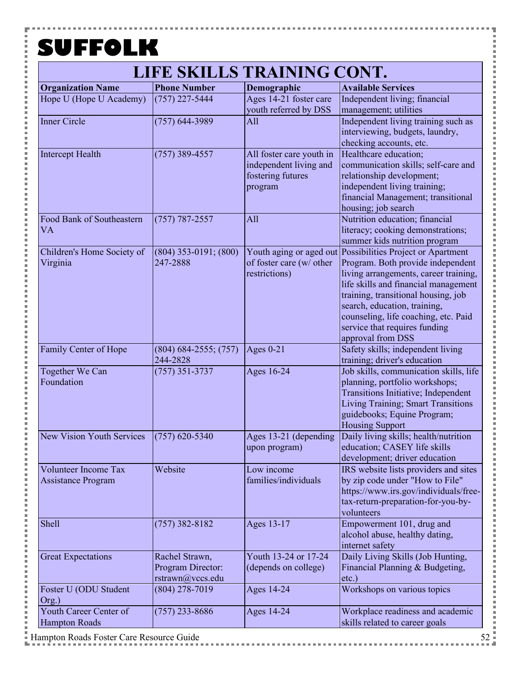P

医皮肤皮炎 医心脏

### **LIFE SKILLS TRAINING CONT.**

| <b>Organization Name</b>         | <b>Phone Number</b>       | Demographic              | <b>Available Services</b>                                  |
|----------------------------------|---------------------------|--------------------------|------------------------------------------------------------|
| Hope U (Hope U Academy)          | $(757)$ 227-5444          | Ages 14-21 foster care   | Independent living; financial                              |
|                                  |                           | youth referred by DSS    | management; utilities                                      |
| <b>Inner Circle</b>              | $(757)$ 644-3989          | All                      | Independent living training such as                        |
|                                  |                           |                          | interviewing, budgets, laundry,                            |
|                                  |                           |                          | checking accounts, etc.                                    |
| <b>Intercept Health</b>          | $(757)$ 389-4557          | All foster care youth in | Healthcare education;                                      |
|                                  |                           | independent living and   | communication skills; self-care and                        |
|                                  |                           | fostering futures        | relationship development;                                  |
|                                  |                           | program                  | independent living training;                               |
|                                  |                           |                          | financial Management; transitional                         |
|                                  |                           |                          | housing; job search                                        |
| Food Bank of Southeastern        | $(757) 787 - 2557$        | All                      | Nutrition education; financial                             |
| <b>VA</b>                        |                           |                          | literacy; cooking demonstrations;                          |
|                                  |                           |                          | summer kids nutrition program                              |
| Children's Home Society of       | $(804)$ 353-0191; (800)   |                          | Youth aging or aged out Possibilities Project or Apartment |
| Virginia                         | 247-2888                  | of foster care (w/ other | Program. Both provide independent                          |
|                                  |                           | restrictions)            | living arrangements, career training,                      |
|                                  |                           |                          | life skills and financial management                       |
|                                  |                           |                          | training, transitional housing, job                        |
|                                  |                           |                          | search, education, training,                               |
|                                  |                           |                          | counseling, life coaching, etc. Paid                       |
|                                  |                           |                          | service that requires funding                              |
|                                  |                           |                          | approval from DSS                                          |
| Family Center of Hope            | $(804) 684 - 2555; (757)$ | Ages $0-21$              | Safety skills; independent living                          |
|                                  | 244-2828                  |                          | training; driver's education                               |
| Together We Can                  | $(757)$ 351-3737          | Ages 16-24               | Job skills, communication skills, life                     |
| Foundation                       |                           |                          | planning, portfolio workshops;                             |
|                                  |                           |                          | Transitions Initiative; Independent                        |
|                                  |                           |                          | Living Training; Smart Transitions                         |
|                                  |                           |                          | guidebooks; Equine Program;                                |
|                                  |                           |                          | <b>Housing Support</b>                                     |
| <b>New Vision Youth Services</b> | $(757)$ 620-5340          | Ages 13-21 (depending    | Daily living skills; health/nutrition                      |
|                                  |                           | upon program)            | education; CASEY life skills                               |
|                                  |                           |                          | development; driver education                              |
| <b>Volunteer Income Tax</b>      | Website                   | Low income               | IRS website lists providers and sites                      |
| <b>Assistance Program</b>        |                           | families/individuals     | by zip code under "How to File"                            |
|                                  |                           |                          | https://www.irs.gov/individuals/free-                      |
|                                  |                           |                          | tax-return-preparation-for-you-by-                         |
|                                  |                           |                          | volunteers                                                 |
| Shell                            | $(757)$ 382-8182          | Ages 13-17               | Empowerment 101, drug and                                  |
|                                  |                           |                          | alcohol abuse, healthy dating,                             |
|                                  |                           |                          | internet safety                                            |
| <b>Great Expectations</b>        | Rachel Strawn,            | Youth 13-24 or 17-24     | Daily Living Skills (Job Hunting,                          |
|                                  | Program Director:         | (depends on college)     | Financial Planning & Budgeting,                            |
|                                  | rstrawn@vccs.edu          |                          | $etc.$ )                                                   |
| Foster U (ODU Student            | $(804)$ 278-7019          | Ages 14-24               | Workshops on various topics                                |
| Org.)                            |                           |                          |                                                            |
| Youth Career Center of           | $(757)$ 233-8686          | Ages 14-24               | Workplace readiness and academic                           |
| <b>Hampton Roads</b>             |                           |                          | skills related to career goals                             |
|                                  |                           |                          |                                                            |

j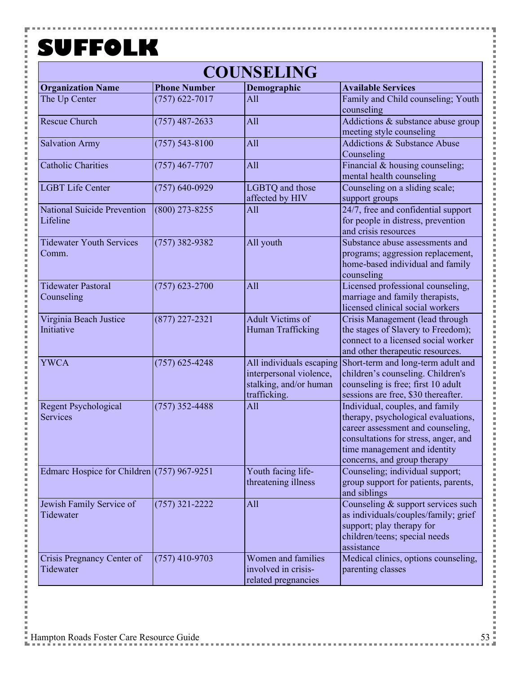Y

i

Ì  $\overline{a}$ Ė  $\overline{a}$ j.

i

Ė l j. こうしょう こうしょう

i

Ė

İ

i

こうしょう こうしょう

i

Ė

 $\frac{1}{2}$ 

j. i<br>I i i i i

i

こうしょう こうしょう

i Ė

一 一 一

i<br>I i i i i

i

こうしょう こうしょう

i

Ė  $\overline{a}$ 

Ė

| <b>COUNSELING</b>                              |                     |                                                                                               |                                                                                                                                                                                                                    |  |
|------------------------------------------------|---------------------|-----------------------------------------------------------------------------------------------|--------------------------------------------------------------------------------------------------------------------------------------------------------------------------------------------------------------------|--|
| <b>Organization Name</b>                       | <b>Phone Number</b> | Demographic                                                                                   | <b>Available Services</b>                                                                                                                                                                                          |  |
| The Up Center                                  | $(757)$ 622-7017    | All                                                                                           | Family and Child counseling; Youth<br>counseling                                                                                                                                                                   |  |
| <b>Rescue Church</b>                           | $(757)$ 487-2633    | All                                                                                           | Addictions & substance abuse group<br>meeting style counseling                                                                                                                                                     |  |
| <b>Salvation Army</b>                          | $(757) 543 - 8100$  | All                                                                                           | <b>Addictions &amp; Substance Abuse</b><br>Counseling                                                                                                                                                              |  |
| <b>Catholic Charities</b>                      | $(757)$ 467-7707    | All                                                                                           | Financial & housing counseling;<br>mental health counseling                                                                                                                                                        |  |
| <b>LGBT Life Center</b>                        | $(757) 640 - 0929$  | LGBTQ and those<br>affected by HIV                                                            | Counseling on a sliding scale;<br>support groups                                                                                                                                                                   |  |
| <b>National Suicide Prevention</b><br>Lifeline | $(800)$ 273-8255    | All                                                                                           | 24/7, free and confidential support<br>for people in distress, prevention<br>and crisis resources                                                                                                                  |  |
| <b>Tidewater Youth Services</b><br>Comm.       | $(757)$ 382-9382    | All youth                                                                                     | Substance abuse assessments and<br>programs; aggression replacement,<br>home-based individual and family<br>counseling                                                                                             |  |
| <b>Tidewater Pastoral</b><br>Counseling        | $(757)$ 623-2700    | All                                                                                           | Licensed professional counseling,<br>marriage and family therapists,<br>licensed clinical social workers                                                                                                           |  |
| Virginia Beach Justice<br>Initiative           | $(877)$ 227-2321    | <b>Adult Victims of</b><br>Human Trafficking                                                  | Crisis Management (lead through<br>the stages of Slavery to Freedom);<br>connect to a licensed social worker<br>and other therapeutic resources.                                                                   |  |
| <b>YWCA</b>                                    | $(757)$ 625-4248    | All individuals escaping<br>interpersonal violence,<br>stalking, and/or human<br>trafficking. | Short-term and long-term adult and<br>children's counseling. Children's<br>counseling is free; first 10 adult<br>sessions are free, \$30 thereafter.                                                               |  |
| <b>Regent Psychological</b><br><b>Services</b> | $(757)$ 352-4488    | All                                                                                           | Individual, couples, and family<br>therapy, psychological evaluations,<br>career assessment and counseling,<br>consultations for stress, anger, and<br>time management and identity<br>concerns, and group therapy |  |
| Edmarc Hospice for Children $(757)$ 967-9251   |                     | Youth facing life-<br>threatening illness                                                     | Counseling; individual support;<br>group support for patients, parents,<br>and siblings                                                                                                                            |  |
| Jewish Family Service of<br>Tidewater          | $(757)$ 321-2222    | All                                                                                           | Counseling & support services such<br>as individuals/couples/family; grief<br>support; play therapy for<br>children/teens; special needs<br>assistance                                                             |  |
| Crisis Pregnancy Center of<br>Tidewater        | $(757)$ 410-9703    | Women and families<br>involved in crisis-<br>related pregnancies                              | Medical clinics, options counseling,<br>parenting classes                                                                                                                                                          |  |

Ŧ

,,,,,,,,,,,,,,,,,

i i s

l

×

**Contract** 

i<br>I

l

i i s

j

×

**Contract** 

医皮肤皮炎 医心理

×

**Contract** 

医皮肤皮炎 医血管

i i s

i<br>I

**Contract**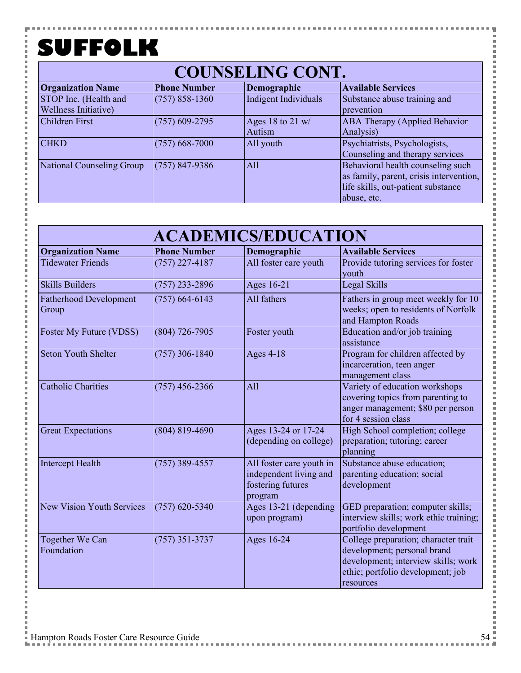Y

i Ė

### **COUNSELING CONT.**

| <b>Organization Name</b>  | <b>Phone Number</b> | Demographic          | <b>Available Services</b>               |  |  |
|---------------------------|---------------------|----------------------|-----------------------------------------|--|--|
| STOP Inc. (Health and     | $(757) 858 - 1360$  | Indigent Individuals | Substance abuse training and            |  |  |
| Wellness Initiative)      |                     |                      | prevention                              |  |  |
| <b>Children First</b>     | $(757)$ 609-2795    | Ages 18 to 21 $w/$   | <b>ABA Therapy (Applied Behavior</b>    |  |  |
|                           |                     | Autism               | Analysis)                               |  |  |
| <b>CHKD</b>               | $(757)$ 668-7000    | All youth            | Psychiatrists, Psychologists,           |  |  |
|                           |                     |                      | Counseling and therapy services         |  |  |
| National Counseling Group | $(757) 847 - 9386$  | All                  | Behavioral health counseling such       |  |  |
|                           |                     |                      | as family, parent, crisis intervention, |  |  |
|                           |                     |                      | life skills, out-patient substance      |  |  |
|                           |                     |                      | abuse, etc.                             |  |  |

| <b>ACADEMICS/EDUCATION</b>             |                     |                                                                                    |                                                                                                                                                              |
|----------------------------------------|---------------------|------------------------------------------------------------------------------------|--------------------------------------------------------------------------------------------------------------------------------------------------------------|
| <b>Organization Name</b>               | <b>Phone Number</b> | Demographic                                                                        | <b>Available Services</b>                                                                                                                                    |
| <b>Tidewater Friends</b>               | $(757)$ 227-4187    | All foster care youth                                                              | Provide tutoring services for foster<br>youth                                                                                                                |
| <b>Skills Builders</b>                 | $(757)$ 233-2896    | Ages 16-21                                                                         | Legal Skills                                                                                                                                                 |
| <b>Fatherhood Development</b><br>Group | $(757)$ 664-6143    | All fathers                                                                        | Fathers in group meet weekly for 10<br>weeks; open to residents of Norfolk<br>and Hampton Roads                                                              |
| Foster My Future (VDSS)                | $(804)$ 726-7905    | Foster youth                                                                       | Education and/or job training<br>assistance                                                                                                                  |
| <b>Seton Youth Shelter</b>             | $(757)$ 306-1840    | Ages 4-18                                                                          | Program for children affected by<br>incarceration, teen anger<br>management class                                                                            |
| <b>Catholic Charities</b>              | $(757)$ 456-2366    | All                                                                                | Variety of education workshops<br>covering topics from parenting to<br>anger management; \$80 per person<br>for 4 session class                              |
| <b>Great Expectations</b>              | $(804) 819 - 4690$  | Ages 13-24 or 17-24<br>(depending on college)                                      | High School completion; college<br>preparation; tutoring; career<br>planning                                                                                 |
| <b>Intercept Health</b>                | $(757)$ 389-4557    | All foster care youth in<br>independent living and<br>fostering futures<br>program | Substance abuse education;<br>parenting education; social<br>development                                                                                     |
| <b>New Vision Youth Services</b>       | $(757)$ 620-5340    | Ages 13-21 (depending<br>upon program)                                             | GED preparation; computer skills;<br>interview skills; work ethic training;<br>portfolio development                                                         |
| Together We Can<br>Foundation          | $(757)$ 351-3737    | Ages 16-24                                                                         | College preparation; character trait<br>development; personal brand<br>development; interview skills; work<br>ethic; portfolio development; job<br>resources |

医皮肤皮炎 医血管

j

l

l

I Î,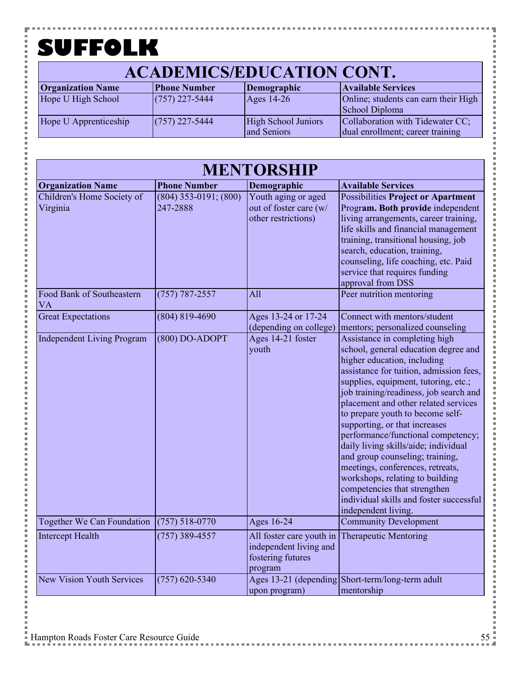۲

#### **ACADEMICS/EDUCATION CONT.**

| <b>Organization Name</b> | <b>Phone Number</b> | Demographic         | <b>Available Services</b>            |
|--------------------------|---------------------|---------------------|--------------------------------------|
| Hope U High School       | $(757)$ 227-5444    | Ages $14-26$        | Online; students can earn their High |
|                          |                     |                     | School Diploma                       |
| Hope U Apprenticeship    | $(757)$ 227-5444    | High School Juniors | Collaboration with Tidewater CC;     |
|                          |                     | and Seniors         | dual enrollment; career training     |

| <b>MENTORSHIP</b>                                     |                                        |                                                                                                  |                                                                                                                                                                                                                                                                                                                                                                                                                                                                                                                                                                                                                                          |  |
|-------------------------------------------------------|----------------------------------------|--------------------------------------------------------------------------------------------------|------------------------------------------------------------------------------------------------------------------------------------------------------------------------------------------------------------------------------------------------------------------------------------------------------------------------------------------------------------------------------------------------------------------------------------------------------------------------------------------------------------------------------------------------------------------------------------------------------------------------------------------|--|
| <b>Organization Name</b>                              | <b>Phone Number</b>                    | Demographic                                                                                      | <b>Available Services</b>                                                                                                                                                                                                                                                                                                                                                                                                                                                                                                                                                                                                                |  |
| Children's Home Society of<br>Virginia                | $(804)$ 353-0191; $(800)$<br>247-2888  | Youth aging or aged<br>out of foster care (w/<br>other restrictions)                             | <b>Possibilities Project or Apartment</b><br>Program. Both provide independent<br>living arrangements, career training,<br>life skills and financial management<br>training, transitional housing, job<br>search, education, training,<br>counseling, life coaching, etc. Paid<br>service that requires funding<br>approval from DSS                                                                                                                                                                                                                                                                                                     |  |
| Food Bank of Southeastern<br><b>VA</b>                | $(757) 787 - 2557$                     | All                                                                                              | Peer nutrition mentoring                                                                                                                                                                                                                                                                                                                                                                                                                                                                                                                                                                                                                 |  |
| <b>Great Expectations</b>                             | $(804) 819 - 4690$                     | Ages 13-24 or 17-24<br>(depending on college)                                                    | Connect with mentors/student<br>mentors; personalized counseling                                                                                                                                                                                                                                                                                                                                                                                                                                                                                                                                                                         |  |
| <b>Independent Living Program</b>                     | $(800)$ DO-ADOPT                       | Ages 14-21 foster<br>youth                                                                       | Assistance in completing high<br>school, general education degree and<br>higher education, including<br>assistance for tuition, admission fees,<br>supplies, equipment, tutoring, etc.;<br>job training/readiness, job search and<br>placement and other related services<br>to prepare youth to become self-<br>supporting, or that increases<br>performance/functional competency;<br>daily living skills/aide; individual<br>and group counseling; training,<br>meetings, conferences, retreats,<br>workshops, relating to building<br>competencies that strengthen<br>individual skills and foster successful<br>independent living. |  |
| Together We Can Foundation<br><b>Intercept Health</b> | $(757) 518 - 0770$<br>$(757)$ 389-4557 | Ages 16-24<br>All foster care youth in<br>independent living and<br>fostering futures<br>program | <b>Community Development</b><br><b>Therapeutic Mentoring</b>                                                                                                                                                                                                                                                                                                                                                                                                                                                                                                                                                                             |  |
| <b>New Vision Youth Services</b>                      | $(757)$ 620-5340                       | upon program)                                                                                    | Ages 13-21 (depending Short-term/long-term adult<br>mentorship                                                                                                                                                                                                                                                                                                                                                                                                                                                                                                                                                                           |  |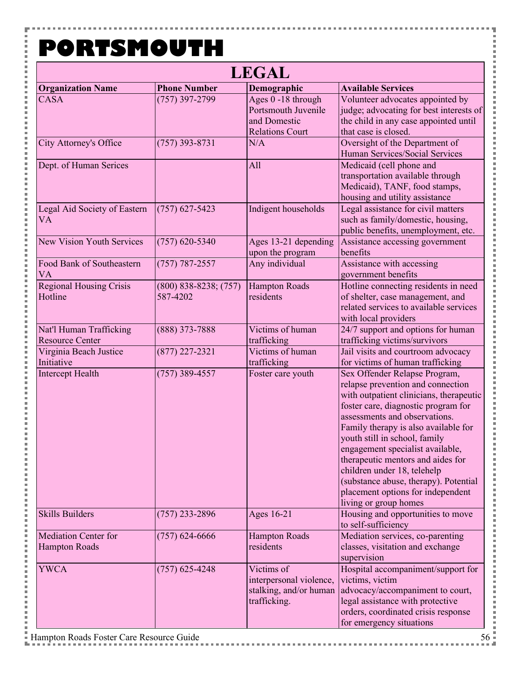Y

į

j.

Ė

j j. j. Ė i j. j. j. l Ė Ė p Ė i Ė j. Ė i Ė j. i Ė l p Ė i j. j. Ė i Ė j. Ė l Ė Ė p l j. Ė

j

| <b>LEGAL</b>                                        |                                       |                                                                                     |                                                                                                                                                                                                                                                                                                                                                                                                                                                                               |
|-----------------------------------------------------|---------------------------------------|-------------------------------------------------------------------------------------|-------------------------------------------------------------------------------------------------------------------------------------------------------------------------------------------------------------------------------------------------------------------------------------------------------------------------------------------------------------------------------------------------------------------------------------------------------------------------------|
| <b>Organization Name</b>                            | <b>Phone Number</b>                   | Demographic                                                                         | <b>Available Services</b>                                                                                                                                                                                                                                                                                                                                                                                                                                                     |
| <b>CASA</b>                                         | $(757)$ 397-2799                      | Ages 0 -18 through<br>Portsmouth Juvenile<br>and Domestic<br><b>Relations Court</b> | Volunteer advocates appointed by<br>judge; advocating for best interests of<br>the child in any case appointed until<br>that case is closed.                                                                                                                                                                                                                                                                                                                                  |
| <b>City Attorney's Office</b>                       | $(757)$ 393-8731                      | N/A                                                                                 | Oversight of the Department of<br>Human Services/Social Services                                                                                                                                                                                                                                                                                                                                                                                                              |
| Dept. of Human Serices                              |                                       | All                                                                                 | Medicaid (cell phone and<br>transportation available through<br>Medicaid), TANF, food stamps,<br>housing and utility assistance                                                                                                                                                                                                                                                                                                                                               |
| Legal Aid Society of Eastern<br><b>VA</b>           | $(757)$ 627-5423                      | Indigent households                                                                 | Legal assistance for civil matters<br>such as family/domestic, housing,<br>public benefits, unemployment, etc.                                                                                                                                                                                                                                                                                                                                                                |
| New Vision Youth Services                           | $(757)$ 620-5340                      | Ages 13-21 depending<br>upon the program                                            | Assistance accessing government<br>benefits                                                                                                                                                                                                                                                                                                                                                                                                                                   |
| Food Bank of Southeastern<br><b>VA</b>              | $(757) 787 - 2557$                    | Any individual                                                                      | Assistance with accessing<br>government benefits                                                                                                                                                                                                                                                                                                                                                                                                                              |
| <b>Regional Housing Crisis</b><br>Hotline           | $(800)$ 838-8238; $(757)$<br>587-4202 | <b>Hampton Roads</b><br>residents                                                   | Hotline connecting residents in need<br>of shelter, case management, and<br>related services to available services<br>with local providers                                                                                                                                                                                                                                                                                                                                    |
| Nat'l Human Trafficking<br><b>Resource Center</b>   | $(888)$ 373-7888                      | Victims of human<br>trafficking                                                     | 24/7 support and options for human<br>trafficking victims/survivors                                                                                                                                                                                                                                                                                                                                                                                                           |
| Virginia Beach Justice<br>Initiative                | $(877)$ 227-2321                      | Victims of human<br>trafficking                                                     | Jail visits and courtroom advocacy<br>for victims of human trafficking                                                                                                                                                                                                                                                                                                                                                                                                        |
| Intercept Health                                    | $(757)$ 389-4557                      | Foster care youth                                                                   | Sex Offender Relapse Program,<br>relapse prevention and connection<br>with outpatient clinicians, therapeutic<br>foster care, diagnostic program for<br>assessments and observations.<br>Family therapy is also available for<br>youth still in school, family<br>engagement specialist available,<br>therapeutic mentors and aides for<br>children under 18, telehelp<br>(substance abuse, therapy). Potential<br>placement options for independent<br>living or group homes |
| <b>Skills Builders</b>                              | $(757)$ 233-2896                      | Ages 16-21                                                                          | Housing and opportunities to move<br>to self-sufficiency                                                                                                                                                                                                                                                                                                                                                                                                                      |
| <b>Mediation Center for</b><br><b>Hampton Roads</b> | $(757)$ 624-6666                      | <b>Hampton Roads</b><br>residents                                                   | Mediation services, co-parenting<br>classes, visitation and exchange<br>supervision                                                                                                                                                                                                                                                                                                                                                                                           |
| <b>YWCA</b>                                         | $(757)$ 625-4248                      | Victims of<br>interpersonal violence,<br>stalking, and/or human<br>trafficking.     | Hospital accompaniment/support for<br>victims, victim<br>advocacy/accompaniment to court,<br>legal assistance with protective<br>orders, coordinated crisis response<br>for emergency situations                                                                                                                                                                                                                                                                              |

Ŧ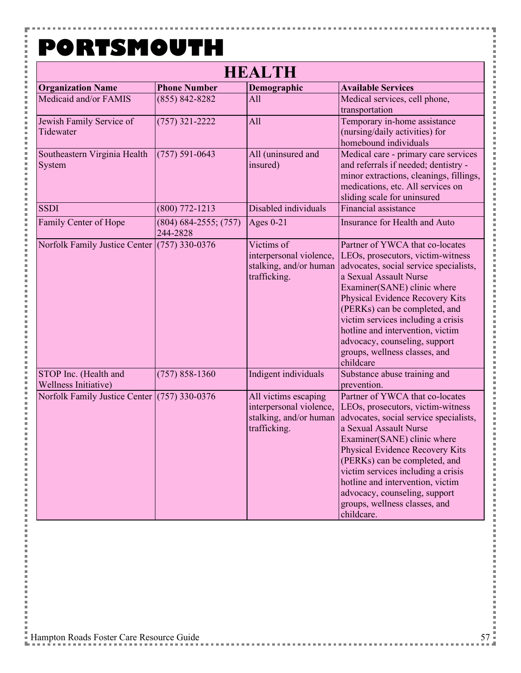Y

i<br>I

l

 $\overline{a}$ 

Ė

i i Ė i i j. i Ė l j. j. i j. l Ė i j. l j. i Ė l j. 

i Ė i i j. i Ė l j. Ė i Ė

 $\overline{a}$ 

| <b>HEALTH</b>                                 |                                     |                                                                                           |                                                                                                                                                                                                                                                                                                                                                                                                       |  |
|-----------------------------------------------|-------------------------------------|-------------------------------------------------------------------------------------------|-------------------------------------------------------------------------------------------------------------------------------------------------------------------------------------------------------------------------------------------------------------------------------------------------------------------------------------------------------------------------------------------------------|--|
| <b>Organization Name</b>                      | <b>Phone Number</b>                 | Demographic                                                                               | <b>Available Services</b>                                                                                                                                                                                                                                                                                                                                                                             |  |
| Medicaid and/or FAMIS                         | $(855) 842 - 8282$                  | All                                                                                       | Medical services, cell phone,<br>transportation                                                                                                                                                                                                                                                                                                                                                       |  |
| Jewish Family Service of<br>Tidewater         | $(757)$ 321-2222                    | All                                                                                       | Temporary in-home assistance<br>(nursing/daily activities) for<br>homebound individuals                                                                                                                                                                                                                                                                                                               |  |
| Southeastern Virginia Health<br>System        | $(757) 591 - 0643$                  | All (uninsured and<br>insured)                                                            | Medical care - primary care services<br>and referrals if needed; dentistry -<br>minor extractions, cleanings, fillings,<br>medications, etc. All services on<br>sliding scale for uninsured                                                                                                                                                                                                           |  |
| <b>SSDI</b>                                   | $(800)$ 772-1213                    | Disabled individuals                                                                      | Financial assistance                                                                                                                                                                                                                                                                                                                                                                                  |  |
| Family Center of Hope                         | $(804)$ 684-2555; (757)<br>244-2828 | Ages $0-21$                                                                               | Insurance for Health and Auto                                                                                                                                                                                                                                                                                                                                                                         |  |
| Norfolk Family Justice Center (757) 330-0376  |                                     | Victims of<br>interpersonal violence,<br>stalking, and/or human<br>trafficking.           | Partner of YWCA that co-locates<br>LEOs, prosecutors, victim-witness<br>advocates, social service specialists,<br>a Sexual Assault Nurse<br>Examiner(SANE) clinic where<br>Physical Evidence Recovery Kits<br>(PERKs) can be completed, and<br>victim services including a crisis<br>hotline and intervention, victim<br>advocacy, counseling, support<br>groups, wellness classes, and<br>childcare  |  |
| STOP Inc. (Health and<br>Wellness Initiative) | $(757) 858 - 1360$                  | Indigent individuals                                                                      | Substance abuse training and<br>prevention.                                                                                                                                                                                                                                                                                                                                                           |  |
| Norfolk Family Justice Center (757) 330-0376  |                                     | All victims escaping<br>interpersonal violence,<br>stalking, and/or human<br>trafficking. | Partner of YWCA that co-locates<br>LEOs, prosecutors, victim-witness<br>advocates, social service specialists,<br>a Sexual Assault Nurse<br>Examiner(SANE) clinic where<br>Physical Evidence Recovery Kits<br>(PERKs) can be completed, and<br>victim services including a crisis<br>hotline and intervention, victim<br>advocacy, counseling, support<br>groups, wellness classes, and<br>childcare. |  |

Ŧ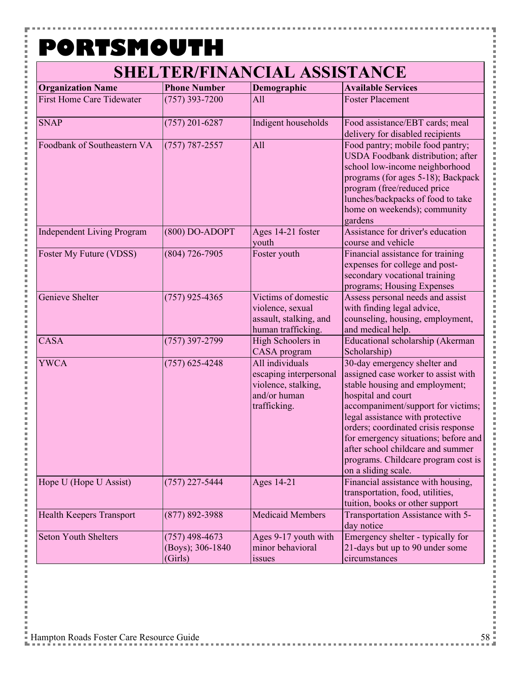۵

| <b>Organization Name</b>          | <b>Phone Number</b>                             | Demographic                                                                                      | <b>Available Services</b>                                                                                                                                                                                                                                                                                                                                                               |
|-----------------------------------|-------------------------------------------------|--------------------------------------------------------------------------------------------------|-----------------------------------------------------------------------------------------------------------------------------------------------------------------------------------------------------------------------------------------------------------------------------------------------------------------------------------------------------------------------------------------|
| <b>First Home Care Tidewater</b>  | $(757)$ 393-7200                                | All                                                                                              | <b>Foster Placement</b>                                                                                                                                                                                                                                                                                                                                                                 |
| <b>SNAP</b>                       | $(757)$ 201-6287                                | Indigent households                                                                              | Food assistance/EBT cards; meal<br>delivery for disabled recipients                                                                                                                                                                                                                                                                                                                     |
| Foodbank of Southeastern VA       | $(757) 787 - 2557$                              | All                                                                                              | Food pantry; mobile food pantry;<br>USDA Foodbank distribution; after<br>school low-income neighborhood<br>programs (for ages 5-18); Backpack<br>program (free/reduced price<br>lunches/backpacks of food to take<br>home on weekends); community<br>gardens                                                                                                                            |
| <b>Independent Living Program</b> | $(800)$ DO-ADOPT                                | Ages 14-21 foster<br>youth                                                                       | Assistance for driver's education<br>course and vehicle                                                                                                                                                                                                                                                                                                                                 |
| Foster My Future (VDSS)           | $(804) 726 - 7905$                              | Foster youth                                                                                     | Financial assistance for training<br>expenses for college and post-<br>secondary vocational training<br>programs; Housing Expenses                                                                                                                                                                                                                                                      |
| Genieve Shelter                   | $(757)$ 925-4365                                | Victims of domestic<br>violence, sexual<br>assault, stalking, and<br>human trafficking.          | Assess personal needs and assist<br>with finding legal advice,<br>counseling, housing, employment,<br>and medical help.                                                                                                                                                                                                                                                                 |
| <b>CASA</b>                       | $(757)$ 397-2799                                | High Schoolers in<br>CASA program                                                                | Educational scholarship (Akerman<br>Scholarship)                                                                                                                                                                                                                                                                                                                                        |
| <b>YWCA</b>                       | $(757)$ 625-4248                                | All individuals<br>escaping interpersonal<br>violence, stalking,<br>and/or human<br>trafficking. | 30-day emergency shelter and<br>assigned case worker to assist with<br>stable housing and employment;<br>hospital and court<br>accompaniment/support for victims;<br>legal assistance with protective<br>orders; coordinated crisis response<br>for emergency situations; before and<br>after school childcare and summer<br>programs. Childcare program cost is<br>on a sliding scale. |
| Hope U (Hope U Assist)            | $(757)$ 227-5444                                | Ages 14-21                                                                                       | Financial assistance with housing,<br>transportation, food, utilities,<br>tuition, books or other support                                                                                                                                                                                                                                                                               |
| Health Keepers Transport          | $(877) 892 - 3988$                              | <b>Medicaid Members</b>                                                                          | Transportation Assistance with 5-<br>day notice                                                                                                                                                                                                                                                                                                                                         |
| <b>Seton Youth Shelters</b>       | $(757)$ 498-4673<br>(Boys); 306-1840<br>(Girls) | Ages 9-17 youth with<br>minor behavioral<br>issues                                               | Emergency shelter - typically for<br>21-days but up to 90 under some<br>circumstances                                                                                                                                                                                                                                                                                                   |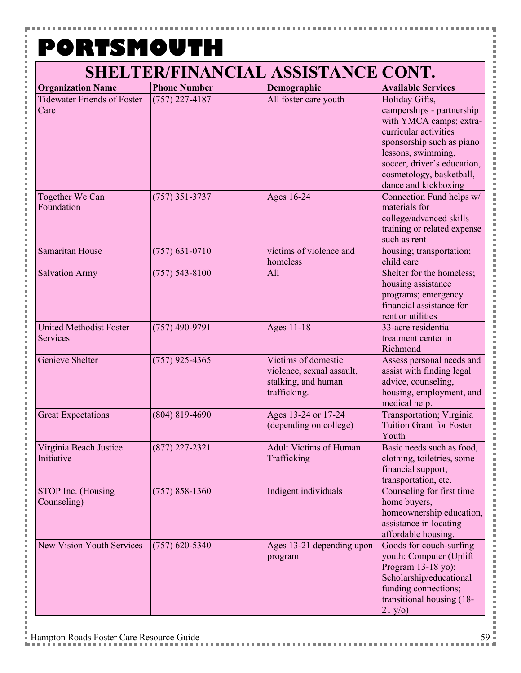۵

| <b>Organization Name</b>                          | <b>Phone Number</b> | Demographic                                                                             | <b>Available Services</b>                                                                                                                                                                                                             |
|---------------------------------------------------|---------------------|-----------------------------------------------------------------------------------------|---------------------------------------------------------------------------------------------------------------------------------------------------------------------------------------------------------------------------------------|
| <b>Tidewater Friends of Foster</b><br>Care        | $(757)$ 227-4187    | All foster care youth                                                                   | Holiday Gifts,<br>camperships - partnership<br>with YMCA camps; extra-<br>curricular activities<br>sponsorship such as piano<br>lessons, swimming,<br>soccer, driver's education,<br>cosmetology, basketball,<br>dance and kickboxing |
| Together We Can<br>Foundation                     | $(757)$ 351-3737    | Ages 16-24                                                                              | Connection Fund helps w/<br>materials for<br>college/advanced skills<br>training or related expense<br>such as rent                                                                                                                   |
| Samaritan House                                   | $(757) 631 - 0710$  | victims of violence and<br>homeless                                                     | housing; transportation;<br>child care                                                                                                                                                                                                |
| <b>Salvation Army</b>                             | $(757) 543 - 8100$  | All                                                                                     | Shelter for the homeless;<br>housing assistance<br>programs; emergency<br>financial assistance for<br>rent or utilities                                                                                                               |
| <b>United Methodist Foster</b><br><b>Services</b> | $(757)$ 490-9791    | Ages 11-18                                                                              | 33-acre residential<br>treatment center in<br>Richmond                                                                                                                                                                                |
| Genieve Shelter                                   | $(757)$ 925-4365    | Victims of domestic<br>violence, sexual assault,<br>stalking, and human<br>trafficking. | Assess personal needs and<br>assist with finding legal<br>advice, counseling,<br>housing, employment, and<br>medical help.                                                                                                            |
| <b>Great Expectations</b>                         | $(804) 819 - 4690$  | Ages 13-24 or 17-24<br>(depending on college)                                           | Transportation; Virginia<br><b>Tuition Grant for Foster</b><br>Youth                                                                                                                                                                  |
| Virginia Beach Justice<br>Initiative              | $(877)$ 227-2321    | <b>Adult Victims of Human</b><br>Trafficking                                            | Basic needs such as food,<br>clothing, toiletries, some<br>financial support,<br>transportation, etc.                                                                                                                                 |
| STOP Inc. (Housing<br>Counseling)                 | $(757) 858 - 1360$  | Indigent individuals                                                                    | Counseling for first time<br>home buyers,<br>homeownership education,<br>assistance in locating<br>affordable housing.                                                                                                                |
| New Vision Youth Services                         | $(757)$ 620-5340    | Ages 13-21 depending upon<br>program                                                    | Goods for couch-surfing<br>youth; Computer (Uplift<br>Program 13-18 yo);<br>Scholarship/educational<br>funding connections;<br>transitional housing (18-<br>21 y/o)                                                                   |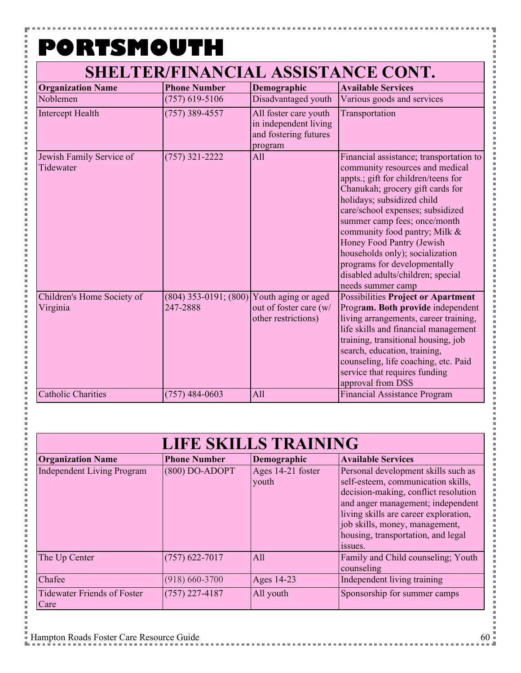۵

| <b>Organization Name</b>               | <b>Phone Number</b>                   | Demographic                                                                        | <b>Available Services</b>                                                                                                                                                                                                                                                                                                                                                                                                                          |
|----------------------------------------|---------------------------------------|------------------------------------------------------------------------------------|----------------------------------------------------------------------------------------------------------------------------------------------------------------------------------------------------------------------------------------------------------------------------------------------------------------------------------------------------------------------------------------------------------------------------------------------------|
| Noblemen                               | $(757)$ 619-5106                      | Disadvantaged youth                                                                | Various goods and services                                                                                                                                                                                                                                                                                                                                                                                                                         |
| Intercept Health                       | $(757)$ 389-4557                      | All foster care youth<br>in independent living<br>and fostering futures<br>program | Transportation                                                                                                                                                                                                                                                                                                                                                                                                                                     |
| Jewish Family Service of<br>Tidewater  | $(757)$ 321-2222                      | All                                                                                | Financial assistance; transportation to<br>community resources and medical<br>appts.; gift for children/teens for<br>Chanukah; grocery gift cards for<br>holidays; subsidized child<br>care/school expenses; subsidized<br>summer camp fees; once/month<br>community food pantry; Milk &<br>Honey Food Pantry (Jewish<br>households only); socialization<br>programs for developmentally<br>disabled adults/children; special<br>needs summer camp |
| Children's Home Society of<br>Virginia | $(804)$ 353-0191; $(800)$<br>247-2888 | Youth aging or aged<br>out of foster care (w/<br>other restrictions)               | <b>Possibilities Project or Apartment</b><br>Program. Both provide independent<br>living arrangements, career training,<br>life skills and financial management<br>training, transitional housing, job<br>search, education, training,<br>counseling, life coaching, etc. Paid<br>service that requires funding<br>approval from DSS                                                                                                               |
| <b>Catholic Charities</b>              | $(757)$ 484-0603                      | All                                                                                | Financial Assistance Program                                                                                                                                                                                                                                                                                                                                                                                                                       |

| <b>LIFE SKILLS TRAINING</b>                |                     |                            |                                                                                                                                                                                                                                                                                    |
|--------------------------------------------|---------------------|----------------------------|------------------------------------------------------------------------------------------------------------------------------------------------------------------------------------------------------------------------------------------------------------------------------------|
| <b>Organization Name</b>                   | <b>Phone Number</b> | Demographic                | <b>Available Services</b>                                                                                                                                                                                                                                                          |
| <b>Independent Living Program</b>          | $(800)$ DO-ADOPT    | Ages 14-21 foster<br>youth | Personal development skills such as<br>self-esteem, communication skills,<br>decision-making, conflict resolution<br>and anger management; independent<br>living skills are career exploration,<br>job skills, money, management,<br>housing, transportation, and legal<br>issues. |
| The Up Center                              | $(757)$ 622-7017    | All                        | Family and Child counseling; Youth<br>counseling                                                                                                                                                                                                                                   |
| Chafee                                     | $(918) 660 - 3700$  | Ages 14-23                 | Independent living training                                                                                                                                                                                                                                                        |
| <b>Tidewater Friends of Foster</b><br>Care | $(757)$ 227-4187    | All youth                  | Sponsorship for summer camps                                                                                                                                                                                                                                                       |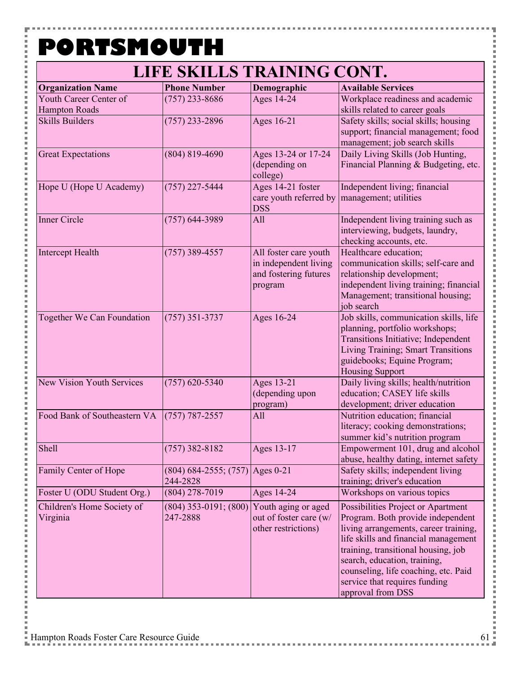۵

#### **LIFE SKILLS TRAINING CONT.**

| <b>Organization Name</b>                       | <b>Phone Number</b>                           | Demographic                                                                        | <b>Available Services</b>                                                                                                                                                                                                                                                                                                     |
|------------------------------------------------|-----------------------------------------------|------------------------------------------------------------------------------------|-------------------------------------------------------------------------------------------------------------------------------------------------------------------------------------------------------------------------------------------------------------------------------------------------------------------------------|
| Youth Career Center of<br><b>Hampton Roads</b> | $(757)$ 233-8686                              | Ages 14-24                                                                         | Workplace readiness and academic<br>skills related to career goals                                                                                                                                                                                                                                                            |
| <b>Skills Builders</b>                         | $(757)$ 233-2896                              | Ages 16-21                                                                         | Safety skills; social skills; housing<br>support; financial management; food<br>management; job search skills                                                                                                                                                                                                                 |
| <b>Great Expectations</b>                      | $(804) 819 - 4690$                            | Ages 13-24 or 17-24<br>(depending on<br>college)                                   | Daily Living Skills (Job Hunting,<br>Financial Planning & Budgeting, etc.                                                                                                                                                                                                                                                     |
| Hope U (Hope U Academy)                        | $(757)$ 227-5444                              | Ages 14-21 foster<br>care youth referred by<br><b>DSS</b>                          | Independent living; financial<br>management; utilities                                                                                                                                                                                                                                                                        |
| Inner Circle                                   | $(757) 644 - 3989$                            | All                                                                                | Independent living training such as<br>interviewing, budgets, laundry,<br>checking accounts, etc.                                                                                                                                                                                                                             |
| Intercept Health                               | $(757)$ 389-4557                              | All foster care youth<br>in independent living<br>and fostering futures<br>program | Healthcare education;<br>communication skills; self-care and<br>relationship development;<br>independent living training; financial<br>Management; transitional housing;<br>job search                                                                                                                                        |
| Together We Can Foundation                     | $(757)$ 351-3737                              | Ages 16-24                                                                         | Job skills, communication skills, life<br>planning, portfolio workshops;<br>Transitions Initiative; Independent<br>Living Training; Smart Transitions<br>guidebooks; Equine Program;<br><b>Housing Support</b>                                                                                                                |
| <b>New Vision Youth Services</b>               | $(757)$ 620-5340                              | Ages 13-21<br>(depending upon<br>program)                                          | Daily living skills; health/nutrition<br>education; CASEY life skills<br>development; driver education                                                                                                                                                                                                                        |
| Food Bank of Southeastern VA                   | $(757) 787 - 2557$                            | All                                                                                | Nutrition education; financial<br>literacy; cooking demonstrations;<br>summer kid's nutrition program                                                                                                                                                                                                                         |
| Shell                                          | $(757)$ 382-8182                              | Ages 13-17                                                                         | Empowerment 101, drug and alcohol<br>abuse, healthy dating, internet safety                                                                                                                                                                                                                                                   |
| Family Center of Hope                          | $(804)$ 684-2555; (757) Ages 0-21<br>244-2828 |                                                                                    | Safety skills; independent living<br>training; driver's education                                                                                                                                                                                                                                                             |
| Foster U (ODU Student Org.)                    | $(804)$ 278-7019                              | Ages 14-24                                                                         | Workshops on various topics                                                                                                                                                                                                                                                                                                   |
| Children's Home Society of<br>Virginia         | $(804)$ 353-0191; $(800)$<br>247-2888         | Youth aging or aged<br>out of foster care (w/<br>other restrictions)               | Possibilities Project or Apartment<br>Program. Both provide independent<br>living arrangements, career training,<br>life skills and financial management<br>training, transitional housing, job<br>search, education, training,<br>counseling, life coaching, etc. Paid<br>service that requires funding<br>approval from DSS |

j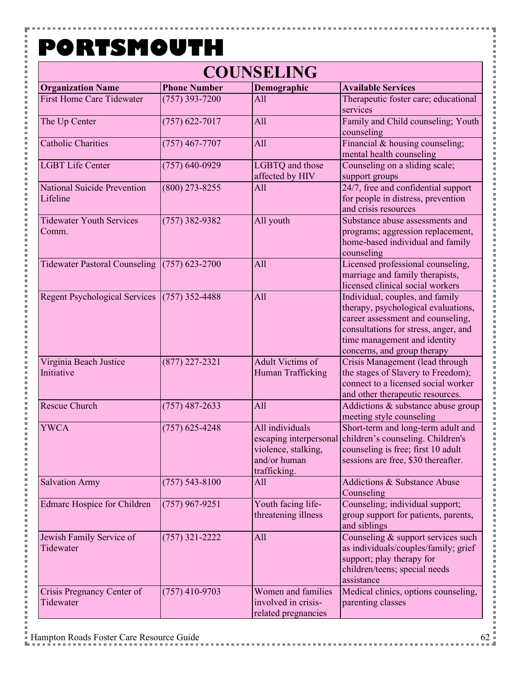Y

 $\frac{1}{2}$ 

j. i Ė i Ė

l Ė l p 

i Ė  $\overline{a}$ i j. 

i

i Ė  $\overline{a}$ i j. 

i

i Ė  $\overline{a}$ i j. 

i j. i j. l Ė i

| <b>COUNSELING</b>                        |                     |                                                                                                  |                                                                                                                                                                                                                    |  |
|------------------------------------------|---------------------|--------------------------------------------------------------------------------------------------|--------------------------------------------------------------------------------------------------------------------------------------------------------------------------------------------------------------------|--|
| <b>Organization Name</b>                 | <b>Phone Number</b> | Demographic                                                                                      | <b>Available Services</b>                                                                                                                                                                                          |  |
| <b>First Home Care Tidewater</b>         | $(757)$ 393-7200    | All                                                                                              | Therapeutic foster care; educational<br>services                                                                                                                                                                   |  |
| The Up Center                            | $(757)$ 622-7017    | All                                                                                              | Family and Child counseling; Youth<br>counseling                                                                                                                                                                   |  |
| <b>Catholic Charities</b>                | $(757)$ 467-7707    | All                                                                                              | Financial & housing counseling;<br>mental health counseling                                                                                                                                                        |  |
| <b>LGBT Life Center</b>                  | $(757) 640 - 0929$  | LGBTQ and those<br>affected by HIV                                                               | Counseling on a sliding scale;<br>support groups                                                                                                                                                                   |  |
| National Suicide Prevention<br>Lifeline  | $(800)$ 273-8255    | All                                                                                              | 24/7, free and confidential support<br>for people in distress, prevention<br>and crisis resources                                                                                                                  |  |
| <b>Tidewater Youth Services</b><br>Comm. | $(757)$ 382-9382    | All youth                                                                                        | Substance abuse assessments and<br>programs; aggression replacement,<br>home-based individual and family<br>counseling                                                                                             |  |
| <b>Tidewater Pastoral Counseling</b>     | $(757)$ 623-2700    | All                                                                                              | Licensed professional counseling,<br>marriage and family therapists,<br>licensed clinical social workers                                                                                                           |  |
| <b>Regent Psychological Services</b>     | $(757)$ 352-4488    | All                                                                                              | Individual, couples, and family<br>therapy, psychological evaluations,<br>career assessment and counseling,<br>consultations for stress, anger, and<br>time management and identity<br>concerns, and group therapy |  |
| Virginia Beach Justice<br>Initiative     | $(877)$ 227-2321    | <b>Adult Victims of</b><br>Human Trafficking                                                     | Crisis Management (lead through<br>the stages of Slavery to Freedom);<br>connect to a licensed social worker<br>and other therapeutic resources.                                                                   |  |
| <b>Rescue Church</b>                     | $(757)$ 487-2633    | All                                                                                              | Addictions & substance abuse group<br>meeting style counseling                                                                                                                                                     |  |
| <b>YWCA</b>                              | $(757)$ 625-4248    | All individuals<br>escaping interpersonal<br>violence, stalking,<br>and/or human<br>trafficking. | Short-term and long-term adult and<br>children's counseling. Children's<br>counseling is free; first 10 adult<br>sessions are free, \$30 thereafter.                                                               |  |
| <b>Salvation Army</b>                    | $(757) 543 - 8100$  | All                                                                                              | Addictions & Substance Abuse<br>Counseling                                                                                                                                                                         |  |
| <b>Edmarc Hospice for Children</b>       | $(757)$ 967-9251    | Youth facing life-<br>threatening illness                                                        | Counseling; individual support;<br>group support for patients, parents,<br>and siblings                                                                                                                            |  |
| Jewish Family Service of<br>Tidewater    | $(757)$ 321-2222    | All                                                                                              | Counseling & support services such<br>as individuals/couples/family; grief<br>support; play therapy for<br>children/teens; special needs<br>assistance                                                             |  |
| Crisis Pregnancy Center of<br>Tidewater  | $(757)$ 410-9703    | Women and families<br>involved in crisis-<br>related pregnancies                                 | Medical clinics, options counseling,<br>parenting classes                                                                                                                                                          |  |

ŧ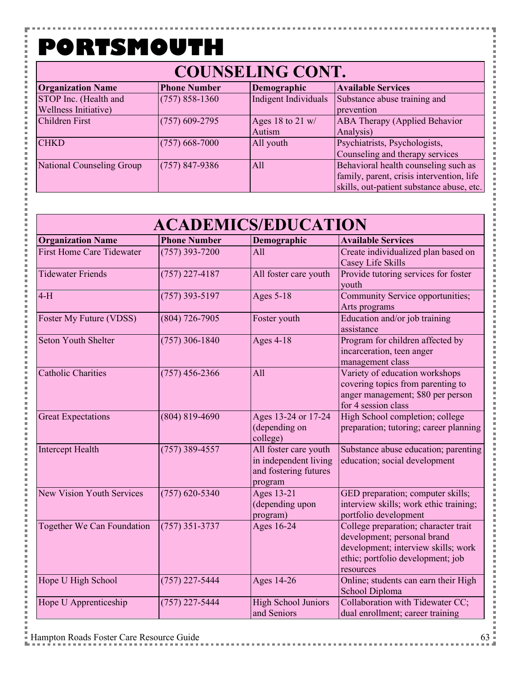۲

こうしょう こうしょう

Ė

### **COUNSELING CONT.**

| <b>Organization Name</b>  | <b>Phone Number</b> | Demographic          | <b>Available Services</b>                 |
|---------------------------|---------------------|----------------------|-------------------------------------------|
| STOP Inc. (Health and     | $(757) 858 - 1360$  | Indigent Individuals | Substance abuse training and              |
| Wellness Initiative)      |                     |                      | prevention                                |
| <b>Children First</b>     | $(757)$ 609-2795    | Ages 18 to 21 w/     | <b>ABA Therapy (Applied Behavior</b>      |
|                           |                     | Autism               | Analysis)                                 |
| <b>CHKD</b>               | $(757)$ 668-7000    | All youth            | Psychiatrists, Psychologists,             |
|                           |                     |                      | Counseling and therapy services           |
| National Counseling Group | $(757)$ 847-9386    | All                  | Behavioral health counseling such as      |
|                           |                     |                      | family, parent, crisis intervention, life |
|                           |                     |                      | skills, out-patient substance abuse, etc. |

| <b>ACADEMICS/EDUCATION</b>       |                     |                                                                                    |                                                                                                                                                              |  |
|----------------------------------|---------------------|------------------------------------------------------------------------------------|--------------------------------------------------------------------------------------------------------------------------------------------------------------|--|
| <b>Organization Name</b>         | <b>Phone Number</b> | Demographic                                                                        | <b>Available Services</b>                                                                                                                                    |  |
| <b>First Home Care Tidewater</b> | $(757)$ 393-7200    | All                                                                                | Create individualized plan based on<br>Casey Life Skills                                                                                                     |  |
| <b>Tidewater Friends</b>         | $(757)$ 227-4187    | All foster care youth                                                              | Provide tutoring services for foster<br>youth                                                                                                                |  |
| $4-H$                            | $(757)$ 393-5197    | <b>Ages 5-18</b>                                                                   | Community Service opportunities;<br>Arts programs                                                                                                            |  |
| Foster My Future (VDSS)          | $(804)$ 726-7905    | Foster youth                                                                       | Education and/or job training<br>assistance                                                                                                                  |  |
| <b>Seton Youth Shelter</b>       | $(757)$ 306-1840    | <b>Ages 4-18</b>                                                                   | Program for children affected by<br>incarceration, teen anger<br>management class                                                                            |  |
| <b>Catholic Charities</b>        | $(757)$ 456-2366    | All                                                                                | Variety of education workshops<br>covering topics from parenting to<br>anger management; \$80 per person<br>for 4 session class                              |  |
| <b>Great Expectations</b>        | $(804) 819 - 4690$  | Ages 13-24 or 17-24<br>(depending on<br>college)                                   | High School completion; college<br>preparation; tutoring; career planning                                                                                    |  |
| <b>Intercept Health</b>          | $(757)$ 389-4557    | All foster care youth<br>in independent living<br>and fostering futures<br>program | Substance abuse education; parenting<br>education; social development                                                                                        |  |
| New Vision Youth Services        | $(757)$ 620-5340    | <b>Ages 13-21</b><br>(depending upon<br>program)                                   | GED preparation; computer skills;<br>interview skills; work ethic training;<br>portfolio development                                                         |  |
| Together We Can Foundation       | $(757)$ 351-3737    | Ages 16-24                                                                         | College preparation; character trait<br>development; personal brand<br>development; interview skills; work<br>ethic; portfolio development; job<br>resources |  |
| Hope U High School               | $(757)$ 227-5444    | Ages 14-26                                                                         | Online; students can earn their High<br>School Diploma                                                                                                       |  |
| Hope U Apprenticeship            | $(757)$ 227-5444    | <b>High School Juniors</b><br>and Seniors                                          | Collaboration with Tidewater CC;<br>dual enrollment; career training                                                                                         |  |

**Contract Contract** 

l I

j ĵ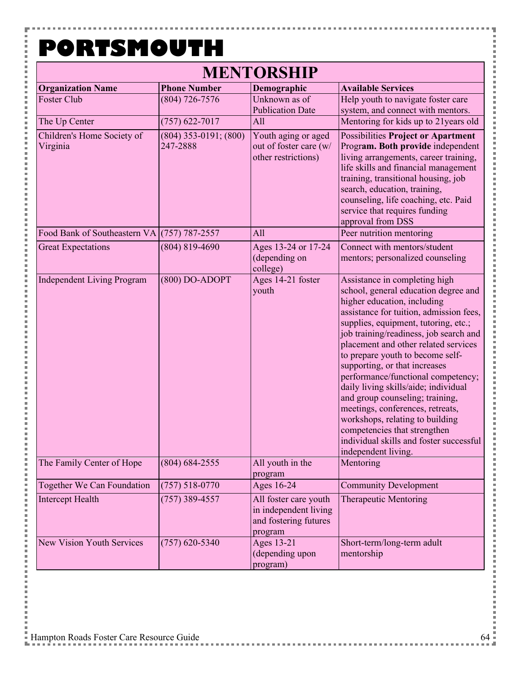Y į

| <b>MENTORSHIP</b>                           |                                       |                                                                                    |                                                                                                                                                                                                                                                                                                                                                                                                                                                                                                                                                                                                                                          |  |
|---------------------------------------------|---------------------------------------|------------------------------------------------------------------------------------|------------------------------------------------------------------------------------------------------------------------------------------------------------------------------------------------------------------------------------------------------------------------------------------------------------------------------------------------------------------------------------------------------------------------------------------------------------------------------------------------------------------------------------------------------------------------------------------------------------------------------------------|--|
| <b>Organization Name</b>                    | <b>Phone Number</b>                   | Demographic                                                                        | <b>Available Services</b>                                                                                                                                                                                                                                                                                                                                                                                                                                                                                                                                                                                                                |  |
| Foster Club                                 | $(804)$ 726-7576                      | Unknown as of                                                                      | Help youth to navigate foster care                                                                                                                                                                                                                                                                                                                                                                                                                                                                                                                                                                                                       |  |
|                                             |                                       | <b>Publication Date</b>                                                            | system, and connect with mentors.                                                                                                                                                                                                                                                                                                                                                                                                                                                                                                                                                                                                        |  |
| The Up Center                               | $(757)$ 622-7017                      | All                                                                                | Mentoring for kids up to 21 years old                                                                                                                                                                                                                                                                                                                                                                                                                                                                                                                                                                                                    |  |
| Children's Home Society of<br>Virginia      | $(804)$ 353-0191; $(800)$<br>247-2888 | Youth aging or aged<br>out of foster care (w/<br>other restrictions)               | <b>Possibilities Project or Apartment</b><br>Program. Both provide independent<br>living arrangements, career training,<br>life skills and financial management<br>training, transitional housing, job<br>search, education, training,<br>counseling, life coaching, etc. Paid<br>service that requires funding<br>approval from DSS                                                                                                                                                                                                                                                                                                     |  |
| Food Bank of Southeastern VA (757) 787-2557 |                                       | All                                                                                | Peer nutrition mentoring                                                                                                                                                                                                                                                                                                                                                                                                                                                                                                                                                                                                                 |  |
| <b>Great Expectations</b>                   | $(804) 819 - 4690$                    | Ages 13-24 or 17-24<br>(depending on<br>college)                                   | Connect with mentors/student<br>mentors; personalized counseling                                                                                                                                                                                                                                                                                                                                                                                                                                                                                                                                                                         |  |
| <b>Independent Living Program</b>           | $(800)$ DO-ADOPT                      | Ages 14-21 foster<br>youth                                                         | Assistance in completing high<br>school, general education degree and<br>higher education, including<br>assistance for tuition, admission fees,<br>supplies, equipment, tutoring, etc.;<br>job training/readiness, job search and<br>placement and other related services<br>to prepare youth to become self-<br>supporting, or that increases<br>performance/functional competency;<br>daily living skills/aide; individual<br>and group counseling; training,<br>meetings, conferences, retreats,<br>workshops, relating to building<br>competencies that strengthen<br>individual skills and foster successful<br>independent living. |  |
| The Family Center of Hope                   | $(804) 684 - 2555$                    | All youth in the<br>program                                                        | Mentoring                                                                                                                                                                                                                                                                                                                                                                                                                                                                                                                                                                                                                                |  |
| Together We Can Foundation                  | $(757) 518 - 0770$                    | Ages 16-24                                                                         | <b>Community Development</b>                                                                                                                                                                                                                                                                                                                                                                                                                                                                                                                                                                                                             |  |
| Intercept Health                            | $(757)$ 389-4557                      | All foster care youth<br>in independent living<br>and fostering futures<br>program | <b>Therapeutic Mentoring</b>                                                                                                                                                                                                                                                                                                                                                                                                                                                                                                                                                                                                             |  |
| <b>New Vision Youth Services</b>            | $(757)$ 620-5340                      | <b>Ages 13-21</b><br>(depending upon<br>program)                                   | Short-term/long-term adult<br>mentorship                                                                                                                                                                                                                                                                                                                                                                                                                                                                                                                                                                                                 |  |

j.

. . . . . . . . . . . . . .

i<br>I ĵ

l l

**Contract** 

×

医皮肤皮炎 医血管

× l Î, Ì

l I × i<br>I ĵ × l l × l

i<br>I

医皮肤皮炎 医血管

×  $\frac{1}{2}$ İ × l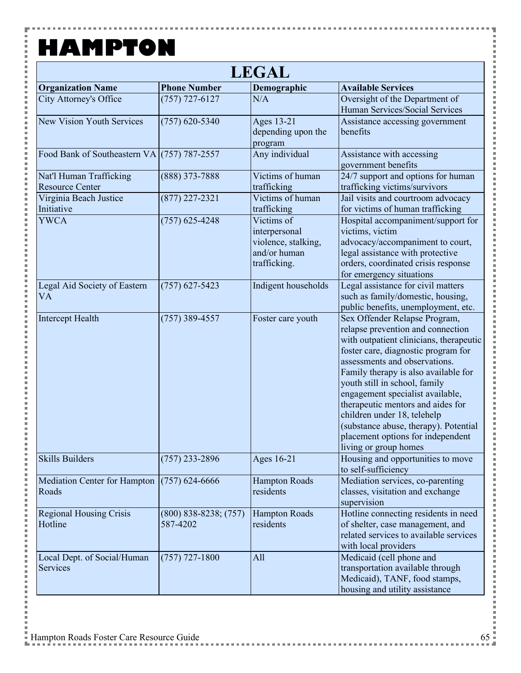F

 $\frac{1}{2}$ 

 $\frac{1}{2}$  and  $\frac{1}{2}$  and  $\frac{1}{2}$  and  $\frac{1}{2}$  and  $\frac{1}{2}$ 

一 一 一 i j.

 $\frac{1}{2}$  and  $\frac{1}{2}$  and  $\frac{1}{2}$  and  $\frac{1}{2}$  and  $\frac{1}{2}$ 

,,,,,,,,,,,,,,,,

 $\frac{1}{2}$  and  $\frac{1}{2}$  and  $\frac{1}{2}$  and  $\frac{1}{2}$ 

 $\frac{1}{2}$  and  $\frac{1}{2}$  and  $\frac{1}{2}$  and  $\frac{1}{2}$  and  $\frac{1}{2}$ 

,,,,,,,,,,,,,,,,

----------------

Ė

 $\frac{1}{2}$ 

| <b>LEGAL</b>                                      |                                       |                                                                                    |                                                                                                                                                                                                                                                                                                                                                                                                                                                                               |  |
|---------------------------------------------------|---------------------------------------|------------------------------------------------------------------------------------|-------------------------------------------------------------------------------------------------------------------------------------------------------------------------------------------------------------------------------------------------------------------------------------------------------------------------------------------------------------------------------------------------------------------------------------------------------------------------------|--|
| <b>Organization Name</b>                          | <b>Phone Number</b>                   | Demographic                                                                        | <b>Available Services</b>                                                                                                                                                                                                                                                                                                                                                                                                                                                     |  |
| <b>City Attorney's Office</b>                     | $(757)$ 727-6127                      | N/A                                                                                | Oversight of the Department of<br>Human Services/Social Services                                                                                                                                                                                                                                                                                                                                                                                                              |  |
| <b>New Vision Youth Services</b>                  | $(757)$ 620-5340                      | Ages 13-21<br>depending upon the<br>program                                        | Assistance accessing government<br>benefits                                                                                                                                                                                                                                                                                                                                                                                                                                   |  |
| Food Bank of Southeastern VA (757) 787-2557       |                                       | Any individual                                                                     | Assistance with accessing<br>government benefits                                                                                                                                                                                                                                                                                                                                                                                                                              |  |
| Nat'l Human Trafficking<br><b>Resource Center</b> | $(888)$ 373-7888                      | Victims of human<br>trafficking                                                    | 24/7 support and options for human<br>trafficking victims/survivors                                                                                                                                                                                                                                                                                                                                                                                                           |  |
| Virginia Beach Justice<br>Initiative              | $(877)$ 227-2321                      | Victims of human<br>trafficking                                                    | Jail visits and courtroom advocacy<br>for victims of human trafficking                                                                                                                                                                                                                                                                                                                                                                                                        |  |
| <b>YWCA</b>                                       | $(757)$ 625-4248                      | Victims of<br>interpersonal<br>violence, stalking,<br>and/or human<br>trafficking. | Hospital accompaniment/support for<br>victims, victim<br>advocacy/accompaniment to court,<br>legal assistance with protective<br>orders, coordinated crisis response<br>for emergency situations                                                                                                                                                                                                                                                                              |  |
| Legal Aid Society of Eastern<br>VA                | $(757)$ 627-5423                      | Indigent households                                                                | Legal assistance for civil matters<br>such as family/domestic, housing,<br>public benefits, unemployment, etc.                                                                                                                                                                                                                                                                                                                                                                |  |
| <b>Intercept Health</b>                           | $(757)$ 389-4557                      | Foster care youth                                                                  | Sex Offender Relapse Program,<br>relapse prevention and connection<br>with outpatient clinicians, therapeutic<br>foster care, diagnostic program for<br>assessments and observations.<br>Family therapy is also available for<br>youth still in school, family<br>engagement specialist available,<br>therapeutic mentors and aides for<br>children under 18, telehelp<br>(substance abuse, therapy). Potential<br>placement options for independent<br>living or group homes |  |
| <b>Skills Builders</b>                            | $(757)$ 233-2896                      | Ages 16-21                                                                         | Housing and opportunities to move<br>to self-sufficiency                                                                                                                                                                                                                                                                                                                                                                                                                      |  |
| <b>Mediation Center for Hampton</b><br>Roads      | $(757)$ 624-6666                      | <b>Hampton Roads</b><br>residents                                                  | Mediation services, co-parenting<br>classes, visitation and exchange<br>supervision                                                                                                                                                                                                                                                                                                                                                                                           |  |
| <b>Regional Housing Crisis</b><br>Hotline         | $(800)$ 838-8238; $(757)$<br>587-4202 | <b>Hampton Roads</b><br>residents                                                  | Hotline connecting residents in need<br>of shelter, case management, and<br>related services to available services<br>with local providers                                                                                                                                                                                                                                                                                                                                    |  |
| Local Dept. of Social/Human<br>Services           | $(757)$ 727-1800                      | All                                                                                | Medicaid (cell phone and<br>transportation available through<br>Medicaid), TANF, food stamps,<br>housing and utility assistance                                                                                                                                                                                                                                                                                                                                               |  |

ŧ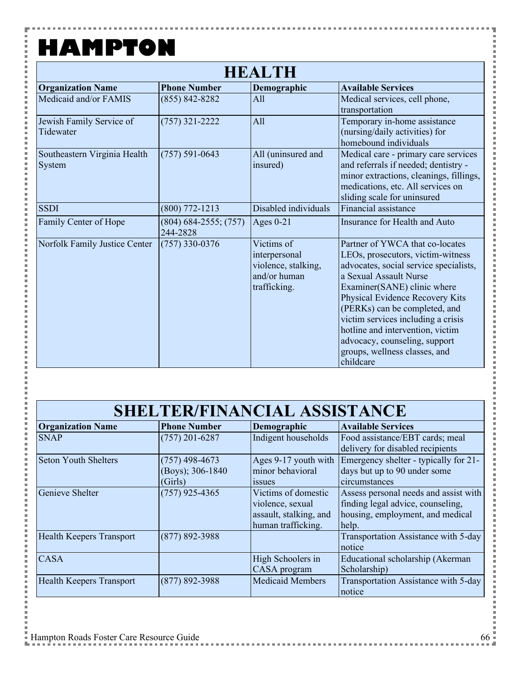F

 $\frac{1}{2}$ 

一 二 一  $\overline{a}$ Ė i

l Ė l j. こうしょう こうしょう

i Ė  $\overline{a}$ i j. 

i

こうしょう こうしょう

i Ė 一 一 一 i j.

i

こうしょう こうしょう

i Ė  $\overline{a}$ i j. 

i

こうしょう こうしょう j. l Ė  $\overline{a}$ 

| <b>HEALTH</b>                          |                                     |                                                                                    |                                                                                                                                                                                                                                                                                                                                                                                                      |  |
|----------------------------------------|-------------------------------------|------------------------------------------------------------------------------------|------------------------------------------------------------------------------------------------------------------------------------------------------------------------------------------------------------------------------------------------------------------------------------------------------------------------------------------------------------------------------------------------------|--|
| <b>Organization Name</b>               | <b>Phone Number</b>                 | Demographic                                                                        | <b>Available Services</b>                                                                                                                                                                                                                                                                                                                                                                            |  |
| Medicaid and/or FAMIS                  | $(855) 842 - 8282$                  | All                                                                                | Medical services, cell phone,<br>transportation                                                                                                                                                                                                                                                                                                                                                      |  |
| Jewish Family Service of<br>Tidewater  | $(757)$ 321-2222                    | All                                                                                | Temporary in-home assistance<br>(nursing/daily activities) for<br>homebound individuals                                                                                                                                                                                                                                                                                                              |  |
| Southeastern Virginia Health<br>System | $(757) 591 - 0643$                  | All (uninsured and<br>insured)                                                     | Medical care - primary care services<br>and referrals if needed; dentistry -<br>minor extractions, cleanings, fillings,<br>medications, etc. All services on<br>sliding scale for uninsured                                                                                                                                                                                                          |  |
| <b>SSDI</b>                            | $(800)$ 772-1213                    | Disabled individuals                                                               | Financial assistance                                                                                                                                                                                                                                                                                                                                                                                 |  |
| Family Center of Hope                  | $(804)$ 684-2555; (757)<br>244-2828 | Ages $0-21$                                                                        | Insurance for Health and Auto                                                                                                                                                                                                                                                                                                                                                                        |  |
| Norfolk Family Justice Center          | $(757)$ 330-0376                    | Victims of<br>interpersonal<br>violence, stalking,<br>and/or human<br>trafficking. | Partner of YWCA that co-locates<br>LEOs, prosecutors, victim-witness<br>advocates, social service specialists,<br>a Sexual Assault Nurse<br>Examiner(SANE) clinic where<br>Physical Evidence Recovery Kits<br>(PERKs) can be completed, and<br>victim services including a crisis<br>hotline and intervention, victim<br>advocacy, counseling, support<br>groups, wellness classes, and<br>childcare |  |

| <b>SHELTER/FINANCIAL ASSISTANCE</b> |                                                 |                                                                                         |                                                                                                                         |
|-------------------------------------|-------------------------------------------------|-----------------------------------------------------------------------------------------|-------------------------------------------------------------------------------------------------------------------------|
| <b>Organization Name</b>            | <b>Phone Number</b>                             | Demographic                                                                             | <b>Available Services</b>                                                                                               |
| <b>SNAP</b>                         | $(757)$ 201-6287                                | Indigent households                                                                     | Food assistance/EBT cards; meal<br>delivery for disabled recipients                                                     |
| Seton Youth Shelters                | $(757)$ 498-4673<br>(Boys); 306-1840<br>(Girls) | Ages 9-17 youth with<br>minor behavioral<br><i>ssues</i>                                | Emergency shelter - typically for 21-<br>days but up to 90 under some<br>circumstances                                  |
| Genieve Shelter                     | $(757)$ 925-4365                                | Victims of domestic<br>violence, sexual<br>assault, stalking, and<br>human trafficking. | Assess personal needs and assist with<br>finding legal advice, counseling,<br>housing, employment, and medical<br>help. |
| <b>Health Keepers Transport</b>     | $(877) 892 - 3988$                              |                                                                                         | Transportation Assistance with 5-day<br>notice                                                                          |
| <b>CASA</b>                         |                                                 | High Schoolers in<br>CASA program                                                       | Educational scholarship (Akerman<br>Scholarship)                                                                        |
| <b>Health Keepers Transport</b>     | $(877) 892 - 3988$                              | <b>Medicaid Members</b>                                                                 | Transportation Assistance with 5-day<br>notice                                                                          |

ţ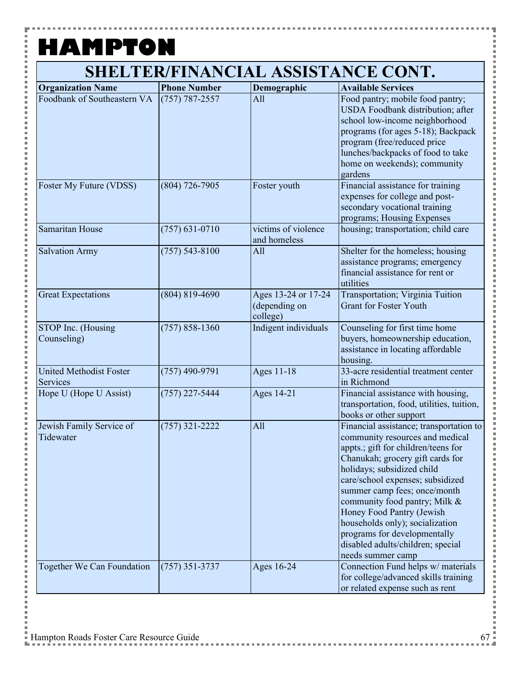۳

i i i i i

| <b>Organization Name</b>                   | <b>Phone Number</b> | Demographic                                      | <b>Available Services</b>                                                                                                                                                                                                                                                                                                                                                                                                                          |
|--------------------------------------------|---------------------|--------------------------------------------------|----------------------------------------------------------------------------------------------------------------------------------------------------------------------------------------------------------------------------------------------------------------------------------------------------------------------------------------------------------------------------------------------------------------------------------------------------|
| Foodbank of Southeastern VA                | $(757) 787 - 2557$  | All                                              | Food pantry; mobile food pantry;<br>USDA Foodbank distribution; after<br>school low-income neighborhood<br>programs (for ages 5-18); Backpack<br>program (free/reduced price<br>lunches/backpacks of food to take<br>home on weekends); community<br>gardens                                                                                                                                                                                       |
| Foster My Future (VDSS)                    | $(804)$ 726-7905    | Foster youth                                     | Financial assistance for training<br>expenses for college and post-<br>secondary vocational training<br>programs; Housing Expenses                                                                                                                                                                                                                                                                                                                 |
| <b>Samaritan House</b>                     | $(757) 631 - 0710$  | victims of violence<br>and homeless              | housing; transportation; child care                                                                                                                                                                                                                                                                                                                                                                                                                |
| <b>Salvation Army</b>                      | $(757) 543 - 8100$  | All                                              | Shelter for the homeless; housing<br>assistance programs; emergency<br>financial assistance for rent or<br>utilities                                                                                                                                                                                                                                                                                                                               |
| <b>Great Expectations</b>                  | $(804) 819 - 4690$  | Ages 13-24 or 17-24<br>(depending on<br>college) | <b>Transportation</b> ; Virginia Tuition<br><b>Grant for Foster Youth</b>                                                                                                                                                                                                                                                                                                                                                                          |
| STOP Inc. (Housing<br>Counseling)          | $(757) 858 - 1360$  | Indigent individuals                             | Counseling for first time home<br>buyers, homeownership education,<br>assistance in locating affordable<br>housing.                                                                                                                                                                                                                                                                                                                                |
| <b>United Methodist Foster</b><br>Services | $(757)$ 490-9791    | Ages 11-18                                       | 33-acre residential treatment center<br>in Richmond                                                                                                                                                                                                                                                                                                                                                                                                |
| Hope U (Hope U Assist)                     | $(757)$ 227-5444    | Ages 14-21                                       | Financial assistance with housing,<br>transportation, food, utilities, tuition,<br>books or other support                                                                                                                                                                                                                                                                                                                                          |
| Jewish Family Service of<br>Tidewater      | $(757)$ 321-2222    | All                                              | Financial assistance; transportation to<br>community resources and medical<br>appts.; gift for children/teens for<br>Chanukah; grocery gift cards for<br>holidays; subsidized child<br>care/school expenses; subsidized<br>summer camp fees; once/month<br>community food pantry; Milk &<br>Honey Food Pantry (Jewish<br>households only); socialization<br>programs for developmentally<br>disabled adults/children; special<br>needs summer camp |
| Together We Can Foundation                 | $(757)$ 351-3737    | Ages 16-24                                       | Connection Fund helps w/ materials<br>for college/advanced skills training<br>or related expense such as rent                                                                                                                                                                                                                                                                                                                                      |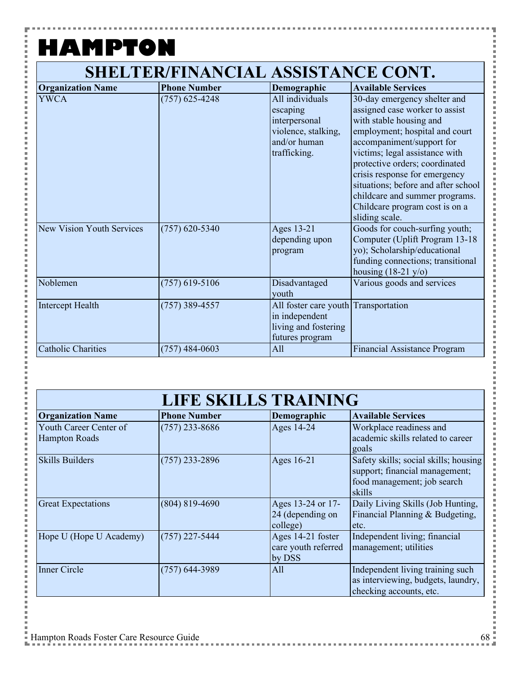н

i<br>I

### **SHELTER/FINANCIAL ASSISTANCE CONT.**

| <b>Organization Name</b>         | <b>Phone Number</b> | Demographic                                                                                         | <b>Available Services</b>                                                                                                                                                                                                                                                                                                                                                                  |
|----------------------------------|---------------------|-----------------------------------------------------------------------------------------------------|--------------------------------------------------------------------------------------------------------------------------------------------------------------------------------------------------------------------------------------------------------------------------------------------------------------------------------------------------------------------------------------------|
| <b>YWCA</b>                      | $(757)$ 625-4248    | All individuals<br>escaping<br>interpersonal<br>violence, stalking,<br>and/or human<br>trafficking. | 30-day emergency shelter and<br>assigned case worker to assist<br>with stable housing and<br>employment; hospital and court<br>accompaniment/support for<br>victims; legal assistance with<br>protective orders; coordinated<br>crisis response for emergency<br>situations; before and after school<br>childcare and summer programs.<br>Childcare program cost is on a<br>sliding scale. |
| <b>New Vision Youth Services</b> | $(757)$ 620-5340    | Ages 13-21<br>depending upon<br>program                                                             | Goods for couch-surfing youth;<br>Computer (Uplift Program 13-18)<br>yo); Scholarship/educational<br>funding connections; transitional<br>housing $(18-21 \text{ y/o})$                                                                                                                                                                                                                    |
| Noblemen                         | $(757)$ 619-5106    | Disadvantaged<br>youth                                                                              | Various goods and services                                                                                                                                                                                                                                                                                                                                                                 |
| Intercept Health                 | (757) 389-4557      | All foster care youth Transportation<br>in independent<br>living and fostering<br>futures program   |                                                                                                                                                                                                                                                                                                                                                                                            |
| <b>Catholic Charities</b>        | $(757)$ 484-0603    | All                                                                                                 | <b>Financial Assistance Program</b>                                                                                                                                                                                                                                                                                                                                                        |

| <b>LIFE SKILLS TRAINING</b>                    |                     |                                                    |                                                                                                                  |
|------------------------------------------------|---------------------|----------------------------------------------------|------------------------------------------------------------------------------------------------------------------|
| <b>Organization Name</b>                       | <b>Phone Number</b> | Demographic                                        | <b>Available Services</b>                                                                                        |
| Youth Career Center of<br><b>Hampton Roads</b> | $(757)$ 233-8686    | Ages 14-24                                         | Workplace readiness and<br>academic skills related to career<br>goals                                            |
| <b>Skills Builders</b>                         | $(757)$ 233-2896    | Ages 16-21                                         | Safety skills; social skills; housing<br>support; financial management;<br>food management; job search<br>skills |
| <b>Great Expectations</b>                      | $(804) 819 - 4690$  | Ages 13-24 or 17-<br>24 (depending on<br>college)  | Daily Living Skills (Job Hunting,<br>Financial Planning & Budgeting,<br>etc.                                     |
| Hope U (Hope U Academy)                        | $(757)$ 227-5444    | Ages 14-21 foster<br>care youth referred<br>by DSS | Independent living; financial<br>management; utilities                                                           |
| <b>Inner Circle</b>                            | (757) 644-3989      | All                                                | Independent living training such<br>as interviewing, budgets, laundry,<br>checking accounts, etc.                |

Ē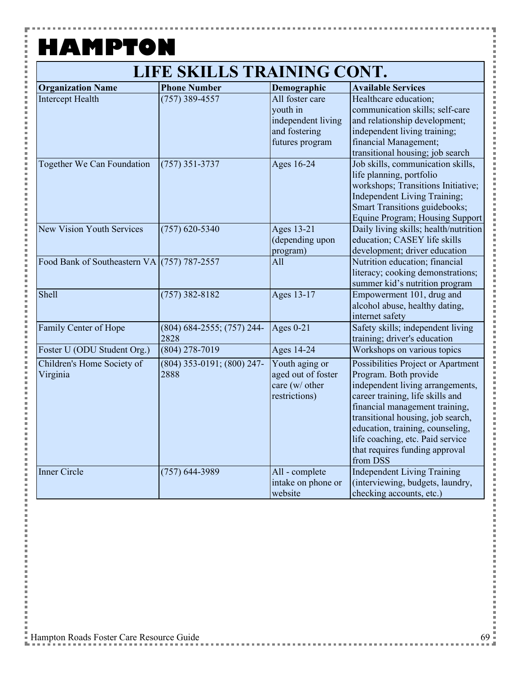۲

 $\frac{1}{2}$ 

#### **LIFE SKILLS TRAINING CONT.**

| <b>Organization Name</b>                    | <b>Phone Number</b>             | Demographic                   | <b>Available Services</b>                                              |
|---------------------------------------------|---------------------------------|-------------------------------|------------------------------------------------------------------------|
| <b>Intercept Health</b>                     | $(757)$ 389-4557                | All foster care               | Healthcare education;                                                  |
|                                             |                                 | youth in                      | communication skills; self-care                                        |
|                                             |                                 | independent living            | and relationship development;                                          |
|                                             |                                 | and fostering                 | independent living training;                                           |
|                                             |                                 | futures program               | financial Management;                                                  |
|                                             |                                 |                               | transitional housing; job search                                       |
| Together We Can Foundation                  | $(757)$ 351-3737                | Ages 16-24                    | Job skills, communication skills,                                      |
|                                             |                                 |                               | life planning, portfolio                                               |
|                                             |                                 |                               | workshops; Transitions Initiative;                                     |
|                                             |                                 |                               | Independent Living Training;                                           |
|                                             |                                 |                               | Smart Transitions guidebooks;                                          |
|                                             |                                 |                               | Equine Program; Housing Support                                        |
| <b>New Vision Youth Services</b>            | $(757)$ 620-5340                | Ages 13-21                    | Daily living skills; health/nutrition                                  |
|                                             |                                 | (depending upon               | education; CASEY life skills                                           |
|                                             |                                 | program)                      | development; driver education                                          |
| Food Bank of Southeastern VA (757) 787-2557 |                                 | All                           | Nutrition education; financial                                         |
|                                             |                                 |                               | literacy; cooking demonstrations;                                      |
|                                             |                                 |                               | summer kid's nutrition program                                         |
| Shell                                       | $(757)$ 382-8182                | Ages 13-17                    | Empowerment 101, drug and                                              |
|                                             |                                 |                               | alcohol abuse, healthy dating,                                         |
|                                             |                                 |                               | internet safety                                                        |
| Family Center of Hope                       | $(804) 684 - 2555$ ; (757) 244- | Ages $0-21$                   | Safety skills; independent living                                      |
|                                             | 2828                            |                               | training; driver's education                                           |
| Foster U (ODU Student Org.)                 | $(804)$ 278-7019                | Ages 14-24                    | Workshops on various topics                                            |
| Children's Home Society of                  | (804) 353-0191; (800) 247-      | Youth aging or                | Possibilities Project or Apartment                                     |
| Virginia                                    | 2888                            | aged out of foster            | Program. Both provide                                                  |
|                                             |                                 | care (w/ other                | independent living arrangements,                                       |
|                                             |                                 | restrictions)                 | career training, life skills and                                       |
|                                             |                                 |                               | financial management training,                                         |
|                                             |                                 |                               | transitional housing, job search,                                      |
|                                             |                                 |                               | education, training, counseling,                                       |
|                                             |                                 |                               | life coaching, etc. Paid service                                       |
|                                             |                                 |                               | that requires funding approval                                         |
| <b>Inner Circle</b>                         |                                 |                               | from DSS                                                               |
|                                             | $(757)$ 644-3989                | All - complete                | <b>Independent Living Training</b><br>(interviewing, budgets, laundry, |
|                                             |                                 | intake on phone or<br>website | checking accounts, etc.)                                               |
|                                             |                                 |                               |                                                                        |

İ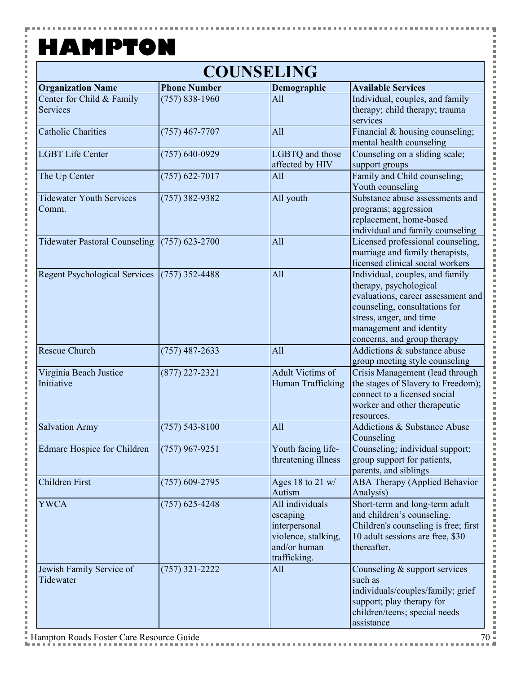F

i<br>I

**Contract** 

 $\frac{1}{2}$ 

j.

Ė

| <b>COUNSELING</b>                            |                     |                                                                                                     |                                                                                                                                                                                                                       |  |
|----------------------------------------------|---------------------|-----------------------------------------------------------------------------------------------------|-----------------------------------------------------------------------------------------------------------------------------------------------------------------------------------------------------------------------|--|
| <b>Organization Name</b>                     | <b>Phone Number</b> | Demographic                                                                                         | <b>Available Services</b>                                                                                                                                                                                             |  |
| Center for Child & Family<br><b>Services</b> | $(757) 838 - 1960$  | All                                                                                                 | Individual, couples, and family<br>therapy; child therapy; trauma<br>services                                                                                                                                         |  |
| <b>Catholic Charities</b>                    | $(757)$ 467-7707    | All                                                                                                 | Financial & housing counseling;<br>mental health counseling                                                                                                                                                           |  |
| <b>LGBT Life Center</b>                      | $(757) 640 - 0929$  | LGBTQ and those<br>affected by HIV                                                                  | Counseling on a sliding scale;<br>support groups                                                                                                                                                                      |  |
| The Up Center                                | $(757)$ 622-7017    | All                                                                                                 | Family and Child counseling;<br>Youth counseling                                                                                                                                                                      |  |
| <b>Tidewater Youth Services</b><br>Comm.     | $(757)$ 382-9382    | All youth                                                                                           | Substance abuse assessments and<br>programs; aggression<br>replacement, home-based<br>individual and family counseling                                                                                                |  |
| <b>Tidewater Pastoral Counseling</b>         | $(757)$ 623-2700    | All                                                                                                 | Licensed professional counseling,<br>marriage and family therapists,<br>licensed clinical social workers                                                                                                              |  |
| <b>Regent Psychological Services</b>         | $(757)$ 352-4488    | All                                                                                                 | Individual, couples, and family<br>therapy, psychological<br>evaluations, career assessment and<br>counseling, consultations for<br>stress, anger, and time<br>management and identity<br>concerns, and group therapy |  |
| <b>Rescue Church</b>                         | $(757)$ 487-2633    | All                                                                                                 | Addictions & substance abuse<br>group meeting style counseling                                                                                                                                                        |  |
| Virginia Beach Justice<br>Initiative         | $(877)$ 227-2321    | Adult Victims of<br>Human Trafficking                                                               | Crisis Management (lead through<br>the stages of Slavery to Freedom);<br>connect to a licensed social<br>worker and other therapeutic<br>resources.                                                                   |  |
| <b>Salvation Army</b>                        | $(757) 543 - 8100$  | All                                                                                                 | Addictions & Substance Abuse<br>Counseling                                                                                                                                                                            |  |
| <b>Edmarc Hospice for Children</b>           | $(757)$ 967-9251    | Youth facing life-<br>threatening illness                                                           | Counseling; individual support;<br>group support for patients,<br>parents, and siblings                                                                                                                               |  |
| <b>Children First</b>                        | $(757)$ 609-2795    | Ages 18 to 21 w/<br>Autism                                                                          | <b>ABA Therapy (Applied Behavior</b><br>Analysis)                                                                                                                                                                     |  |
| <b>YWCA</b>                                  | $(757)$ 625-4248    | All individuals<br>escaping<br>interpersonal<br>violence, stalking,<br>and/or human<br>trafficking. | Short-term and long-term adult<br>and children's counseling.<br>Children's counseling is free; first<br>10 adult sessions are free, \$30<br>thereafter.                                                               |  |
| Jewish Family Service of<br>Tidewater        | $(757)$ 321-2222    | All                                                                                                 | Counseling & support services<br>such as<br>individuals/couples/family; grief<br>support; play therapy for<br>children/teens; special needs<br>assistance                                                             |  |

**CONTRACTOR** 

m.

Ŧ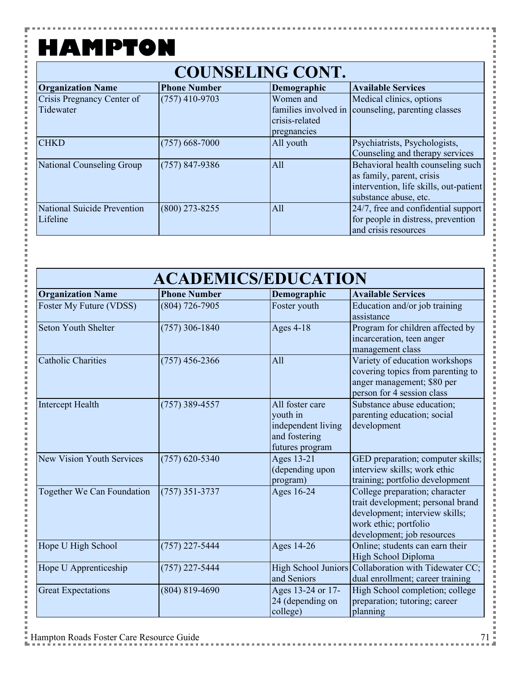۵

i

i

| <b>Organization Name</b>    | <b>Phone Number</b> | Demographic          | <b>Available Services</b>              |  |
|-----------------------------|---------------------|----------------------|----------------------------------------|--|
| Crisis Pregnancy Center of  | $(757)$ 410-9703    | Women and            | Medical clinics, options               |  |
| Tidewater                   |                     | families involved in | counseling, parenting classes          |  |
|                             |                     | crisis-related       |                                        |  |
|                             |                     | pregnancies          |                                        |  |
| <b>CHKD</b>                 | $(757)$ 668-7000    | All youth            | Psychiatrists, Psychologists,          |  |
|                             |                     |                      | Counseling and therapy services        |  |
| National Counseling Group   | $(757) 847 - 9386$  | A11                  | Behavioral health counseling such      |  |
|                             |                     |                      | as family, parent, crisis              |  |
|                             |                     |                      | intervention, life skills, out-patient |  |
|                             |                     |                      | substance abuse, etc.                  |  |
| National Suicide Prevention | $(800)$ 273-8255    | All                  | 24/7, free and confidential support    |  |
| Lifeline                    |                     |                      | for people in distress, prevention     |  |
|                             |                     |                      | and crisis resources                   |  |

#### **ACADEMICS/EDUCATION**

| <b>Organization Name</b>         | <b>Phone Number</b> | Demographic                                                                           | <b>Available Services</b>                                                                                                                                    |
|----------------------------------|---------------------|---------------------------------------------------------------------------------------|--------------------------------------------------------------------------------------------------------------------------------------------------------------|
| Foster My Future (VDSS)          | $(804) 726 - 7905$  | Foster youth                                                                          | Education and/or job training<br>assistance                                                                                                                  |
| <b>Seton Youth Shelter</b>       | $(757)$ 306-1840    | Ages $4-18$                                                                           | Program for children affected by<br>incarceration, teen anger<br>management class                                                                            |
| <b>Catholic Charities</b>        | $(757)$ 456-2366    | A11                                                                                   | Variety of education workshops<br>covering topics from parenting to<br>anger management; \$80 per<br>person for 4 session class                              |
| <b>Intercept Health</b>          | $(757)$ 389-4557    | All foster care<br>youth in<br>independent living<br>and fostering<br>futures program | Substance abuse education;<br>parenting education; social<br>development                                                                                     |
| <b>New Vision Youth Services</b> | $(757)$ 620-5340    | Ages 13-21<br>(depending upon<br>program)                                             | GED preparation; computer skills;<br>interview skills; work ethic<br>training; portfolio development                                                         |
| Together We Can Foundation       | $(757)$ 351-3737    | Ages 16-24                                                                            | College preparation; character<br>trait development; personal brand<br>development; interview skills;<br>work ethic; portfolio<br>development; job resources |
| Hope U High School               | $(757)$ 227-5444    | Ages 14-26                                                                            | Online; students can earn their<br>High School Diploma                                                                                                       |
| Hope U Apprenticeship            | $(757)$ 227-5444    | and Seniors                                                                           | High School Juniors Collaboration with Tidewater CC;<br>dual enrollment; career training                                                                     |
| <b>Great Expectations</b>        | $(804) 819 - 4690$  | Ages 13-24 or 17-<br>24 (depending on<br>college)                                     | High School completion; college<br>preparation; tutoring; career<br>planning                                                                                 |